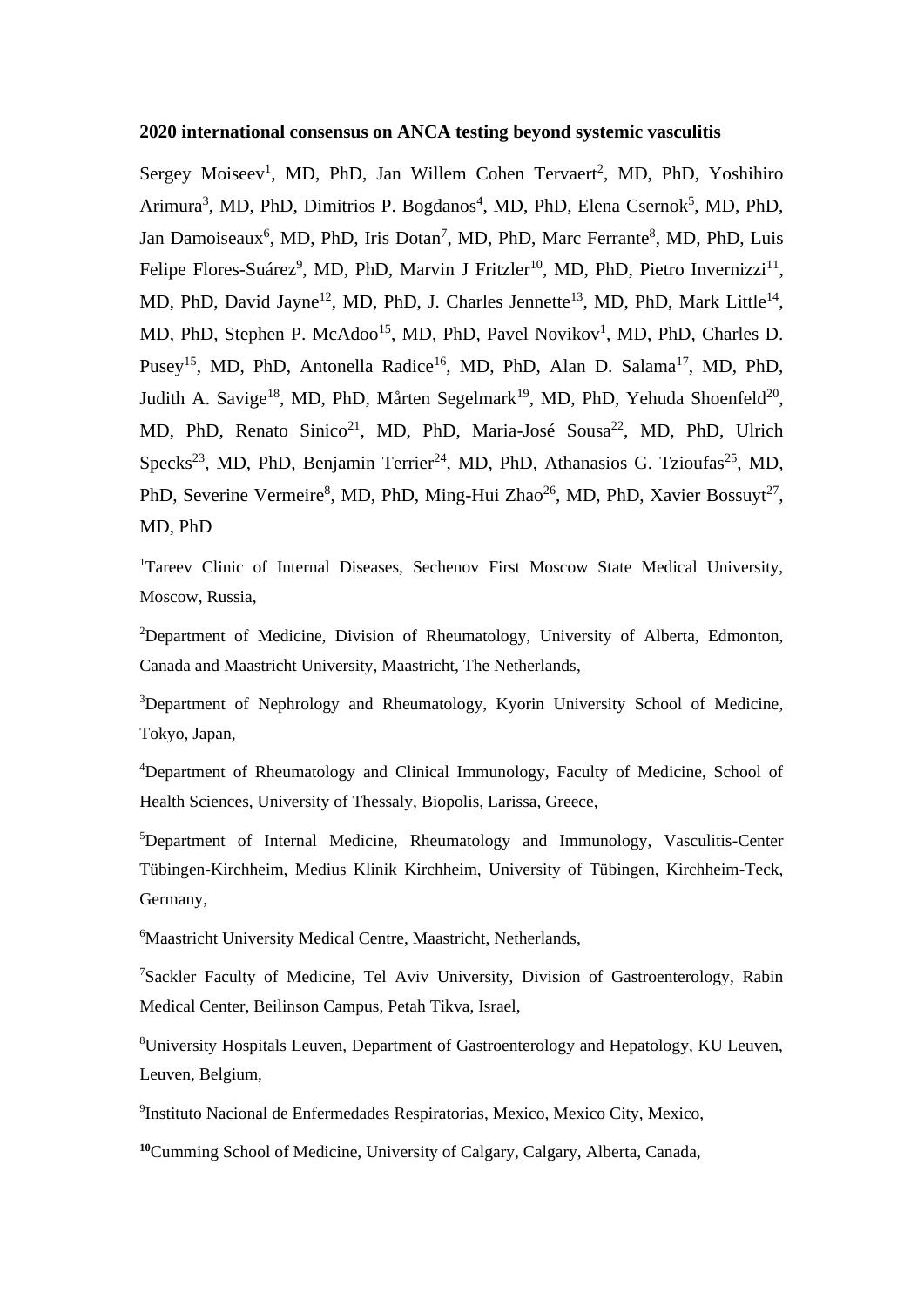### **2020 international consensus on ANCA testing beyond systemic vasculitis**

Sergey Moiseev<sup>1</sup>, MD, PhD, Jan Willem Cohen Tervaert<sup>2</sup>, MD, PhD, Yoshihiro Arimura<sup>3</sup>, MD, PhD, Dimitrios P. Bogdanos<sup>4</sup>, MD, PhD, Elena Csernok<sup>5</sup>, MD, PhD, Jan Damoiseaux<sup>6</sup>, MD, PhD, Iris Dotan<sup>7</sup>, MD, PhD, Marc Ferrante<sup>8</sup>, MD, PhD, Luis Felipe Flores-Suárez<sup>9</sup>, MD, PhD, Marvin J Fritzler<sup>10</sup>, MD, PhD, Pietro Invernizzi<sup>11</sup>, MD, PhD, David Jayne<sup>12</sup>, MD, PhD, J. Charles Jennette<sup>13</sup>, MD, PhD, Mark Little<sup>14</sup>, MD, PhD, Stephen P. McAdoo<sup>15</sup>, MD, PhD, Pavel Novikov<sup>1</sup>, MD, PhD, Charles D. Pusey<sup>15</sup>, MD, PhD, Antonella Radice<sup>16</sup>, MD, PhD, Alan D. Salama<sup>17</sup>, MD, PhD, Judith A. Savige<sup>18</sup>, MD, PhD, Mårten Segelmark<sup>19</sup>, MD, PhD, Yehuda Shoenfeld<sup>20</sup>, MD, PhD, Renato Sinico<sup>21</sup>, MD, PhD, Maria-José Sousa<sup>22</sup>, MD, PhD, Ulrich Specks<sup>23</sup>, MD, PhD, Benjamin Terrier<sup>24</sup>, MD, PhD, Athanasios G. Tzioufas<sup>25</sup>, MD, PhD, Severine Vermeire<sup>8</sup>, MD, PhD, Ming-Hui Zhao<sup>26</sup>, MD, PhD, Xavier Bossuyt<sup>27</sup>, MD, PhD

<sup>1</sup>Tareev Clinic of Internal Diseases, Sechenov First Moscow State Medical University, Moscow, Russia,

<sup>2</sup>Department of Medicine, Division of Rheumatology, University of Alberta, Edmonton, Canada and Maastricht University, Maastricht, The Netherlands,

<sup>3</sup>Department of Nephrology and Rheumatology, Kyorin University School of Medicine, Tokyo, Japan,

<sup>4</sup>Department of Rheumatology and Clinical Immunology, Faculty of Medicine, School of Health Sciences, University of Thessaly, Biopolis, Larissa, Greece,

<sup>5</sup>Department of Internal Medicine, Rheumatology and Immunology, Vasculitis-Center Tübingen-Kirchheim, Medius Klinik Kirchheim, University of Tübingen, Kirchheim-Teck, Germany,

<sup>6</sup>Maastricht University Medical Centre, Maastricht, Netherlands,

<sup>7</sup>Sackler Faculty of Medicine, Tel Aviv University, Division of Gastroenterology, Rabin Medical Center, Beilinson Campus, Petah Tikva, Israel,

<sup>8</sup>University Hospitals Leuven, Department of Gastroenterology and Hepatology, KU Leuven, Leuven, Belgium,

9 Instituto Nacional de Enfermedades Respiratorias, Mexico, Mexico City, Mexico,

**10**Cumming School of Medicine, University of Calgary, Calgary, Alberta, Canada,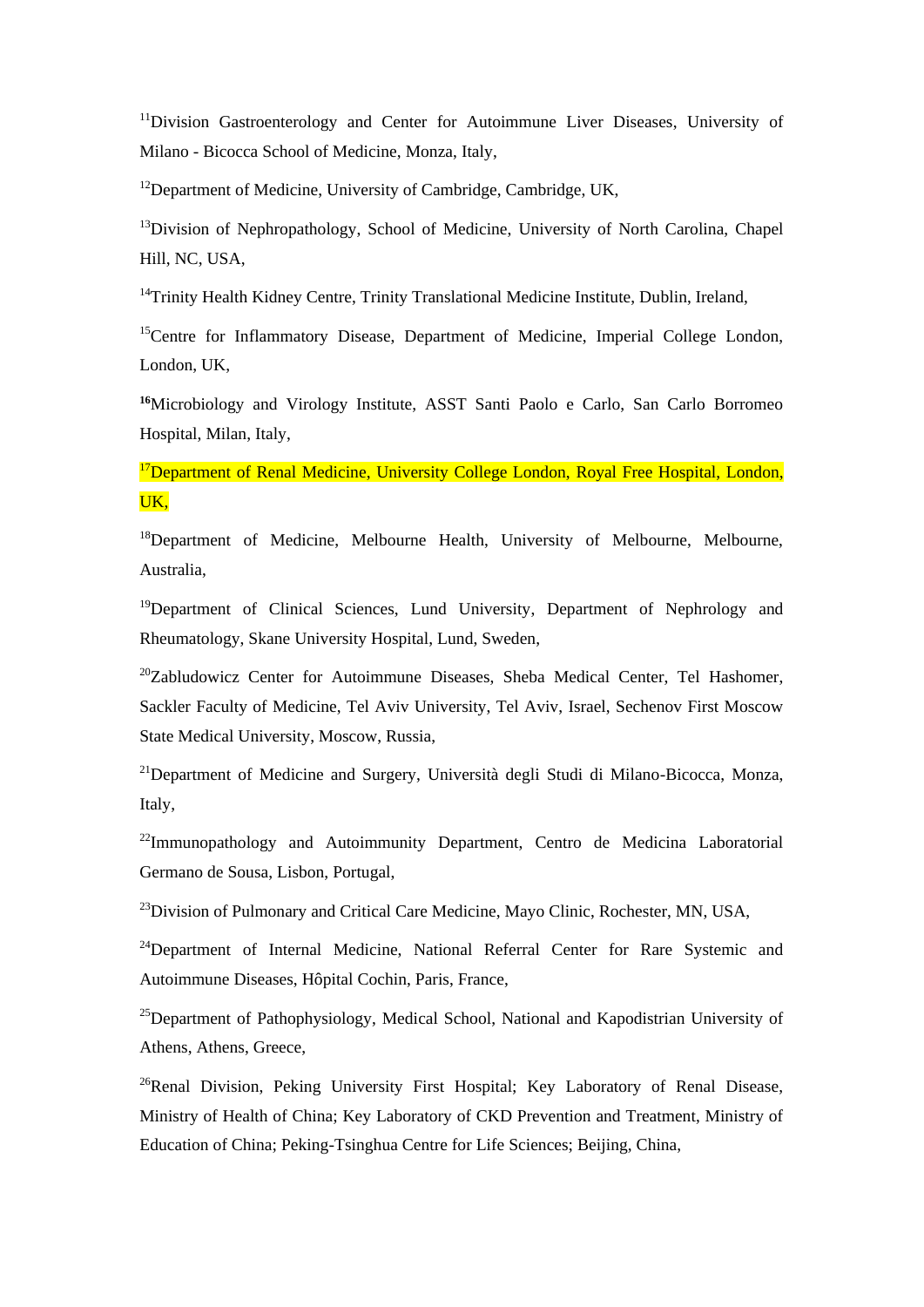<sup>11</sup>Division Gastroenterology and Center for Autoimmune Liver Diseases, University of Milano - Bicocca School of Medicine, Monza, Italy,

<sup>12</sup>Department of Medicine, University of Cambridge, Cambridge, UK,

<sup>13</sup>Division of Nephropathology, School of Medicine, University of North Carolina, Chapel Hill, NC, USA,

<sup>14</sup>Trinity Health Kidney Centre, Trinity Translational Medicine Institute, Dublin, Ireland,

<sup>15</sup>Centre for Inflammatory Disease, Department of Medicine, Imperial College London, London, UK,

**<sup>16</sup>**Microbiology and Virology Institute, ASST Santi Paolo e Carlo, San Carlo Borromeo Hospital, Milan, Italy,

<sup>17</sup>Department of Renal Medicine, University College London, Royal Free Hospital, London, UK,

<sup>18</sup>Department of Medicine, Melbourne Health, University of Melbourne, Melbourne, Australia,

<sup>19</sup>Department of Clinical Sciences, Lund University, Department of Nephrology and Rheumatology, Skane University Hospital, Lund, Sweden,

<sup>20</sup>Zabludowicz Center for Autoimmune Diseases, Sheba Medical Center, Tel Hashomer, Sackler Faculty of Medicine, Tel Aviv University, Tel Aviv, Israel, Sechenov First Moscow State Medical University, Moscow, Russia,

<sup>21</sup>Department of Medicine and Surgery, Università degli Studi di Milano-Bicocca, Monza, Italy,

<sup>22</sup>Immunopathology and Autoimmunity Department, Centro de Medicina Laboratorial Germano de Sousa, Lisbon, Portugal,

<sup>23</sup>Division of Pulmonary and Critical Care Medicine, Mayo Clinic, Rochester, MN, USA,

<sup>24</sup>Department of Internal Medicine, National Referral Center for Rare Systemic and Autoimmune Diseases, Hôpital Cochin, Paris, France,

<sup>25</sup>Department of Pathophysiology, Medical School, National and Kapodistrian University of Athens, Athens, Greece,

<sup>26</sup>Renal Division, Peking University First Hospital; Key Laboratory of Renal Disease, Ministry of Health of China; Key Laboratory of CKD Prevention and Treatment, Ministry of Education of China; Peking-Tsinghua Centre for Life Sciences; Beijing, China,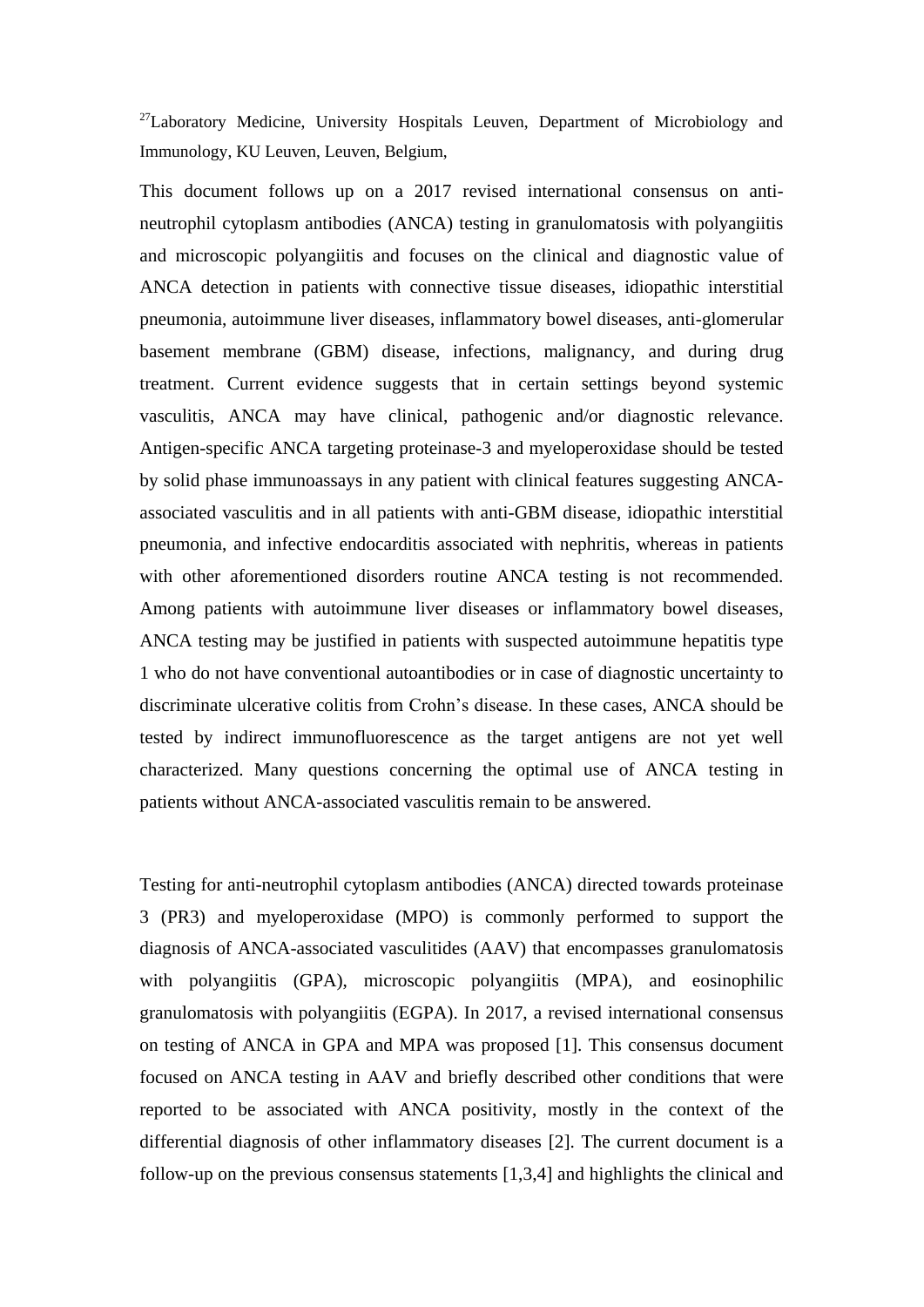$27$ Laboratory Medicine, University Hospitals Leuven, Department of Microbiology and Immunology, KU Leuven, Leuven, Belgium,

This document follows up on a 2017 revised international consensus on antineutrophil cytoplasm antibodies (ANCA) testing in granulomatosis with polyangiitis and microscopic polyangiitis and focuses on the clinical and diagnostic value of ANCA detection in patients with connective tissue diseases, idiopathic interstitial pneumonia, autoimmune liver diseases, inflammatory bowel diseases, anti-glomerular basement membrane (GBM) disease, infections, malignancy, and during drug treatment. Current evidence suggests that in certain settings beyond systemic vasculitis, ANCA may have clinical, pathogenic and/or diagnostic relevance. Antigen-specific ANCA targeting proteinase-3 and myeloperoxidase should be tested by solid phase immunoassays in any patient with clinical features suggesting ANCAassociated vasculitis and in all patients with anti-GBM disease, idiopathic interstitial pneumonia, and infective endocarditis associated with nephritis, whereas in patients with other aforementioned disorders routine ANCA testing is not recommended. Among patients with autoimmune liver diseases or inflammatory bowel diseases, ANCA testing may be justified in patients with suspected autoimmune hepatitis type 1 who do not have conventional autoantibodies or in case of diagnostic uncertainty to discriminate ulcerative colitis from Crohn's disease. In these cases, ANCA should be tested by indirect immunofluorescence as the target antigens are not yet well characterized. Many questions concerning the optimal use of ANCA testing in patients without ANCA-associated vasculitis remain to be answered.

Testing for anti-neutrophil cytoplasm antibodies (ANCA) directed towards proteinase 3 (PR3) and myeloperoxidase (MPO) is commonly performed to support the diagnosis of ANCA-associated vasculitides (AAV) that encompasses granulomatosis with polyangiitis (GPA), microscopic polyangiitis (MPA), and eosinophilic granulomatosis with polyangiitis (EGPA). In 2017, a revised international consensus on testing of ANCA in GPA and MPA was proposed [1]. This consensus document focused on ANCA testing in AAV and briefly described other conditions that were reported to be associated with ANCA positivity, mostly in the context of the differential diagnosis of other inflammatory diseases [2]. The current document is a follow-up on the previous consensus statements [1,3,4] and highlights the clinical and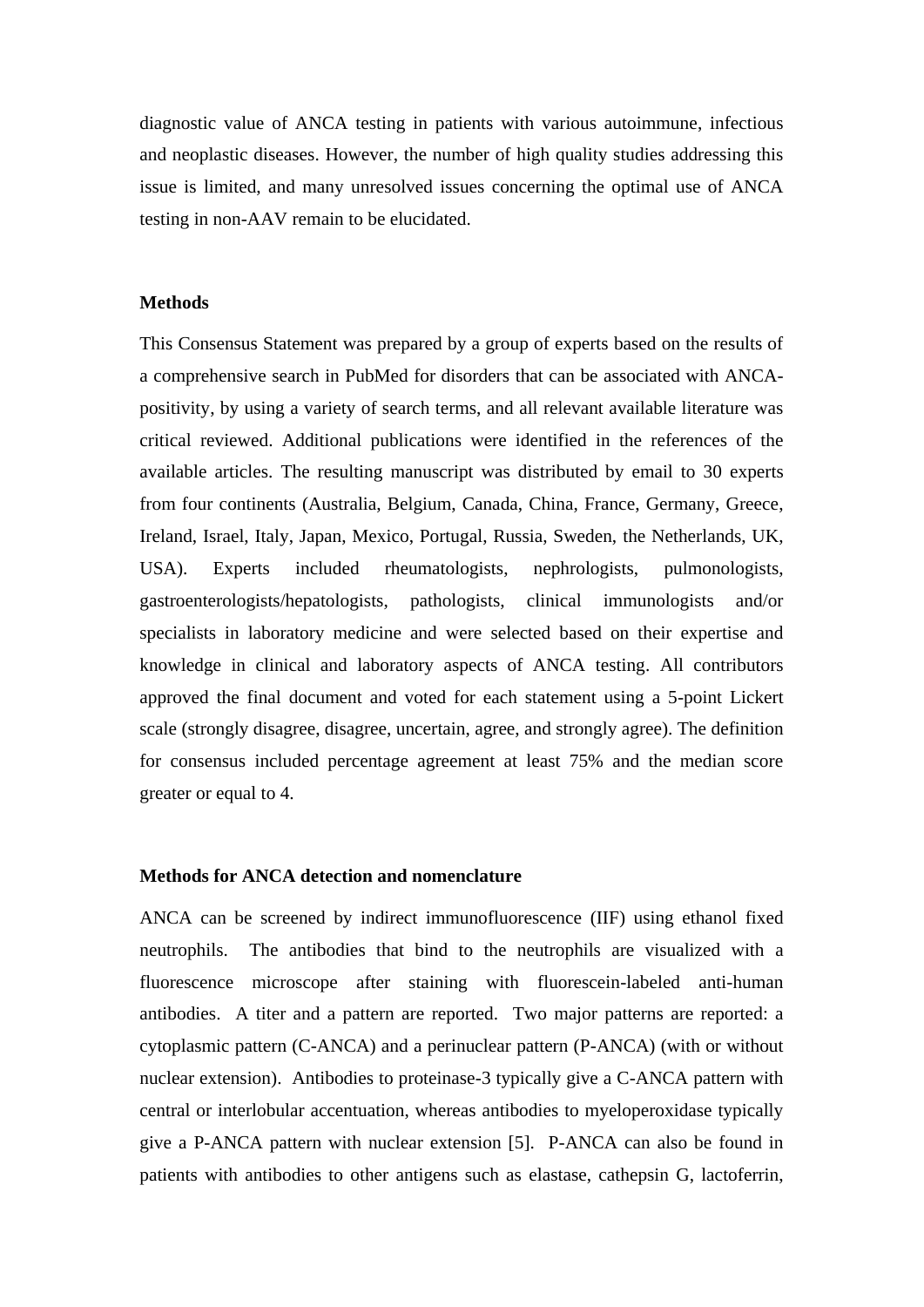diagnostic value of ANCA testing in patients with various autoimmune, infectious and neoplastic diseases. However, the number of high quality studies addressing this issue is limited, and many unresolved issues concerning the optimal use of ANCA testing in non-AAV remain to be elucidated.

# **Methods**

This Consensus Statement was prepared by a group of experts based on the results of a comprehensive search in PubMed for disorders that can be associated with ANCApositivity, by using a variety of search terms, and all relevant available literature was critical reviewed. Additional publications were identified in the references of the available articles. The resulting manuscript was distributed by email to 30 experts from four continents (Australia, Belgium, Canada, China, France, Germany, Greece, Ireland, Israel, Italy, Japan, Mexico, Portugal, Russia, Sweden, the Netherlands, UK, USA). Experts included rheumatologists, nephrologists, pulmonologists, gastroenterologists/hepatologists, pathologists, clinical immunologists and/or specialists in laboratory medicine and were selected based on their expertise and knowledge in clinical and laboratory aspects of ANCA testing. All contributors approved the final document and voted for each statement using a 5-point Lickert scale (strongly disagree, disagree, uncertain, agree, and strongly agree). The definition for consensus included percentage agreement at least 75% and the median score greater or equal to 4.

#### **Methods for ANCA detection and nomenclature**

ANCA can be screened by indirect immunofluorescence (IIF) using ethanol fixed neutrophils. The antibodies that bind to the neutrophils are visualized with a fluorescence microscope after staining with fluorescein-labeled anti-human antibodies. A titer and a pattern are reported. Two major patterns are reported: a cytoplasmic pattern (C-ANCA) and a perinuclear pattern (P-ANCA) (with or without nuclear extension). Antibodies to proteinase-3 typically give a C-ANCA pattern with central or interlobular accentuation, whereas antibodies to myeloperoxidase typically give a P-ANCA pattern with nuclear extension [5]. P-ANCA can also be found in patients with antibodies to other antigens such as elastase, cathepsin G, lactoferrin,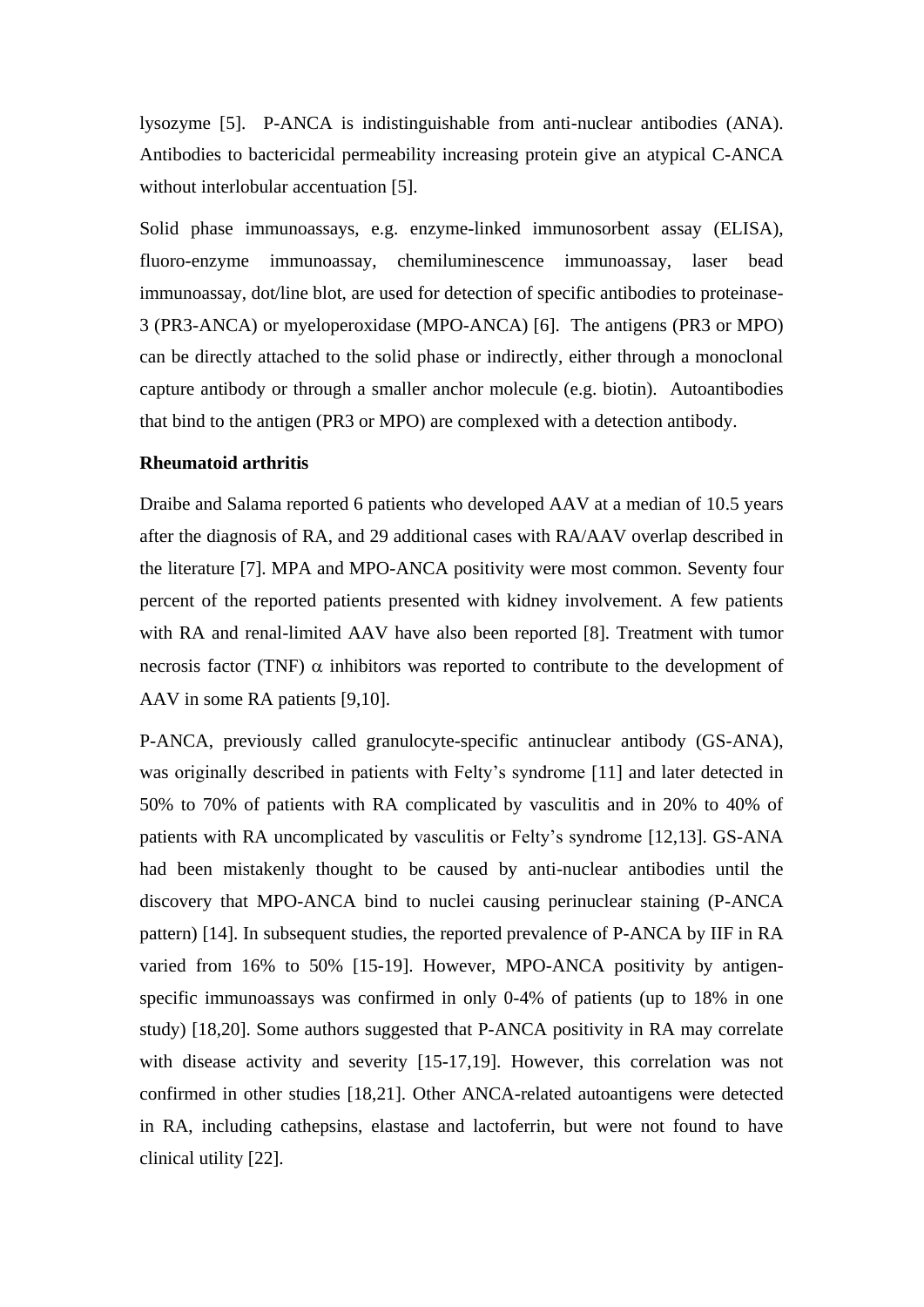lysozyme [5]. P-ANCA is indistinguishable from anti-nuclear antibodies (ANA). Antibodies to bactericidal permeability increasing protein give an atypical C-ANCA without interlobular accentuation [5].

Solid phase immunoassays, e.g. enzyme-linked immunosorbent assay (ELISA), fluoro-enzyme immunoassay, chemiluminescence immunoassay, laser bead immunoassay, dot/line blot, are used for detection of specific antibodies to proteinase-3 (PR3-ANCA) or myeloperoxidase (MPO-ANCA) [6]. The antigens (PR3 or MPO) can be directly attached to the solid phase or indirectly, either through a monoclonal capture antibody or through a smaller anchor molecule (e.g. biotin). Autoantibodies that bind to the antigen (PR3 or MPO) are complexed with a detection antibody.

#### **Rheumatoid arthritis**

Draibe and Salama reported 6 patients who developed AAV at a median of 10.5 years after the diagnosis of RA, and 29 additional cases with RA/AAV overlap described in the literature [7]. MPA and MPO-ANCA positivity were most common. Seventy four percent of the reported patients presented with kidney involvement. A few patients with RA and renal-limited AAV have also been reported [8]. Treatment with tumor necrosis factor (TNF)  $\alpha$  inhibitors was reported to contribute to the development of AAV in some RA patients [9,10].

P-ANCA, previously called granulocyte-specific antinuclear antibody (GS-ANA), was originally described in patients with Felty's syndrome [11] and later detected in 50% to 70% of patients with RA complicated by vasculitis and in 20% to 40% of patients with RA uncomplicated by vasculitis or Felty's syndrome [12,13]. GS-ANA had been mistakenly thought to be caused by anti-nuclear antibodies until the discovery that MPO-ANCA bind to nuclei causing perinuclear staining (P-ANCA pattern) [14]. In subsequent studies, the reported prevalence of P-ANCA by IIF in RA varied from 16% to 50% [15-19]. However, MPO-ANCA positivity by antigenspecific immunoassays was confirmed in only 0-4% of patients (up to 18% in one study) [18,20]. Some authors suggested that P-ANCA positivity in RA may correlate with disease activity and severity [15-17,19]. However, this correlation was not confirmed in other studies [18,21]. Other ANCA-related autoantigens were detected in RA, including cathepsins, elastase and lactoferrin, but were not found to have clinical utility [22].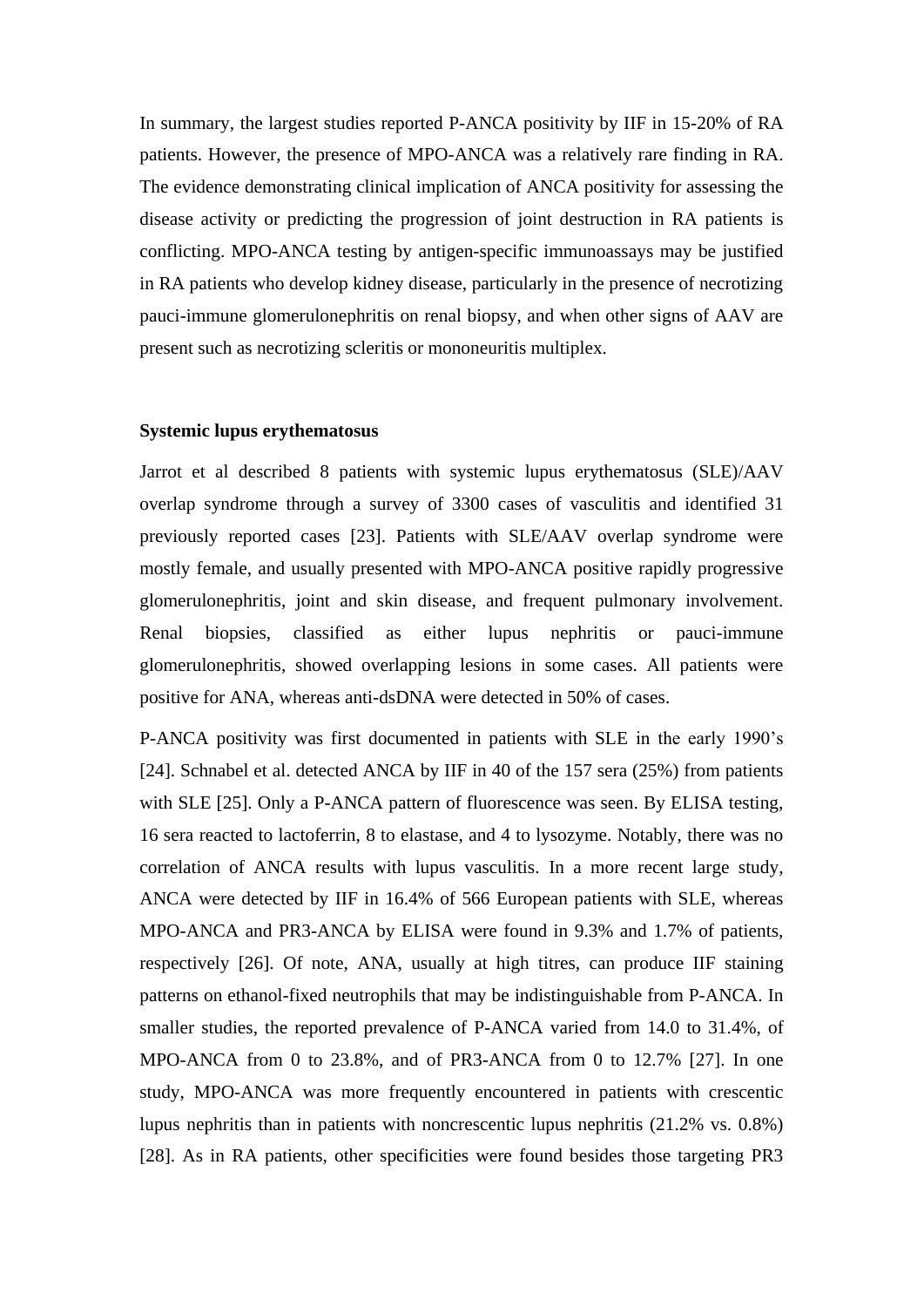In summary, the largest studies reported P-ANCA positivity by IIF in 15-20% of RA patients. However, the presence of MPO-ANCA was a relatively rare finding in RA. The evidence demonstrating clinical implication of ANCA positivity for assessing the disease activity or predicting the progression of joint destruction in RA patients is conflicting. MPO-ANCA testing by antigen-specific immunoassays may be justified in RA patients who develop kidney disease, particularly in the presence of necrotizing pauci-immune glomerulonephritis on renal biopsy, and when other signs of AAV are present such as necrotizing scleritis or mononeuritis multiplex.

#### **Systemic lupus erythematosus**

Jarrot et al described 8 patients with systemic lupus erythematosus (SLE)/AAV overlap syndrome through a survey of 3300 cases of vasculitis and identified 31 previously reported cases [23]. Patients with SLE/AAV overlap syndrome were mostly female, and usually presented with MPO-ANCA positive rapidly progressive glomerulonephritis, joint and skin disease, and frequent pulmonary involvement. Renal biopsies, classified as either lupus nephritis or pauci-immune glomerulonephritis, showed overlapping lesions in some cases. All patients were positive for ANA, whereas anti-dsDNA were detected in 50% of cases.

P-ANCA positivity was first documented in patients with SLE in the early 1990's [24]. Schnabel et al. detected ANCA by IIF in 40 of the 157 sera (25%) from patients with SLE [25]. Only a P-ANCA pattern of fluorescence was seen. By ELISA testing, 16 sera reacted to lactoferrin, 8 to elastase, and 4 to lysozyme. Notably, there was no correlation of ANCA results with lupus vasculitis. In a more recent large study, ANCA were detected by IIF in 16.4% of 566 European patients with SLE, whereas MPO-ANCA and PR3-ANCA by ELISA were found in 9.3% and 1.7% of patients, respectively [26]. Of note, ANA, usually at high titres, can produce IIF staining patterns on ethanol-fixed neutrophils that may be indistinguishable from P-ANCA. In smaller studies, the reported prevalence of P-ANCA varied from 14.0 to 31.4%, of MPO-ANCA from 0 to 23.8%, and of PR3-ANCA from 0 to 12.7% [27]. In one study, MPO-ANCA was more frequently encountered in patients with crescentic lupus nephritis than in patients with noncrescentic lupus nephritis (21.2% vs. 0.8%) [28]. As in RA patients, other specificities were found besides those targeting PR3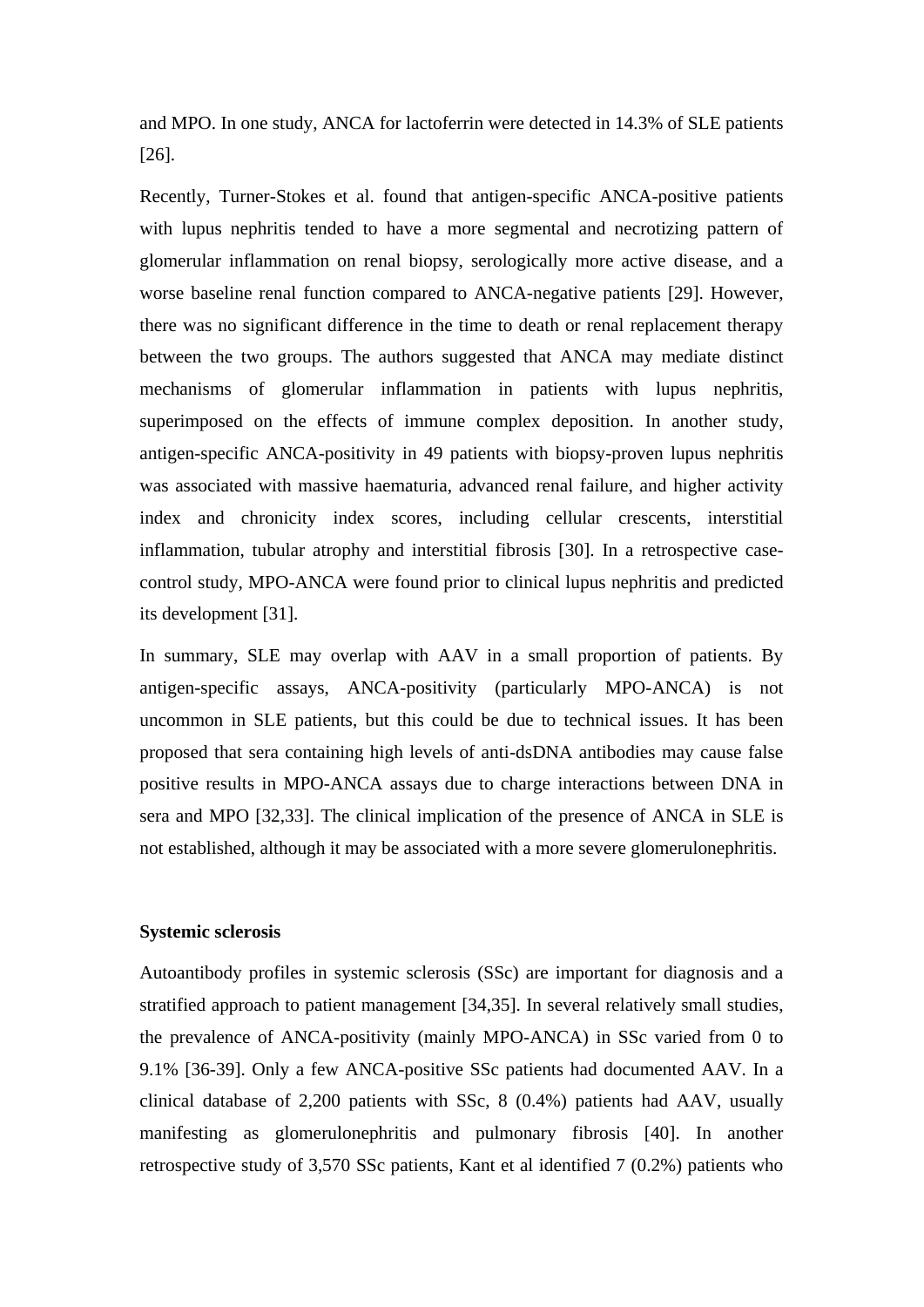and MPO. In one study, ANCA for lactoferrin were detected in 14.3% of SLE patients [26].

Recently, Turner-Stokes et al. found that antigen-specific ANCA-positive patients with lupus nephritis tended to have a more segmental and necrotizing pattern of glomerular inflammation on renal biopsy, serologically more active disease, and a worse baseline renal function compared to ANCA-negative patients [29]. However, there was no significant difference in the time to death or renal replacement therapy between the two groups. The authors suggested that ANCA may mediate distinct mechanisms of glomerular inflammation in patients with lupus nephritis, superimposed on the effects of immune complex deposition. In another study, antigen-specific ANCA-positivity in 49 patients with biopsy-proven lupus nephritis was associated with massive haematuria, advanced renal failure, and higher activity index and chronicity index scores, including cellular crescents, interstitial inflammation, tubular atrophy and interstitial fibrosis [30]. In a retrospective casecontrol study, MPO-ANCA were found prior to clinical lupus nephritis and predicted its development [31].

In summary, SLE may overlap with AAV in a small proportion of patients. By antigen-specific assays, ANCA-positivity (particularly MPO-ANCA) is not uncommon in SLE patients, but this could be due to technical issues. It has been proposed that sera containing high levels of anti-dsDNA antibodies may cause false positive results in MPO-ANCA assays due to charge interactions between DNA in sera and MPO [32,33]. The clinical implication of the presence of ANCA in SLE is not established, although it may be associated with a more severe glomerulonephritis.

# **Systemic sclerosis**

Autoantibody profiles in systemic sclerosis (SSc) are important for diagnosis and a stratified approach to patient management [34,35]. In several relatively small studies, the prevalence of ANCA-positivity (mainly MPO-ANCA) in SSc varied from 0 to 9.1% [36-39]. Only a few ANCA-positive SSc patients had documented AAV. In a clinical database of 2,200 patients with SSc, 8 (0.4%) patients had AAV, usually manifesting as glomerulonephritis and pulmonary fibrosis [40]. In another retrospective study of 3,570 SSc patients, Kant et al identified 7 (0.2%) patients who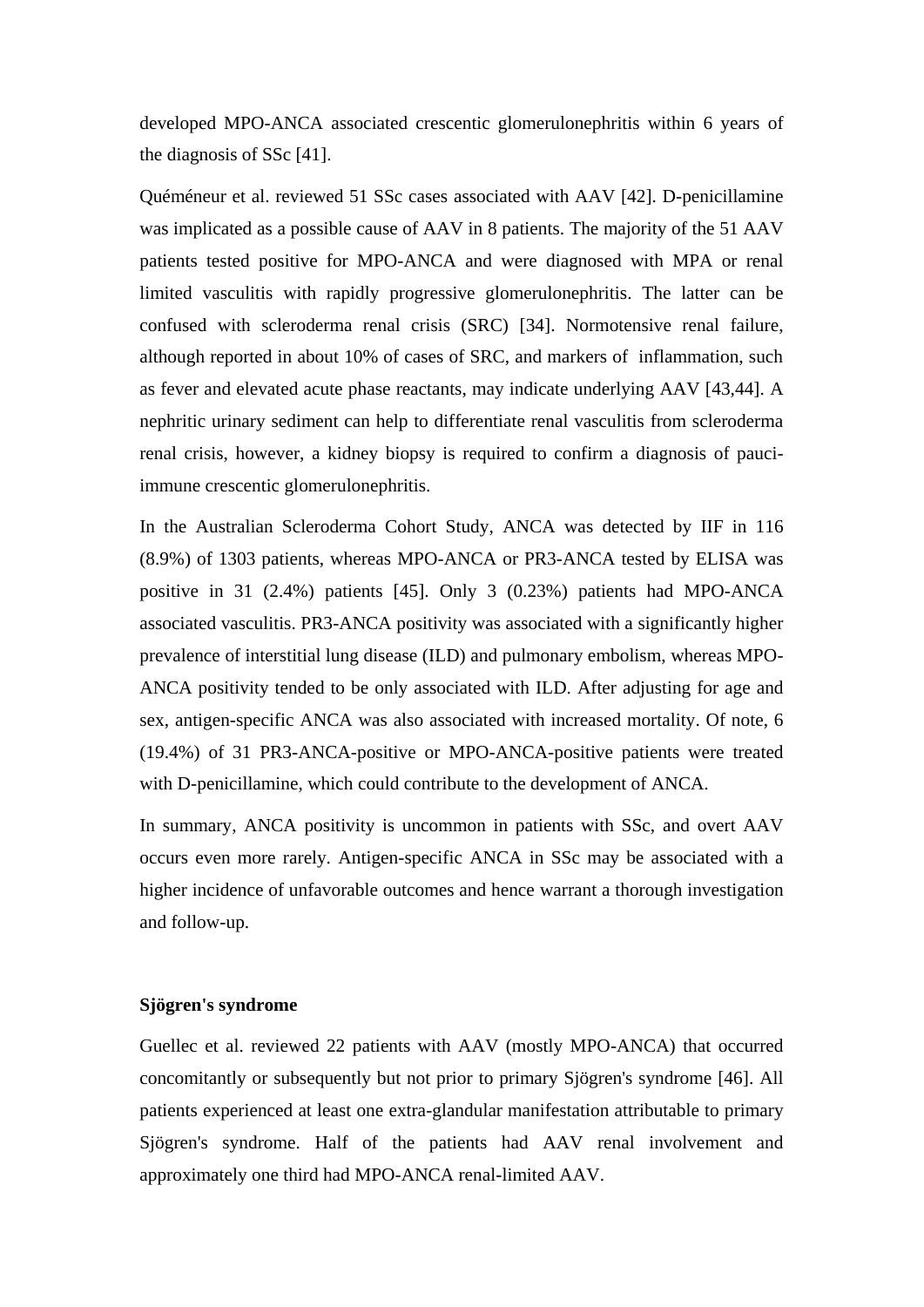developed MPO-ANCA associated crescentic glomerulonephritis within 6 years of the diagnosis of SSc [41].

Quéméneur et al. reviewed 51 SSc cases associated with AAV [42]. D-penicillamine was implicated as a possible cause of AAV in 8 patients. The majority of the 51 AAV patients tested positive for MPO-ANCA and were diagnosed with MPA or renal limited vasculitis with rapidly progressive glomerulonephritis. The latter can be confused with scleroderma renal crisis (SRC) [34]. Normotensive renal failure, although reported in about 10% of cases of SRC, and markers of inflammation, such as fever and elevated acute phase reactants, may indicate underlying AAV [43,44]. A nephritic urinary sediment can help to differentiate renal vasculitis from scleroderma renal crisis, however, a kidney biopsy is required to confirm a diagnosis of pauciimmune crescentic glomerulonephritis.

In the Australian Scleroderma Cohort Study, ANCA was detected by IIF in 116 (8.9%) of 1303 patients, whereas MPO-ANCA or PR3-ANCA tested by ELISA was positive in 31 (2.4%) patients [45]. Only 3 (0.23%) patients had MPO-ANCA associated vasculitis. PR3-ANCA positivity was associated with a significantly higher prevalence of interstitial lung disease (ILD) and pulmonary embolism, whereas MPO-ANCA positivity tended to be only associated with ILD. After adjusting for age and sex, antigen-specific ANCA was also associated with increased mortality. Of note, 6 (19.4%) of 31 PR3-ANCA-positive or MPO-ANCA-positive patients were treated with D-penicillamine, which could contribute to the development of ANCA.

In summary, ANCA positivity is uncommon in patients with SSc, and overt AAV occurs even more rarely. Antigen-specific ANCA in SSc may be associated with a higher incidence of unfavorable outcomes and hence warrant a thorough investigation and follow-up.

#### **Sjögren's syndrome**

Guellec et al. reviewed 22 patients with AAV (mostly MPO-ANCA) that occurred concomitantly or subsequently but not prior to primary Sjögren's syndrome [46]. All patients experienced at least one extra-glandular manifestation attributable to primary Sjögren's syndrome. Half of the patients had AAV renal involvement and approximately one third had MPO-ANCA renal-limited AAV.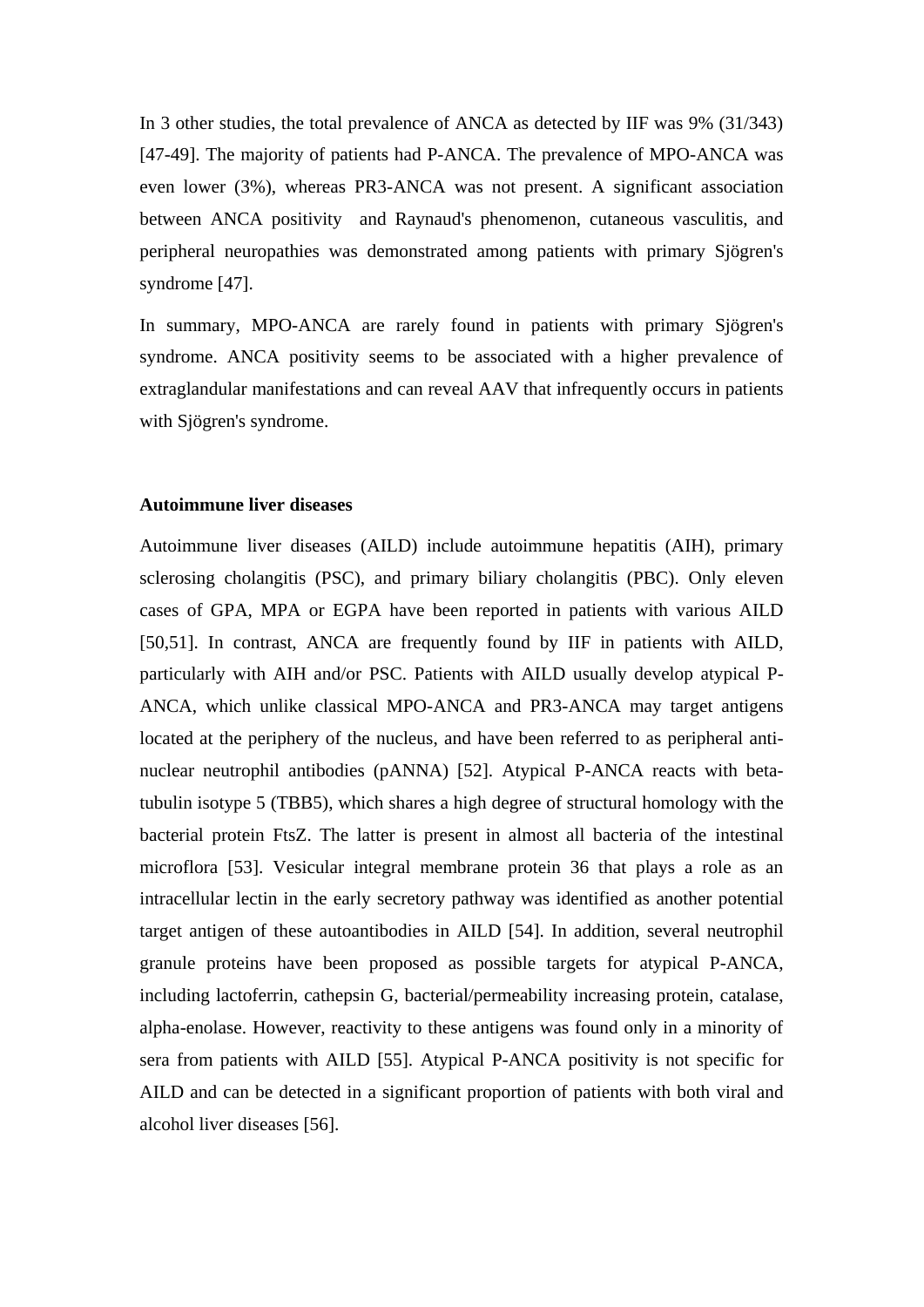In 3 other studies, the total prevalence of ANCA as detected by IIF was 9% (31/343) [47-49]. The majority of patients had P-ANCA. The prevalence of MPO-ANCA was even lower (3%), whereas PR3-ANCA was not present. A significant association between ANCA positivity and Raynaud's phenomenon, cutaneous vasculitis, and peripheral neuropathies was demonstrated among patients with primary Sjögren's syndrome [47].

In summary, MPO-ANCA are rarely found in patients with primary Sjögren's syndrome. ANCA positivity seems to be associated with a higher prevalence of extraglandular manifestations and can reveal AAV that infrequently occurs in patients with Sjögren's syndrome.

## **Autoimmune liver diseases**

Autoimmune liver diseases (AILD) include autoimmune hepatitis (AIH), primary sclerosing cholangitis (PSC), and primary biliary cholangitis (PBC). Only eleven cases of GPA, MPA or EGPA have been reported in patients with various AILD [50,51]. In contrast, ANCA are frequently found by IIF in patients with AILD, particularly with AIH and/or PSC. Patients with AILD usually develop atypical P-ANCA, which unlike classical MPO-ANCA and PR3-ANCA may target antigens located at the periphery of the nucleus, and have been referred to as peripheral antinuclear neutrophil antibodies (pANNA) [52]. Atypical P-ANCA reacts with betatubulin isotype 5 (TBB5), which shares a high degree of structural homology with the bacterial protein FtsZ. The latter is present in almost all bacteria of the intestinal microflora [53]. Vesicular integral membrane protein 36 that plays a role as an intracellular lectin in the early secretory pathway was identified as another potential target antigen of these autoantibodies in AILD [54]. In addition, several neutrophil granule proteins have been proposed as possible targets for atypical P-ANCA, including lactoferrin, cathepsin G, bacterial/permeability increasing protein, catalase, alpha-enolase. However, reactivity to these antigens was found only in a minority of sera from patients with AILD [55]. Atypical P-ANCA positivity is not specific for AILD and can be detected in a significant proportion of patients with both viral and alcohol liver diseases [56].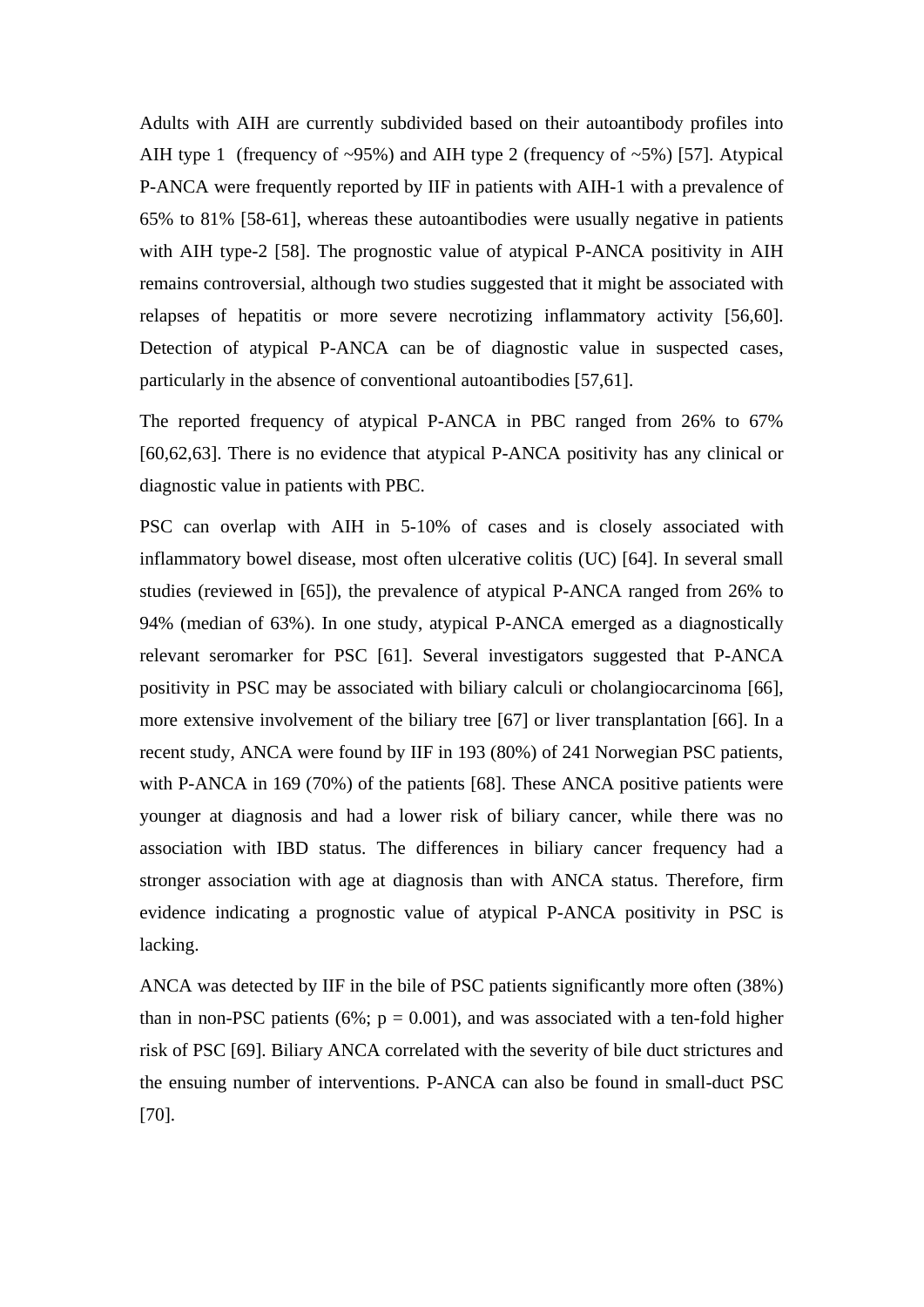Adults with AIH are currently subdivided based on their autoantibody profiles into AIH type 1 (frequency of  $\sim 95\%$ ) and AIH type 2 (frequency of  $\sim 5\%$ ) [57]. Atypical P-ANCA were frequently reported by IIF in patients with AIH-1 with a prevalence of 65% to 81% [58-61], whereas these autoantibodies were usually negative in patients with AIH type-2 [58]. The prognostic value of atypical P-ANCA positivity in AIH remains controversial, although two studies suggested that it might be associated with relapses of hepatitis or more severe necrotizing inflammatory activity [56,60]. Detection of atypical P-ANCA can be of diagnostic value in suspected cases, particularly in the absence of conventional autoantibodies [57,61].

The reported frequency of atypical P-ANCA in PBC ranged from 26% to 67% [60,62,63]. There is no evidence that atypical P-ANCA positivity has any clinical or diagnostic value in patients with PBC.

PSC can overlap with AIH in 5-10% of cases and is closely associated with inflammatory bowel disease, most often ulcerative colitis (UC) [64]. In several small studies (reviewed in [65]), the prevalence of atypical P-ANCA ranged from 26% to 94% (median of 63%). In one study, atypical P-ANCA emerged as a diagnostically relevant seromarker for PSC [61]. Several investigators suggested that P-ANCA positivity in PSC may be associated with biliary calculi or cholangiocarcinoma [66], more extensive involvement of the biliary tree [67] or liver transplantation [66]. In a recent study, ANCA were found by IIF in 193 (80%) of 241 Norwegian PSC patients, with P-ANCA in 169 (70%) of the patients [68]. These ANCA positive patients were younger at diagnosis and had a lower risk of biliary cancer, while there was no association with IBD status. The differences in biliary cancer frequency had a stronger association with age at diagnosis than with ANCA status. Therefore, firm evidence indicating a prognostic value of atypical P-ANCA positivity in PSC is lacking.

ANCA was detected by IIF in the bile of PSC patients significantly more often (38%) than in non-PSC patients (6%;  $p = 0.001$ ), and was associated with a ten-fold higher risk of PSC [69]. Biliary ANCA correlated with the severity of bile duct strictures and the ensuing number of interventions. P-ANCA can also be found in small-duct PSC [70].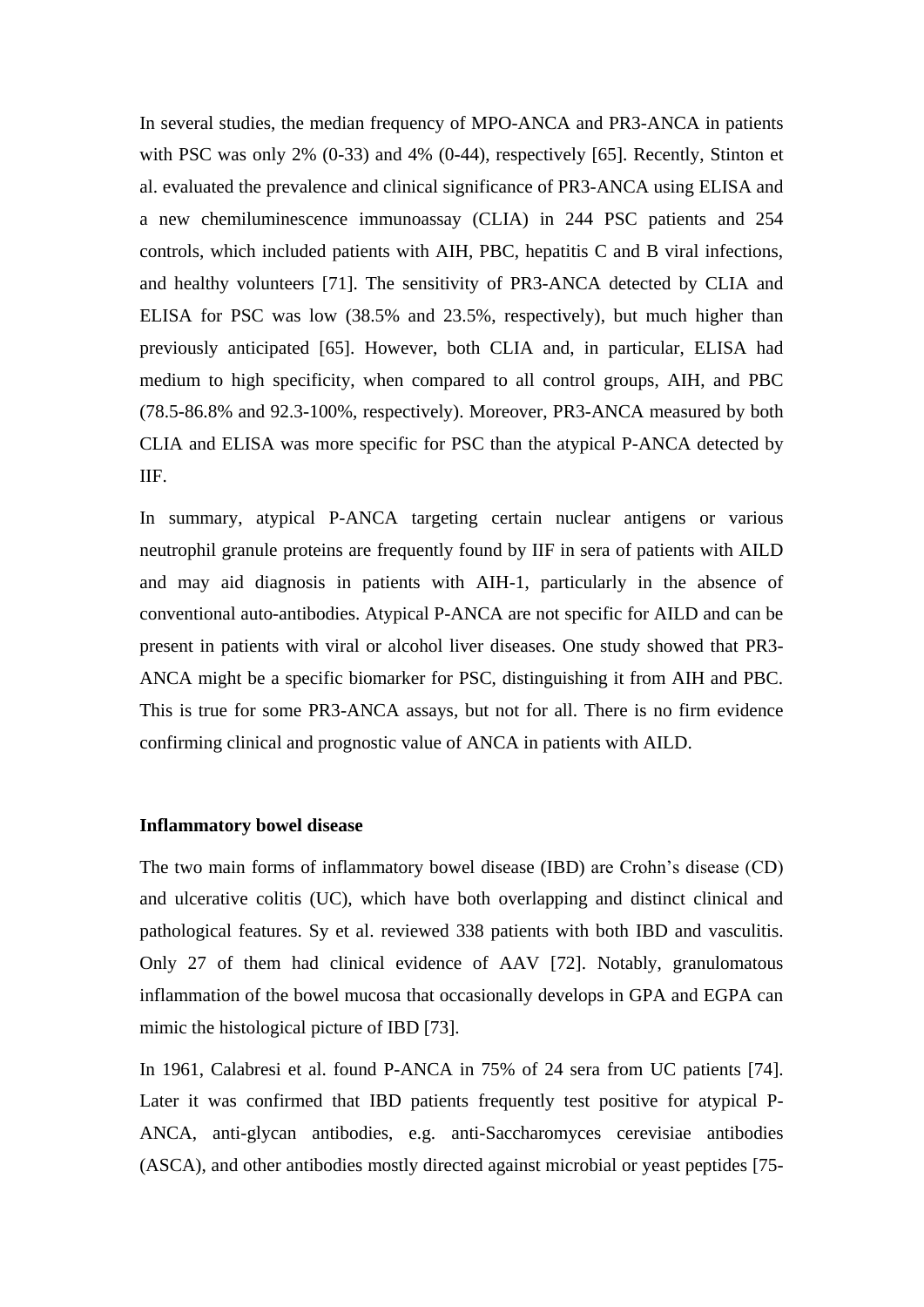In several studies, the median frequency of MPO-ANCA and PR3-ANCA in patients with PSC was only 2% (0-33) and 4% (0-44), respectively [65]. Recently, Stinton et al. evaluated the prevalence and clinical significance of PR3-ANCA using ELISA and a new chemiluminescence immunoassay (CLIA) in 244 PSC patients and 254 controls, which included patients with AIH, PBC, hepatitis C and B viral infections, and healthy volunteers [71]. The sensitivity of PR3-ANCA detected by CLIA and ELISA for PSC was low (38.5% and 23.5%, respectively), but much higher than previously anticipated [65]. However, both CLIA and, in particular, ELISA had medium to high specificity, when compared to all control groups, AIH, and PBC (78.5-86.8% and 92.3-100%, respectively). Moreover, PR3-ANCA measured by both CLIA and ELISA was more specific for PSC than the atypical P-ANCA detected by IIF.

In summary, atypical P-ANCA targeting certain nuclear antigens or various neutrophil granule proteins are frequently found by IIF in sera of patients with AILD and may aid diagnosis in patients with AIH-1, particularly in the absence of conventional auto-antibodies. Atypical P-ANCA are not specific for AILD and can be present in patients with viral or alcohol liver diseases. One study showed that PR3- ANCA might be a specific biomarker for PSC, distinguishing it from AIH and PBC. This is true for some PR3-ANCA assays, but not for all. There is no firm evidence confirming clinical and prognostic value of ANCA in patients with AILD.

# **Inflammatory bowel disease**

The two main forms of inflammatory bowel disease (IBD) are Crohn's disease (CD) and ulcerative colitis (UC), which have both overlapping and distinct clinical and pathological features. Sy et al. reviewed 338 patients with both IBD and vasculitis. Only 27 of them had clinical evidence of AAV [72]. Notably, granulomatous inflammation of the bowel mucosa that occasionally develops in GPA and EGPA can mimic the histological picture of IBD [73].

In 1961, Calabresi et al. found P-ANCA in 75% of 24 sera from UC patients [74]. Later it was confirmed that IBD patients frequently test positive for atypical P-ANCA, anti-glycan antibodies, e.g. anti-Saccharomyces cerevisiae antibodies (ASCA), and other antibodies mostly directed against microbial or yeast peptides [75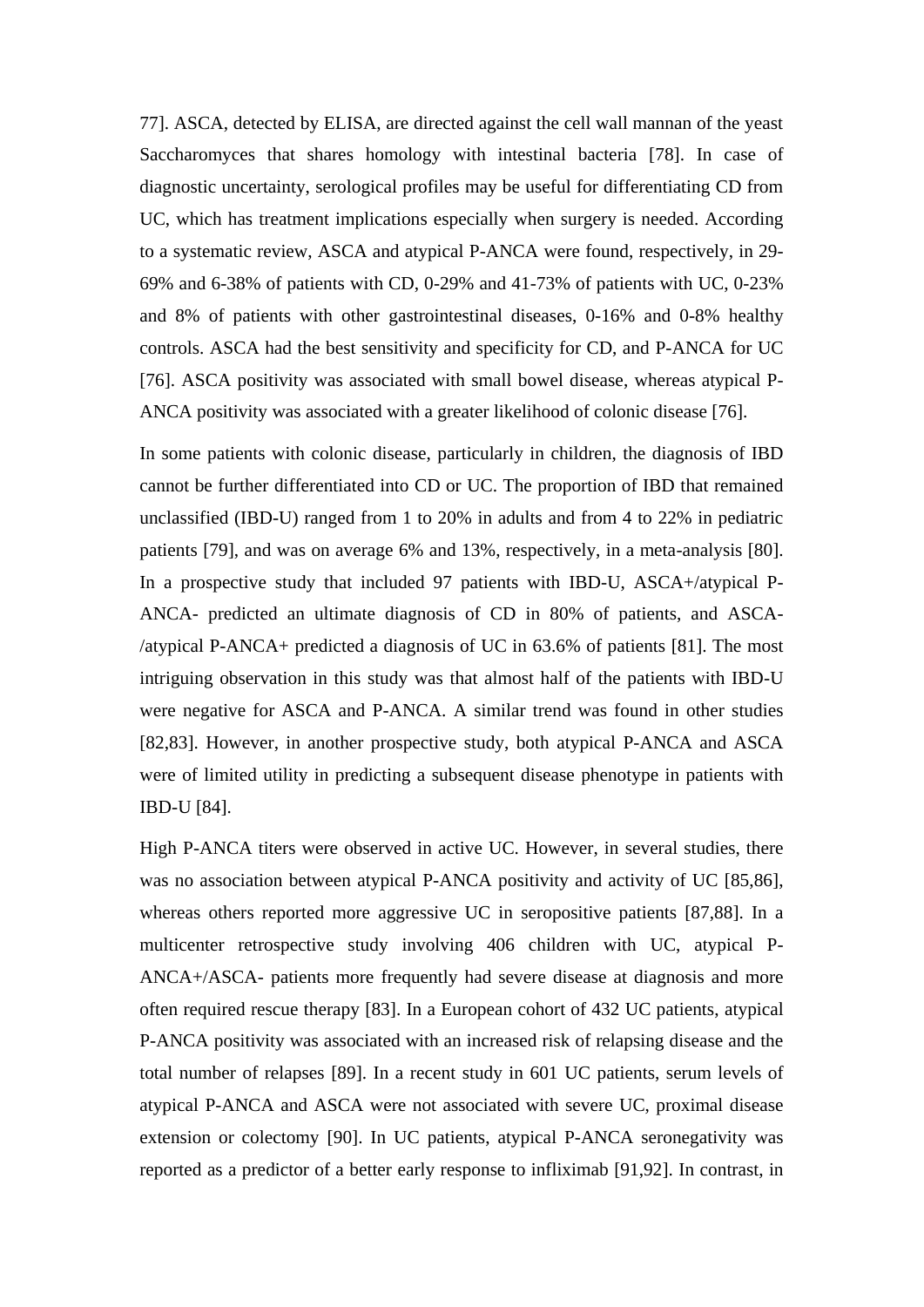77]. ASCA, detected by ELISA, are directed against the cell wall mannan of the yeast Saccharomyces that shares homology with intestinal bacteria [78]. In case of diagnostic uncertainty, serological profiles may be useful for differentiating CD from UC, which has treatment implications especially when surgery is needed. According to a systematic review, ASCA and atypical P-ANCA were found, respectively, in 29- 69% and 6-38% of patients with CD, 0-29% and 41-73% of patients with UC, 0-23% and 8% of patients with other gastrointestinal diseases, 0-16% and 0-8% healthy controls. ASCA had the best sensitivity and specificity for CD, and P-ANCA for UC [76]. ASCA positivity was associated with small bowel disease, whereas atypical P-ANCA positivity was associated with a greater likelihood of colonic disease [76].

In some patients with colonic disease, particularly in children, the diagnosis of IBD cannot be further differentiated into CD or UC. The proportion of IBD that remained unclassified (IBD-U) ranged from 1 to 20% in adults and from 4 to 22% in pediatric patients [79], and was on average 6% and 13%, respectively, in a meta-analysis [80]. In a prospective study that included 97 patients with IBD-U, ASCA+/atypical P-ANCA- predicted an ultimate diagnosis of CD in 80% of patients, and ASCA- /atypical P-ANCA+ predicted a diagnosis of UC in 63.6% of patients [81]. The most intriguing observation in this study was that almost half of the patients with IBD-U were negative for ASCA and P-ANCA. A similar trend was found in other studies [82,83]. However, in another prospective study, both atypical P-ANCA and ASCA were of limited utility in predicting a subsequent disease phenotype in patients with IBD-U [84].

High P-ANCA titers were observed in active UC. However, in several studies, there was no association between atypical P-ANCA positivity and activity of UC [85,86], whereas others reported more aggressive UC in seropositive patients [87,88]. In a multicenter retrospective study involving 406 children with UC, atypical P-ANCA+/ASCA- patients more frequently had severe disease at diagnosis and more often required rescue therapy [83]. In a European cohort of 432 UC patients, atypical P-ANCA positivity was associated with an increased risk of relapsing disease and the total number of relapses [89]. In a recent study in 601 UC patients, serum levels of atypical P-ANCA and ASCA were not associated with severe UC, proximal disease extension or colectomy [90]. In UC patients, atypical P-ANCA seronegativity was reported as a predictor of a better early response to infliximab [91,92]. In contrast, in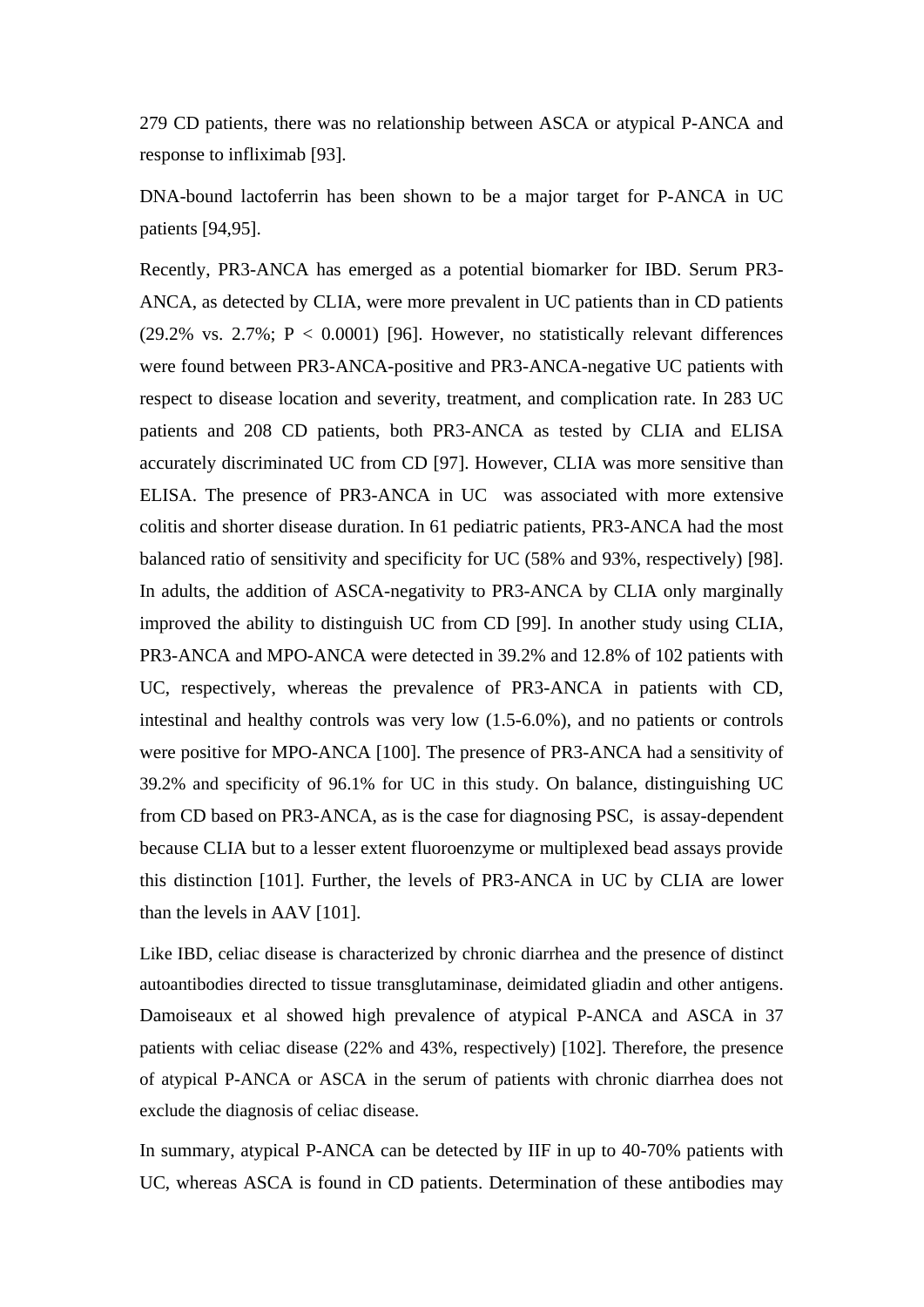279 CD patients, there was no relationship between ASCA or atypical P-ANCA and response to infliximab [93].

DNA-bound lactoferrin has been shown to be a major target for P-ANCA in UC patients [94,95].

Recently, PR3-ANCA has emerged as a potential biomarker for IBD. Serum PR3- ANCA, as detected by CLIA, were more prevalent in UC patients than in CD patients (29.2% vs. 2.7%;  $P < 0.0001$ ) [96]. However, no statistically relevant differences were found between PR3-ANCA-positive and PR3-ANCA-negative UC patients with respect to disease location and severity, treatment, and complication rate. In 283 UC patients and 208 CD patients, both PR3-ANCA as tested by CLIA and ELISA accurately discriminated UC from CD [97]. However, CLIA was more sensitive than ELISA. The presence of PR3-ANCA in UC was associated with more extensive colitis and shorter disease duration. In 61 pediatric patients, PR3-ANCA had the most balanced ratio of sensitivity and specificity for UC (58% and 93%, respectively) [98]. In adults, the addition of ASCA-negativity to PR3-ANCA by CLIA only marginally improved the ability to distinguish UC from CD [99]. In another study using CLIA, PR3-ANCA and MPO-ANCA were detected in 39.2% and 12.8% of 102 patients with UC, respectively, whereas the prevalence of PR3-ANCA in patients with CD, intestinal and healthy controls was very low (1.5-6.0%), and no patients or controls were positive for MPO-ANCA [100]. The presence of PR3-ANCA had a sensitivity of 39.2% and specificity of 96.1% for UC in this study. On balance, distinguishing UC from CD based on PR3-ANCA, as is the case for diagnosing PSC, is assay-dependent because CLIA but to a lesser extent fluoroenzyme or multiplexed bead assays provide this distinction [101]. Further, the levels of PR3-ANCA in UC by CLIA are lower than the levels in AAV [101].

Like IBD, celiac disease is characterized by chronic diarrhea and the presence of distinct autoantibodies directed to tissue transglutaminase, deimidated gliadin and other antigens. Damoiseaux et al showed high prevalence of atypical P-ANCA and ASCA in 37 patients with celiac disease (22% and 43%, respectively) [102]. Therefore, the presence of atypical P-ANCA or ASCA in the serum of patients with chronic diarrhea does not exclude the diagnosis of celiac disease.

In summary, atypical P-ANCA can be detected by IIF in up to 40-70% patients with UC, whereas ASCA is found in CD patients. Determination of these antibodies may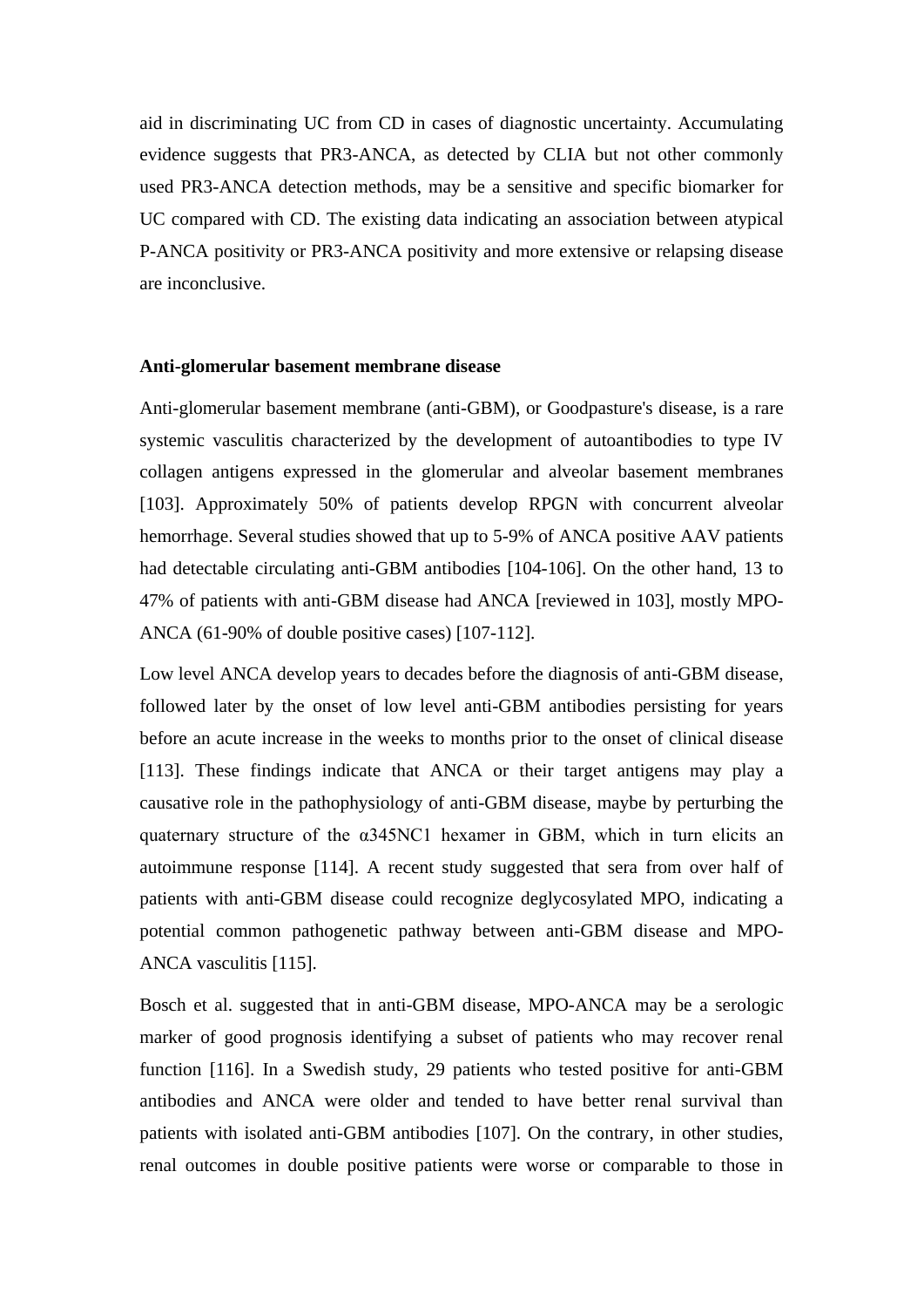aid in discriminating UC from CD in cases of diagnostic uncertainty. Accumulating evidence suggests that PR3-ANCA, as detected by CLIA but not other commonly used PR3-ANCA detection methods, may be a sensitive and specific biomarker for UC compared with CD. The existing data indicating an association between atypical P-ANCA positivity or PR3-ANCA positivity and more extensive or relapsing disease are inconclusive.

#### **Anti-glomerular basement membrane disease**

Anti-glomerular basement membrane (anti-GBM), or Goodpasture's disease, is a rare systemic vasculitis characterized by the development of autoantibodies to type IV collagen antigens expressed in the glomerular and alveolar basement membranes [103]. Approximately 50% of patients develop RPGN with concurrent alveolar hemorrhage. Several studies showed that up to 5-9% of ANCA positive AAV patients had detectable circulating anti-GBM antibodies [104-106]. On the other hand, 13 to 47% of patients with anti-GBM disease had ANCA [reviewed in 103], mostly MPO-ANCA (61-90% of double positive cases) [107-112].

Low level ANCA develop years to decades before the diagnosis of anti-GBM disease, followed later by the onset of low level anti-GBM antibodies persisting for years before an acute increase in the weeks to months prior to the onset of clinical disease [113]. These findings indicate that ANCA or their target antigens may play a causative role in the pathophysiology of anti-GBM disease, maybe by perturbing the quaternary structure of the α345NC1 hexamer in GBM, which in turn elicits an autoimmune response [114]. A recent study suggested that sera from over half of patients with anti-GBM disease could recognize deglycosylated MPO, indicating a potential common pathogenetic pathway between anti-GBM disease and MPO-ANCA vasculitis [115].

Bosch et al. suggested that in anti-GBM disease, MPO-ANCA may be a serologic marker of good prognosis identifying a subset of patients who may recover renal function [116]. In a Swedish study, 29 patients who tested positive for anti-GBM antibodies and ANCA were older and tended to have better renal survival than patients with isolated anti-GBM antibodies [107]. On the contrary, in other studies, renal outcomes in double positive patients were worse or comparable to those in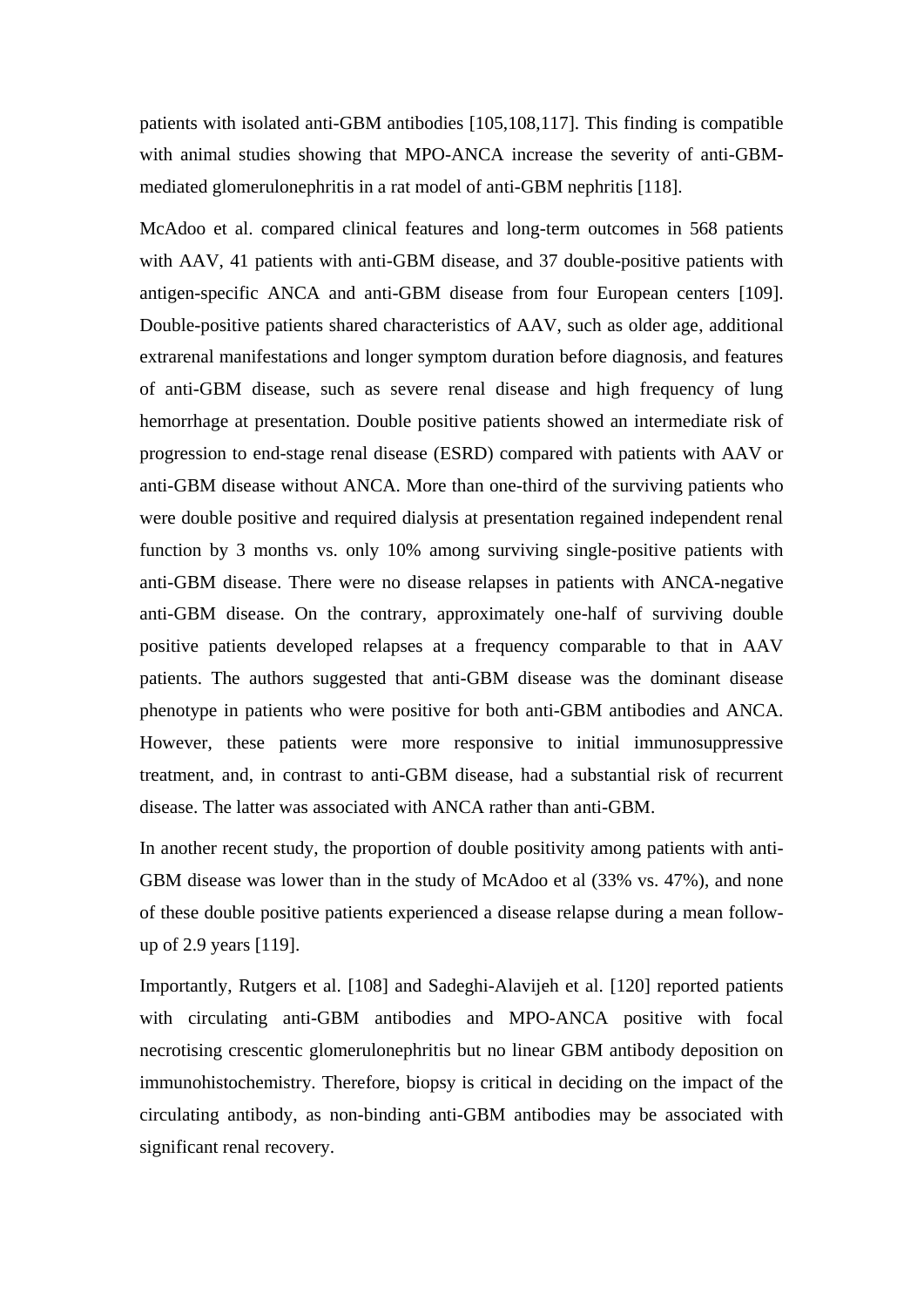patients with isolated anti-GBM antibodies [105,108,117]. This finding is compatible with animal studies showing that MPO-ANCA increase the severity of anti-GBMmediated glomerulonephritis in a rat model of anti-GBM nephritis [118].

McAdoo et al. compared clinical features and long-term outcomes in 568 patients with AAV, 41 patients with anti-GBM disease, and 37 double-positive patients with antigen-specific ANCA and anti-GBM disease from four European centers [109]. Double-positive patients shared characteristics of AAV, such as older age, additional extrarenal manifestations and longer symptom duration before diagnosis, and features of anti-GBM disease, such as severe renal disease and high frequency of lung hemorrhage at presentation. Double positive patients showed an intermediate risk of progression to end-stage renal disease (ESRD) compared with patients with AAV or anti-GBM disease without ANCA. More than one-third of the surviving patients who were double positive and required dialysis at presentation regained independent renal function by 3 months vs. only 10% among surviving single-positive patients with anti-GBM disease. There were no disease relapses in patients with ANCA-negative anti-GBM disease. On the contrary, approximately one-half of surviving double positive patients developed relapses at a frequency comparable to that in AAV patients. The authors suggested that anti-GBM disease was the dominant disease phenotype in patients who were positive for both anti-GBM antibodies and ANCA. However, these patients were more responsive to initial immunosuppressive treatment, and, in contrast to anti-GBM disease, had a substantial risk of recurrent disease. The latter was associated with ANCA rather than anti-GBM.

In another recent study, the proportion of double positivity among patients with anti-GBM disease was lower than in the study of McAdoo et al (33% vs. 47%), and none of these double positive patients experienced a disease relapse during a mean followup of 2.9 years [119].

Importantly, Rutgers et al. [108] and Sadeghi-Alavijeh et al. [120] reported patients with circulating anti-GBM antibodies and MPO-ANCA positive with focal necrotising crescentic glomerulonephritis but no linear GBM antibody deposition on immunohistochemistry. Therefore, biopsy is critical in deciding on the impact of the circulating antibody, as non-binding anti-GBM antibodies may be associated with significant renal recovery.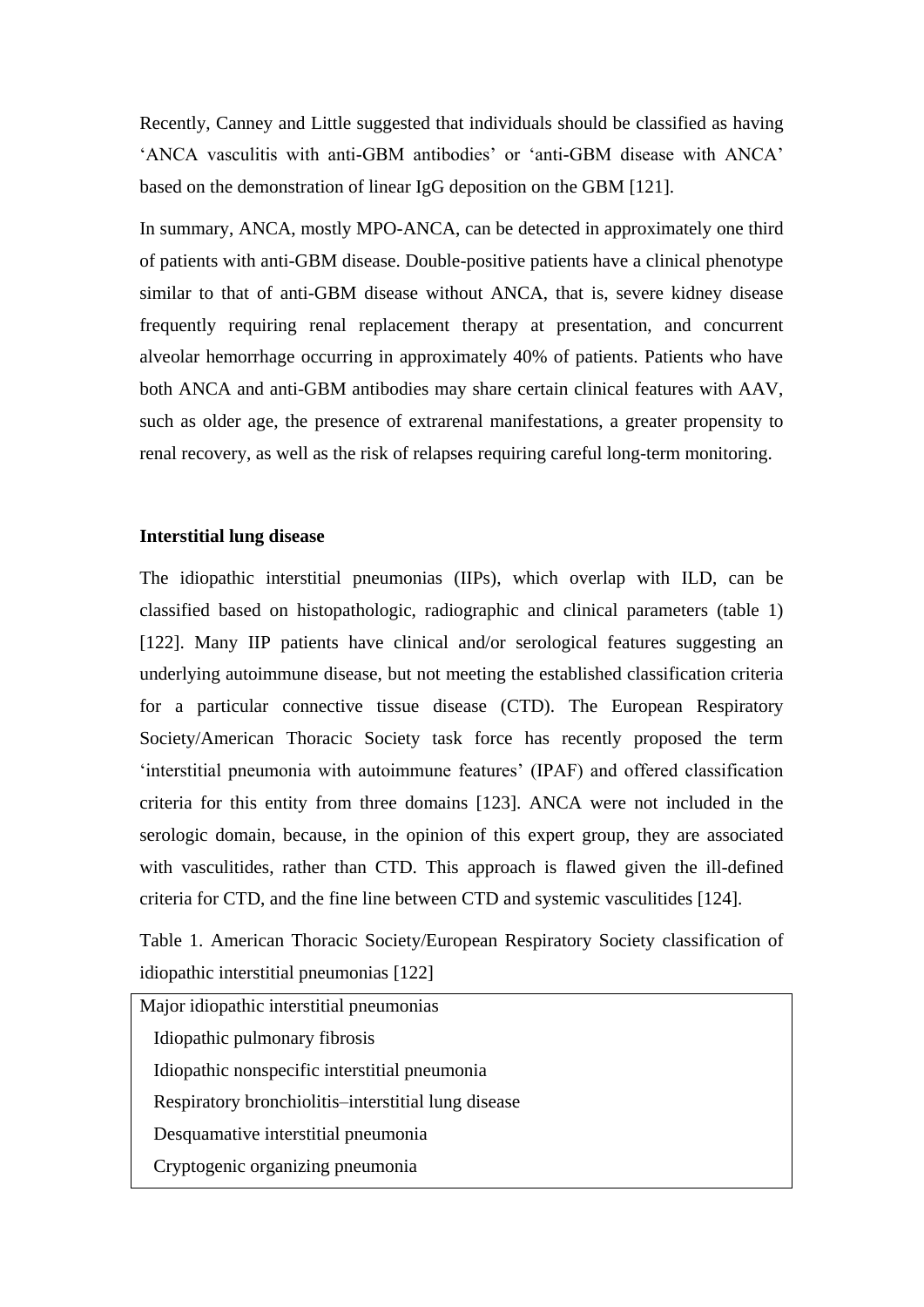Recently, Canney and Little suggested that individuals should be classified as having 'ANCA vasculitis with anti-GBM antibodies' or 'anti-GBM disease with ANCA' based on the demonstration of linear IgG deposition on the GBM [121].

In summary, ANCA, mostly MPO-ANCA, can be detected in approximately one third of patients with anti-GBM disease. Double-positive patients have a clinical phenotype similar to that of anti-GBM disease without ANCA, that is, severe kidney disease frequently requiring renal replacement therapy at presentation, and concurrent alveolar hemorrhage occurring in approximately 40% of patients. Patients who have both ANCA and anti-GBM antibodies may share certain clinical features with AAV, such as older age, the presence of extrarenal manifestations, a greater propensity to renal recovery, as well as the risk of relapses requiring careful long-term monitoring.

# **Interstitial lung disease**

The idiopathic interstitial pneumonias (IIPs), which overlap with ILD, can be classified based on histopathologic, radiographic and clinical parameters (table 1) [122]. Many IIP patients have clinical and/or serological features suggesting an underlying autoimmune disease, but not meeting the established classification criteria for a particular connective tissue disease (CTD). The European Respiratory Society/American Thoracic Society task force has recently proposed the term 'interstitial pneumonia with autoimmune features' (IPAF) and offered classification criteria for this entity from three domains [123]. ANCA were not included in the serologic domain, because, in the opinion of this expert group, they are associated with vasculitides, rather than CTD. This approach is flawed given the ill-defined criteria for CTD, and the fine line between CTD and systemic vasculitides [124].

Table 1. American Thoracic Society/European Respiratory Society classification of idiopathic interstitial pneumonias [122]

| Major idiopathic interstitial pneumonias            |  |  |  |  |
|-----------------------------------------------------|--|--|--|--|
| Idiopathic pulmonary fibrosis                       |  |  |  |  |
| Idiopathic nonspecific interstitial pneumonia       |  |  |  |  |
| Respiratory bronchiolitis-interstitial lung disease |  |  |  |  |
| Desquamative interstitial pneumonia                 |  |  |  |  |
| Cryptogenic organizing pneumonia                    |  |  |  |  |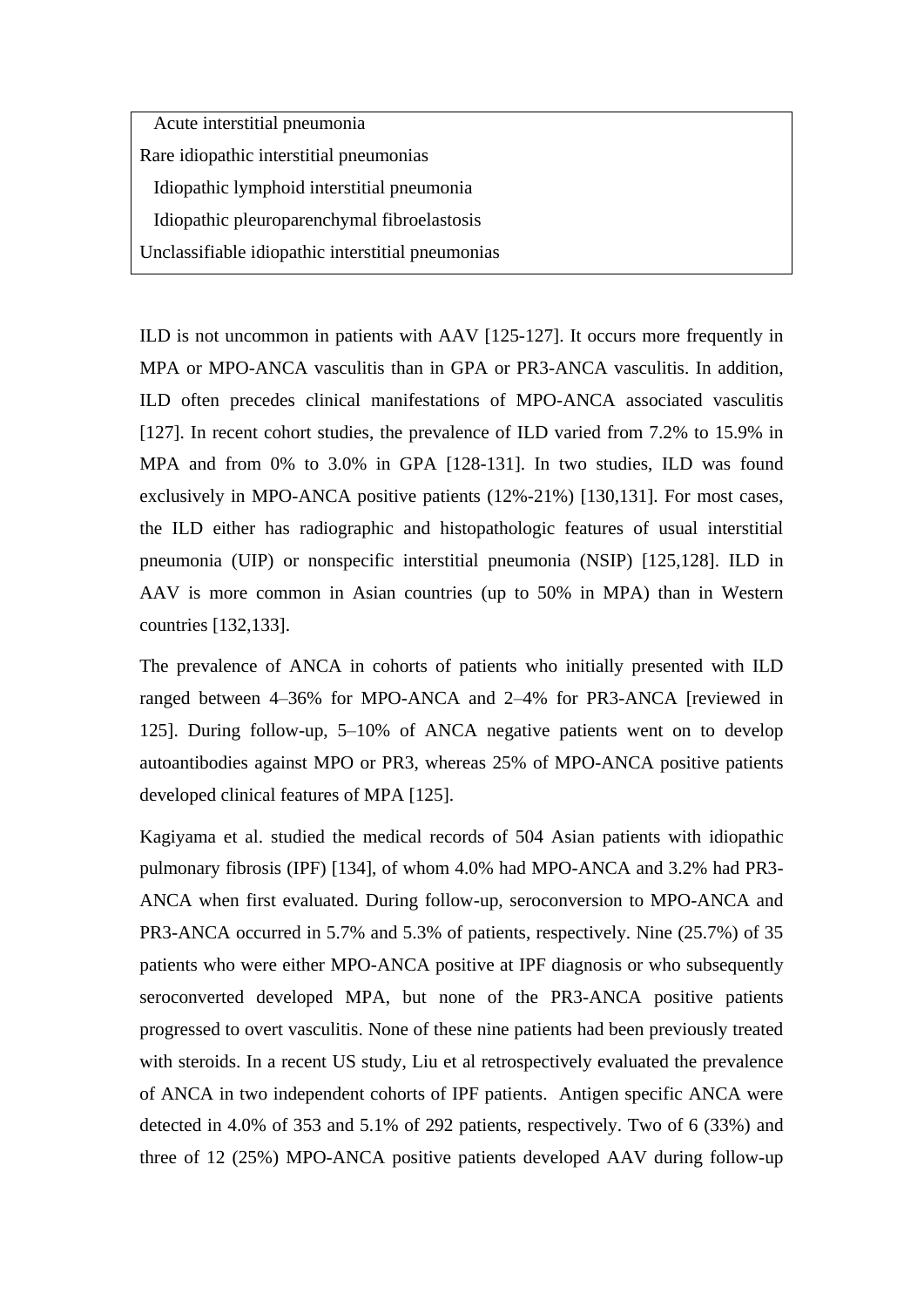Acute interstitial pneumonia Rare idiopathic interstitial pneumonias Idiopathic lymphoid interstitial pneumonia Idiopathic pleuroparenchymal fibroelastosis Unclassifiable idiopathic interstitial pneumonias

ILD is not uncommon in patients with AAV [125-127]. It occurs more frequently in MPA or MPO-ANCA vasculitis than in GPA or PR3-ANCA vasculitis. In addition, ILD often precedes clinical manifestations of MPO-ANCA associated vasculitis [127]. In recent cohort studies, the prevalence of ILD varied from 7.2% to 15.9% in MPA and from 0% to 3.0% in GPA [128-131]. In two studies, ILD was found exclusively in MPO-ANCA positive patients (12%-21%) [130,131]. For most cases, the ILD either has radiographic and histopathologic features of usual interstitial pneumonia (UIP) or nonspecific interstitial pneumonia (NSIP) [125,128]. ILD in AAV is more common in Asian countries (up to 50% in MPA) than in Western countries [132,133].

The prevalence of ANCA in cohorts of patients who initially presented with ILD ranged between 4–36% for MPO-ANCA and 2–4% for PR3-ANCA [reviewed in 125]. During follow-up, 5–10% of ANCA negative patients went on to develop autoantibodies against MPO or PR3, whereas 25% of MPO-ANCA positive patients developed clinical features of MPA [125].

Kagiyama et al. studied the medical records of 504 Asian patients with idiopathic pulmonary fibrosis (IPF) [134], of whom 4.0% had MPO-ANCA and 3.2% had PR3- ANCA when first evaluated. During follow-up, seroconversion to MPO-ANCA and PR3-ANCA occurred in 5.7% and 5.3% of patients, respectively. Nine (25.7%) of 35 patients who were either MPO-ANCA positive at IPF diagnosis or who subsequently seroconverted developed MPA, but none of the PR3-ANCA positive patients progressed to overt vasculitis. None of these nine patients had been previously treated with steroids. In a recent US study, Liu et al retrospectively evaluated the prevalence of ANCA in two independent cohorts of IPF patients. Antigen specific ANCA were detected in 4.0% of 353 and 5.1% of 292 patients, respectively. Two of 6 (33%) and three of 12 (25%) MPO-ANCA positive patients developed AAV during follow-up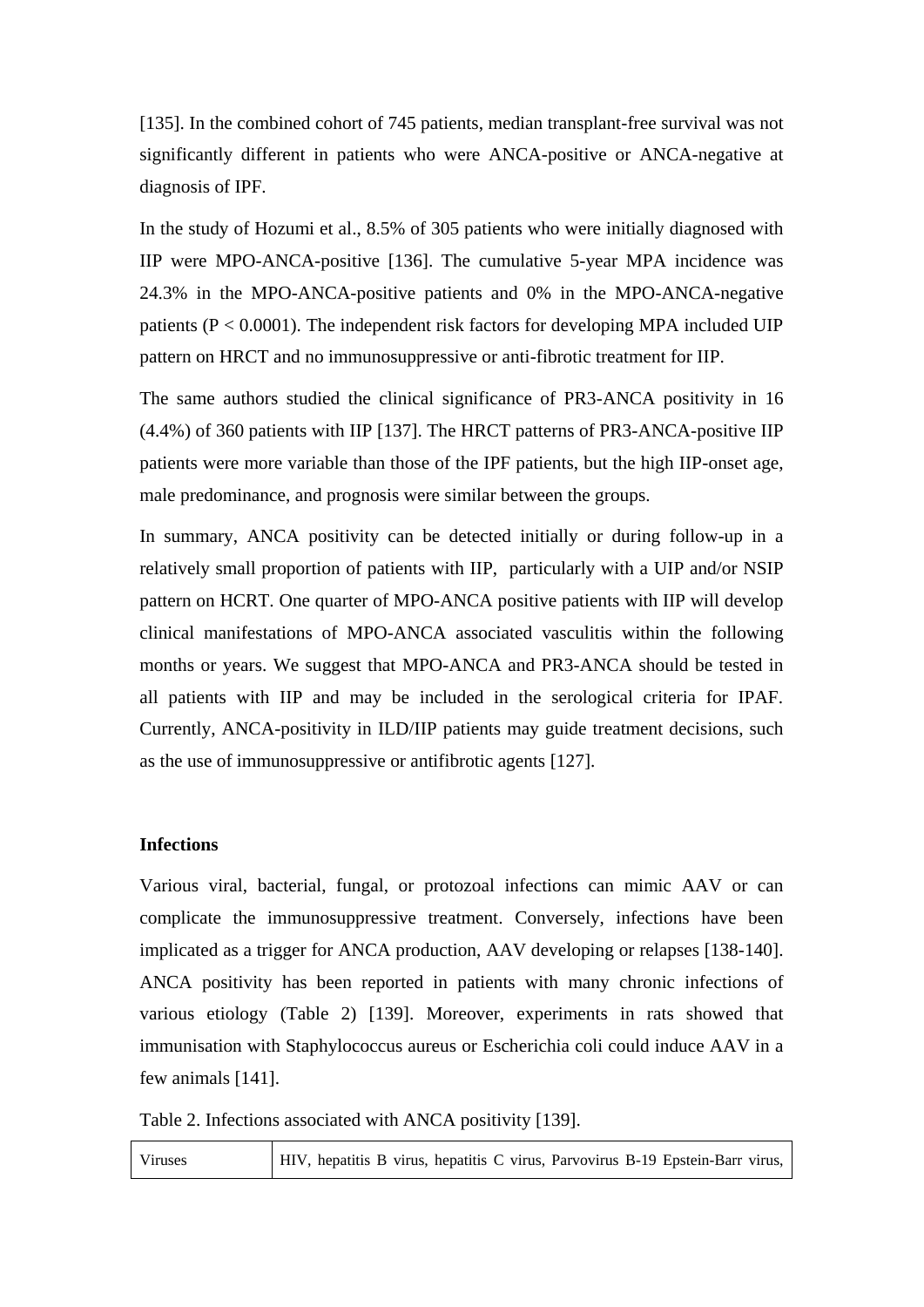[135]. In the combined cohort of 745 patients, median transplant-free survival was not significantly different in patients who were ANCA-positive or ANCA-negative at diagnosis of IPF.

In the study of Hozumi et al., 8.5% of 305 patients who were initially diagnosed with IIP were MPO-ANCA-positive [136]. The cumulative 5-year MPA incidence was 24.3% in the MPO-ANCA-positive patients and 0% in the MPO-ANCA-negative patients (P < 0.0001). The independent risk factors for developing MPA included UIP pattern on HRCT and no immunosuppressive or anti-fibrotic treatment for IIP.

The same authors studied the clinical significance of PR3-ANCA positivity in 16 (4.4%) of 360 patients with IIP [137]. The HRCT patterns of PR3-ANCA-positive IIP patients were more variable than those of the IPF patients, but the high IIP-onset age, male predominance, and prognosis were similar between the groups.

In summary, ANCA positivity can be detected initially or during follow-up in a relatively small proportion of patients with IIP, particularly with a UIP and/or NSIP pattern on HCRT. One quarter of MPO-ANCA positive patients with IIP will develop clinical manifestations of MPO-ANCA associated vasculitis within the following months or years. We suggest that MPO-ANCA and PR3-ANCA should be tested in all patients with IIP and may be included in the serological criteria for IPAF. Currently, ANCA-positivity in ILD/IIP patients may guide treatment decisions, such as the use of immunosuppressive or antifibrotic agents [127].

## **Infections**

Various viral, bacterial, fungal, or protozoal infections can mimic AAV or can complicate the immunosuppressive treatment. Conversely, infections have been implicated as a trigger for ANCA production, AAV developing or relapses [138-140]. ANCA positivity has been reported in patients with many chronic infections of various etiology (Table 2) [139]. Moreover, experiments in rats showed that immunisation with Staphylococcus aureus or Escherichia coli could induce AAV in a few animals [141].

Table 2. Infections associated with ANCA positivity [139].

Viruses HIV, hepatitis B virus, hepatitis C virus, Parvovirus B-19 Epstein-Barr virus,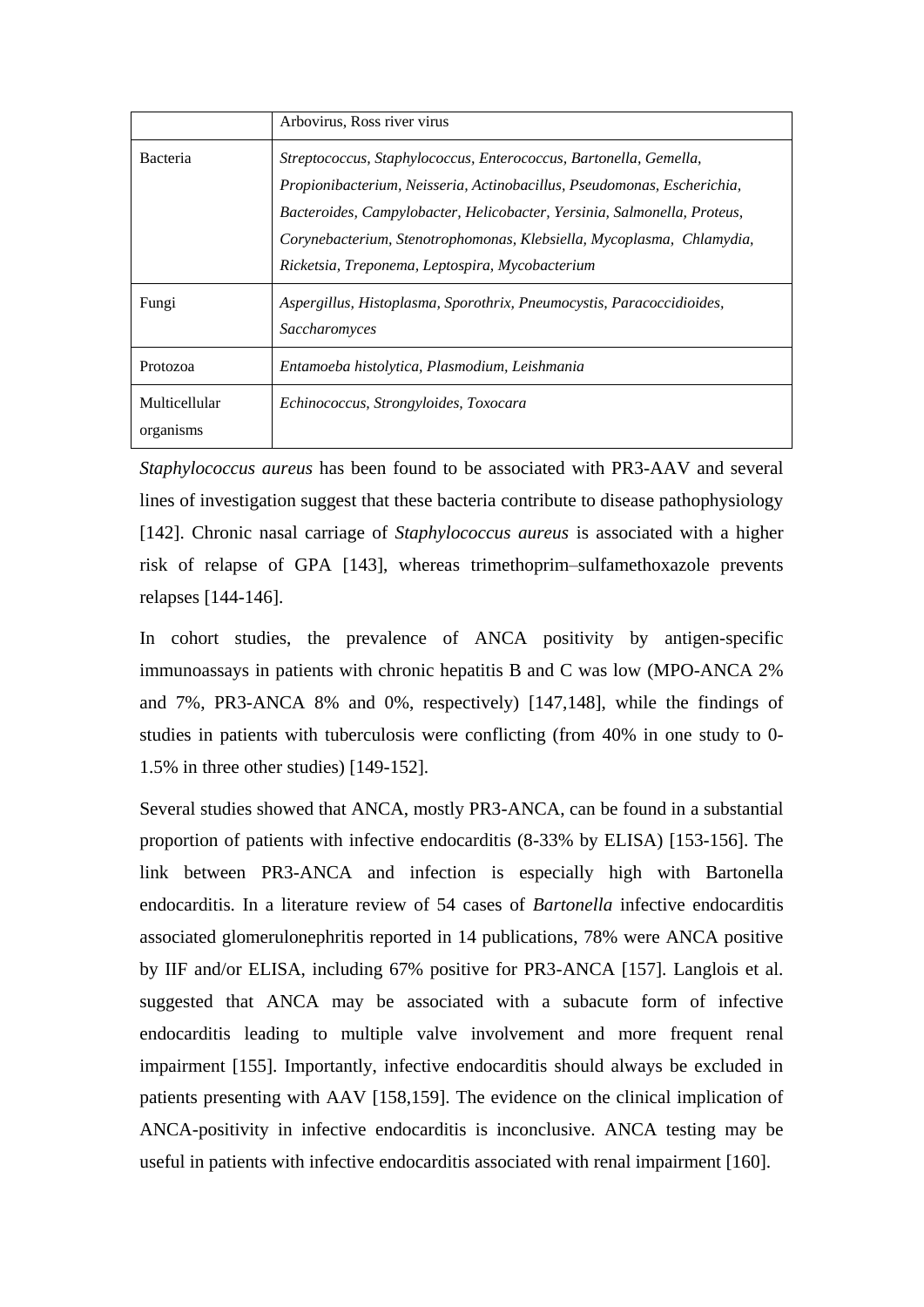|                            | Arbovirus, Ross river virus                                                                                                                                                                                                                                                                                                                          |
|----------------------------|------------------------------------------------------------------------------------------------------------------------------------------------------------------------------------------------------------------------------------------------------------------------------------------------------------------------------------------------------|
| Bacteria                   | Streptococcus, Staphylococcus, Enterococcus, Bartonella, Gemella,<br>Propionibacterium, Neisseria, Actinobacillus, Pseudomonas, Escherichia,<br>Bacteroides, Campylobacter, Helicobacter, Yersinia, Salmonella, Proteus,<br>Corynebacterium, Stenotrophomonas, Klebsiella, Mycoplasma, Chlamydia,<br>Ricketsia, Treponema, Leptospira, Mycobacterium |
| Fungi                      | Aspergillus, Histoplasma, Sporothrix, Pneumocystis, Paracoccidioides,<br>Saccharomyces                                                                                                                                                                                                                                                               |
| Protozoa                   | Entamoeba histolytica, Plasmodium, Leishmania                                                                                                                                                                                                                                                                                                        |
| Multicellular<br>organisms | Echinococcus, Strongyloides, Toxocara                                                                                                                                                                                                                                                                                                                |

*Staphylococcus aureus* has been found to be associated with PR3-AAV and several lines of investigation suggest that these bacteria contribute to disease pathophysiology [142]. Chronic nasal carriage of *Staphylococcus aureus* is associated with a higher risk of relapse of GPA [143], whereas trimethoprim–sulfamethoxazole prevents relapses [144-146].

In cohort studies, the prevalence of ANCA positivity by antigen-specific immunoassays in patients with chronic hepatitis B and C was low (MPO-ANCA 2% and 7%, PR3-ANCA 8% and 0%, respectively) [147,148], while the findings of studies in patients with tuberculosis were conflicting (from 40% in one study to 0- 1.5% in three other studies) [149-152].

Several studies showed that ANCA, mostly PR3-ANCA, can be found in a substantial proportion of patients with infective endocarditis (8-33% by ELISA) [153-156]. The link between PR3-ANCA and infection is especially high with Bartonella endocarditis. In a literature review of 54 cases of *Bartonella* infective endocarditis associated glomerulonephritis reported in 14 publications, 78% were ANCA positive by IIF and/or ELISA, including 67% positive for PR3-ANCA [157]. Langlois et al. suggested that ANCA may be associated with a subacute form of infective endocarditis leading to multiple valve involvement and more frequent renal impairment [155]. Importantly, infective endocarditis should always be excluded in patients presenting with AAV [158,159]. The evidence on the clinical implication of ANCA-positivity in infective endocarditis is inconclusive. ANCA testing may be useful in patients with infective endocarditis associated with renal impairment [160].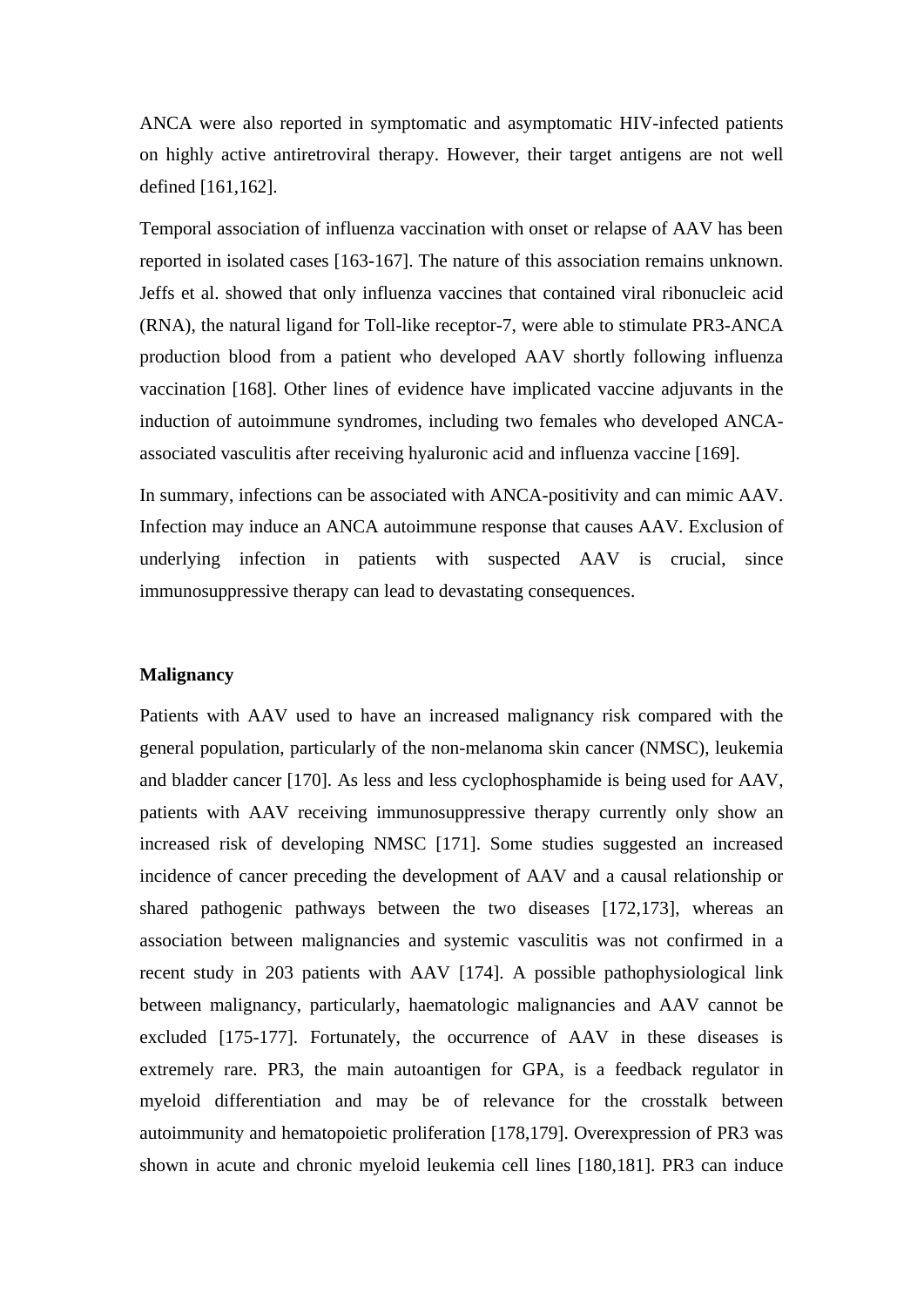ANCA were also reported in symptomatic and asymptomatic HIV-infected patients on highly active antiretroviral therapy. However, their target antigens are not well defined [161,162].

Temporal association of influenza vaccination with onset or relapse of AAV has been reported in isolated cases [163-167]. The nature of this association remains unknown. Jeffs et al. showed that only influenza vaccines that contained viral ribonucleic acid (RNA), the natural ligand for Toll-like receptor-7, were able to stimulate PR3-ANCA production blood from a patient who developed AAV shortly following influenza vaccination [168]. Other lines of evidence have implicated vaccine adjuvants in the induction of autoimmune syndromes, including two females who developed ANCAassociated vasculitis after receiving hyaluronic acid and influenza vaccine [169].

In summary, infections can be associated with ANCA-positivity and can mimic AAV. Infection may induce an ANCA autoimmune response that causes AAV. Exclusion of underlying infection in patients with suspected AAV is crucial, since immunosuppressive therapy can lead to devastating consequences.

#### **Malignancy**

Patients with AAV used to have an increased malignancy risk compared with the general population, particularly of the non-melanoma skin cancer (NMSC), leukemia and bladder cancer [170]. As less and less cyclophosphamide is being used for AAV, patients with AAV receiving immunosuppressive therapy currently only show an increased risk of developing NMSC [171]. Some studies suggested an increased incidence of cancer preceding the development of AAV and a causal relationship or shared pathogenic pathways between the two diseases [172,173], whereas an association between malignancies and systemic vasculitis was not confirmed in a recent study in 203 patients with AAV [174]. A possible pathophysiological link between malignancy, particularly, haematologic malignancies and AAV cannot be excluded [175-177]. Fortunately, the occurrence of AAV in these diseases is extremely rare. PR3, the main autoantigen for GPA, is a feedback regulator in myeloid differentiation and may be of relevance for the crosstalk between autoimmunity and hematopoietic proliferation [178,179]. Overexpression of PR3 was shown in acute and chronic myeloid leukemia cell lines [180,181]. PR3 can induce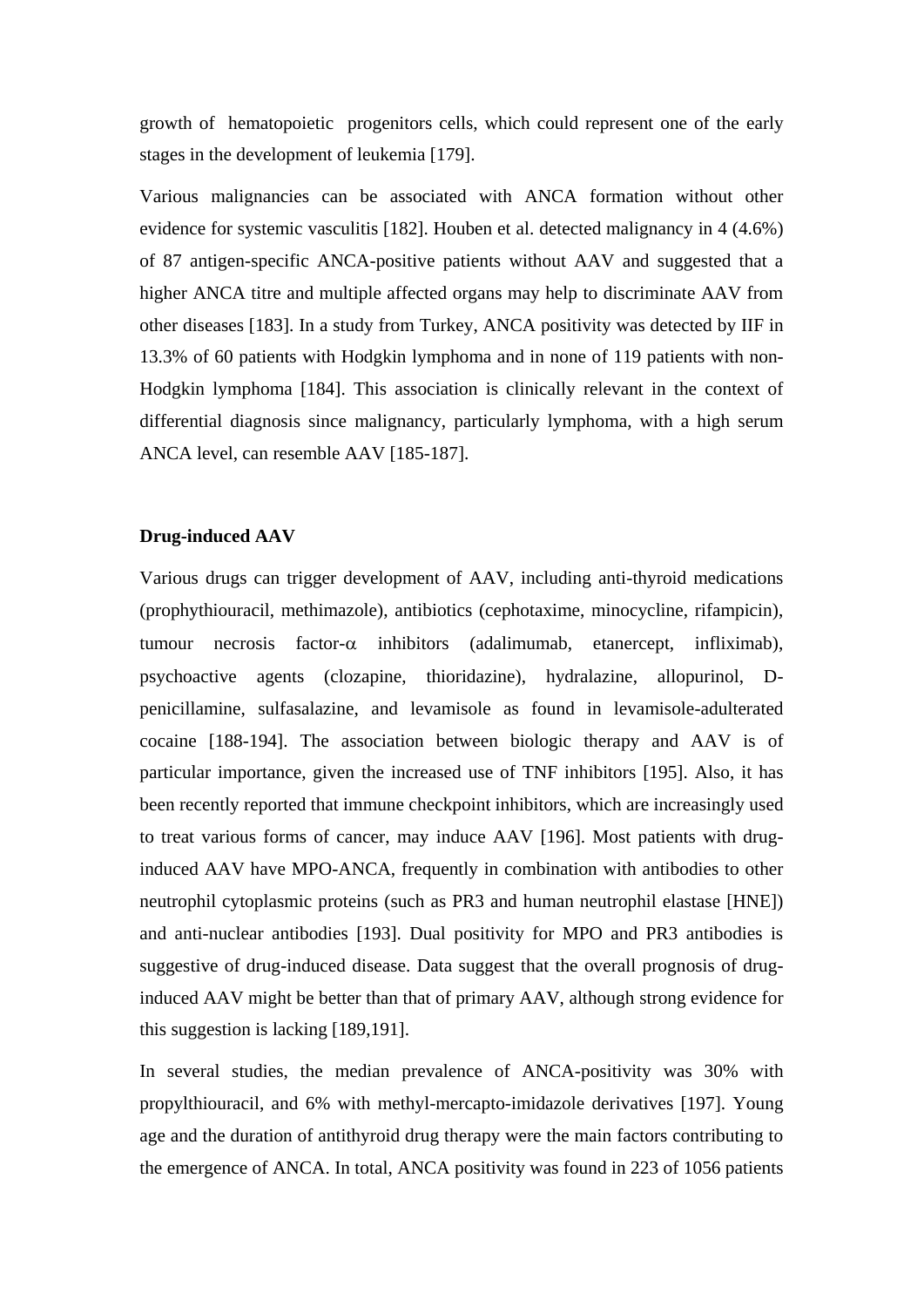growth of hematopoietic progenitors cells, which could represent one of the early stages in the development of leukemia [179].

Various malignancies can be associated with ANCA formation without other evidence for systemic vasculitis [182]. Houben et al. detected malignancy in 4 (4.6%) of 87 antigen-specific ANCA-positive patients without AAV and suggested that a higher ANCA titre and multiple affected organs may help to discriminate AAV from other diseases [183]. In a study from Turkey, ANCA positivity was detected by IIF in 13.3% of 60 patients with Hodgkin lymphoma and in none of 119 patients with non-Hodgkin lymphoma [184]. This association is clinically relevant in the context of differential diagnosis since malignancy, particularly lymphoma, with a high serum ANCA level, can resemble AAV [185-187].

## **Drug-induced AAV**

Various drugs can trigger development of AAV, including anti-thyroid medications (prophythiouracil, methimazole), antibiotics (cephotaxime, minocycline, rifampicin), tumour necrosis factor- $\alpha$  inhibitors (adalimumab, etanercept, infliximab), psychoactive agents (clozapine, thioridazine), hydralazine, allopurinol, Dpenicillamine, sulfasalazine, and levamisole as found in levamisole-adulterated cocaine [188-194]. The association between biologic therapy and AAV is of particular importance, given the increased use of TNF inhibitors [195]. Also, it has been recently reported that immune checkpoint inhibitors, which are increasingly used to treat various forms of cancer, may induce AAV [196]. Most patients with druginduced AAV have MPO-ANCA, frequently in combination with antibodies to other neutrophil cytoplasmic proteins (such as PR3 and human neutrophil elastase [HNE]) and anti-nuclear antibodies [193]. Dual positivity for MPO and PR3 antibodies is suggestive of drug-induced disease. Data suggest that the overall prognosis of druginduced AAV might be better than that of primary AAV, although strong evidence for this suggestion is lacking [189,191].

In several studies, the median prevalence of ANCA-positivity was 30% with propylthiouracil, and 6% with methyl-mercapto-imidazole derivatives [197]. Young age and the duration of antithyroid drug therapy were the main factors contributing to the emergence of ANCA. In total, ANCA positivity was found in 223 of 1056 patients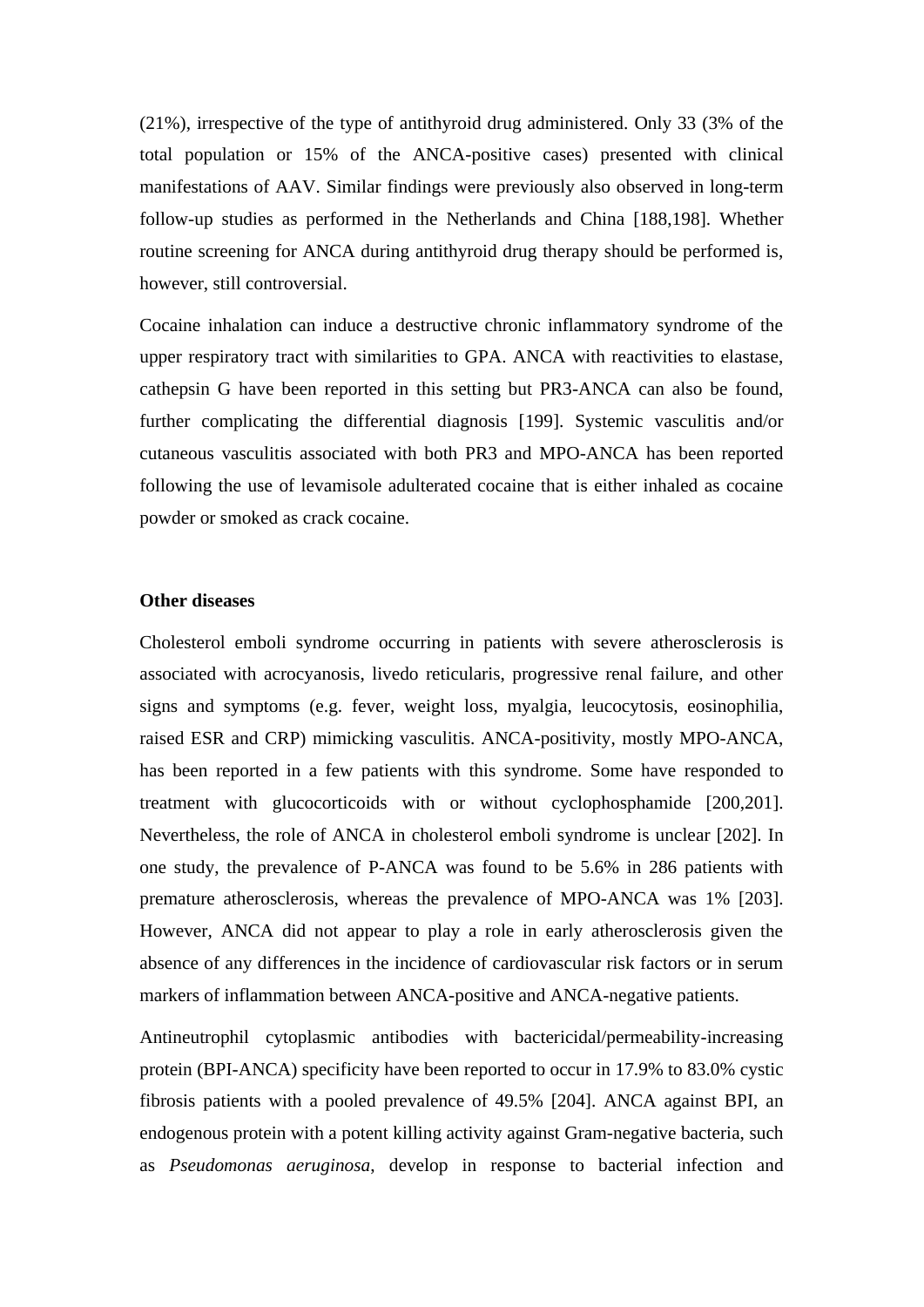(21%), irrespective of the type of antithyroid drug administered. Only 33 (3% of the total population or 15% of the ANCA-positive cases) presented with clinical manifestations of AAV. Similar findings were previously also observed in long-term follow-up studies as performed in the Netherlands and China [188,198]. Whether routine screening for ANCA during antithyroid drug therapy should be performed is, however, still controversial.

Cocaine inhalation can induce a destructive chronic inflammatory syndrome of the upper respiratory tract with similarities to GPA. ANCA with reactivities to elastase, cathepsin G have been reported in this setting but PR3-ANCA can also be found, further complicating the differential diagnosis [199]. Systemic vasculitis and/or cutaneous vasculitis associated with both PR3 and MPO-ANCA has been reported following the use of levamisole adulterated cocaine that is either inhaled as cocaine powder or smoked as crack cocaine.

## **Other diseases**

Cholesterol emboli syndrome occurring in patients with severe atherosclerosis is associated with acrocyanosis, livedo reticularis, progressive renal failure, and other signs and symptoms (e.g. fever, weight loss, myalgia, leucocytosis, eosinophilia, raised ESR and CRP) mimicking vasculitis. ANCA-positivity, mostly MPO-ANCA, has been reported in a few patients with this syndrome. Some have responded to treatment with glucocorticoids with or without cyclophosphamide [200,201]. Nevertheless, the role of ANCA in cholesterol emboli syndrome is unclear [202]. In one study, the prevalence of P-ANCA was found to be 5.6% in 286 patients with premature atherosclerosis, whereas the prevalence of MPO-ANCA was 1% [203]. However, ANCA did not appear to play a role in early atherosclerosis given the absence of any differences in the incidence of cardiovascular risk factors or in serum markers of inflammation between ANCA-positive and ANCA-negative patients.

Antineutrophil cytoplasmic antibodies with bactericidal/permeability-increasing protein (BPI-ANCA) specificity have been reported to occur in 17.9% to 83.0% cystic fibrosis patients with a pooled prevalence of 49.5% [204]. ANCA against BPI, an endogenous protein with a potent killing activity against Gram-negative bacteria, such as *Pseudomonas aeruginosa*, develop in response to bacterial infection and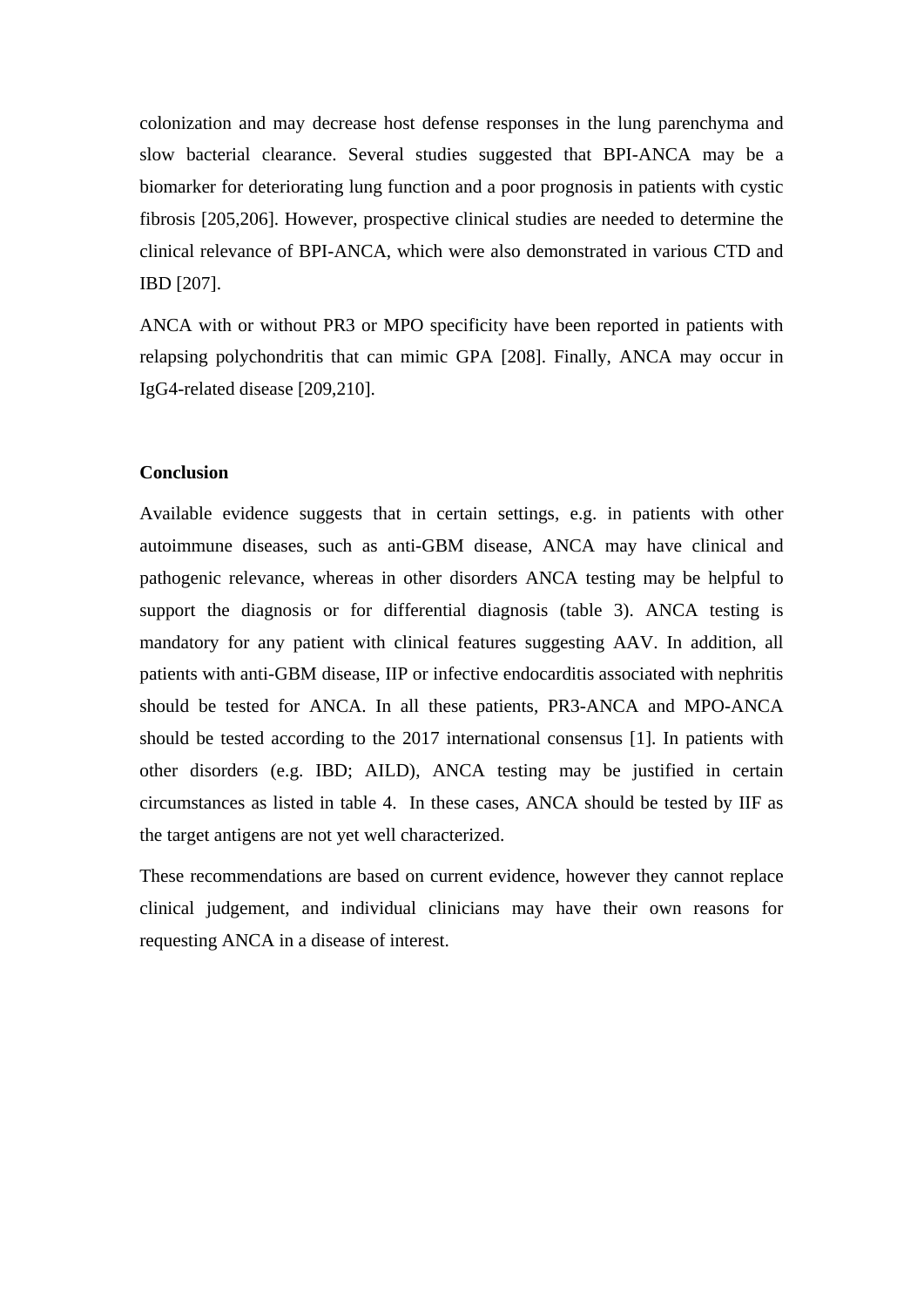colonization and may decrease host defense responses in the lung parenchyma and slow bacterial clearance. Several studies suggested that BPI-ANCA may be a biomarker for deteriorating lung function and a poor prognosis in patients with cystic fibrosis [205,206]. However, prospective clinical studies are needed to determine the clinical relevance of BPI-ANCA, which were also demonstrated in various CTD and IBD [207].

ANCA with or without PR3 or MPO specificity have been reported in patients with relapsing polychondritis that can mimic GPA [208]. Finally, ANCA may occur in IgG4-related disease [209,210].

# **Conclusion**

Available evidence suggests that in certain settings, e.g. in patients with other autoimmune diseases, such as anti-GBM disease, ANCA may have clinical and pathogenic relevance, whereas in other disorders ANCA testing may be helpful to support the diagnosis or for differential diagnosis (table 3). ANCA testing is mandatory for any patient with clinical features suggesting AAV. In addition, all patients with anti-GBM disease, IIP or infective endocarditis associated with nephritis should be tested for ANCA. In all these patients, PR3-ANCA and MPO-ANCA should be tested according to the 2017 international consensus [1]. In patients with other disorders (e.g. IBD; AILD), ANCA testing may be justified in certain circumstances as listed in table 4. In these cases, ANCA should be tested by IIF as the target antigens are not yet well characterized.

These recommendations are based on current evidence, however they cannot replace clinical judgement, and individual clinicians may have their own reasons for requesting ANCA in a disease of interest.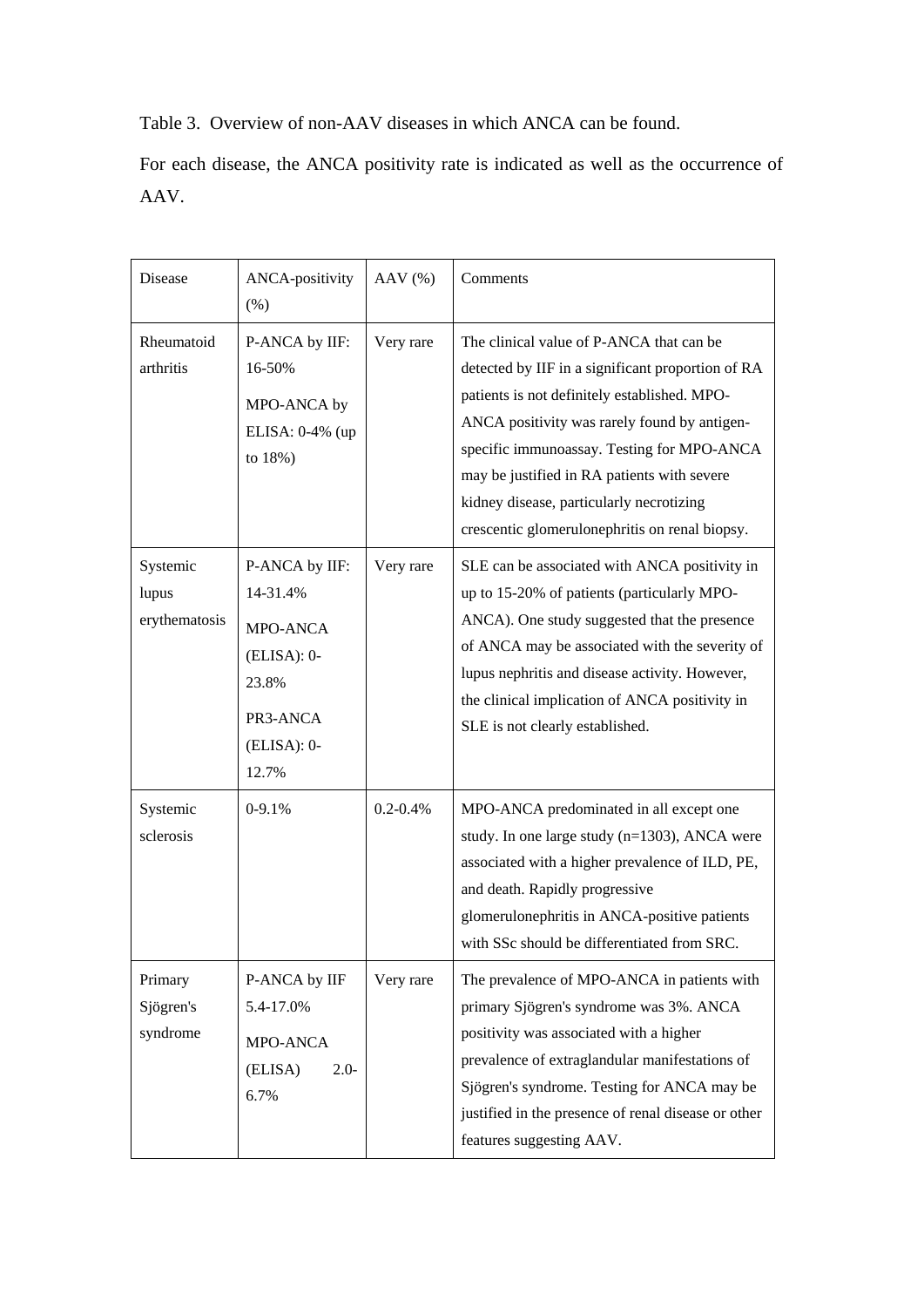# Table 3. Overview of non-AAV diseases in which ANCA can be found.

For each disease, the ANCA positivity rate is indicated as well as the occurrence of AAV.

| Disease                            | ANCA-positivity<br>(% )                                                                                | $AAV$ (%)     | Comments                                                                                                                                                                                                                                                                                                                                                                                 |
|------------------------------------|--------------------------------------------------------------------------------------------------------|---------------|------------------------------------------------------------------------------------------------------------------------------------------------------------------------------------------------------------------------------------------------------------------------------------------------------------------------------------------------------------------------------------------|
| Rheumatoid<br>arthritis            | P-ANCA by IIF:<br>16-50%<br>MPO-ANCA by<br>ELISA: 0-4% (up<br>to 18%)                                  | Very rare     | The clinical value of P-ANCA that can be<br>detected by IIF in a significant proportion of RA<br>patients is not definitely established. MPO-<br>ANCA positivity was rarely found by antigen-<br>specific immunoassay. Testing for MPO-ANCA<br>may be justified in RA patients with severe<br>kidney disease, particularly necrotizing<br>crescentic glomerulonephritis on renal biopsy. |
| Systemic<br>lupus<br>erythematosis | P-ANCA by IIF:<br>14-31.4%<br>MPO-ANCA<br>$(ELISA): 0-$<br>23.8%<br>PR3-ANCA<br>$(ELISA): 0-$<br>12.7% | Very rare     | SLE can be associated with ANCA positivity in<br>up to 15-20% of patients (particularly MPO-<br>ANCA). One study suggested that the presence<br>of ANCA may be associated with the severity of<br>lupus nephritis and disease activity. However,<br>the clinical implication of ANCA positivity in<br>SLE is not clearly established.                                                    |
| Systemic<br>sclerosis              | $0-9.1%$                                                                                               | $0.2 - 0.4\%$ | MPO-ANCA predominated in all except one<br>study. In one large study (n=1303), ANCA were<br>associated with a higher prevalence of ILD, PE,<br>and death. Rapidly progressive<br>glomerulonephritis in ANCA-positive patients<br>with SSc should be differentiated from SRC.                                                                                                             |
| Primary<br>Sjögren's<br>syndrome   | P-ANCA by IIF<br>5.4-17.0%<br>MPO-ANCA<br>(ELISA)<br>$2.0-$<br>6.7%                                    | Very rare     | The prevalence of MPO-ANCA in patients with<br>primary Sjögren's syndrome was 3%. ANCA<br>positivity was associated with a higher<br>prevalence of extraglandular manifestations of<br>Sjögren's syndrome. Testing for ANCA may be<br>justified in the presence of renal disease or other<br>features suggesting AAV.                                                                    |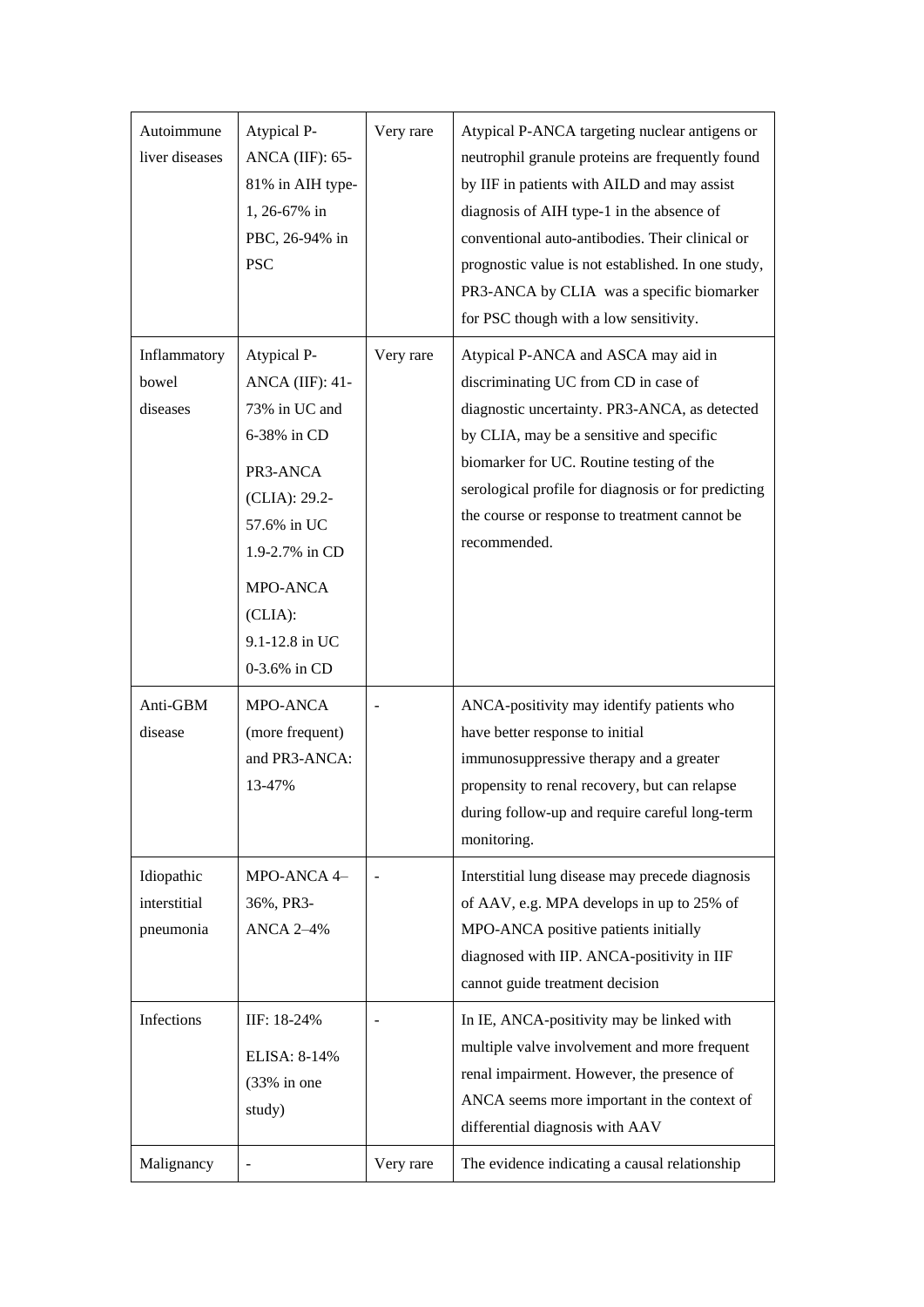| Autoimmune<br>liver diseases            | Atypical P-<br>ANCA (IIF): $65-$<br>81% in AIH type-<br>1, 26-67% in<br>PBC, 26-94% in<br><b>PSC</b>                                                                                         | Very rare | Atypical P-ANCA targeting nuclear antigens or<br>neutrophil granule proteins are frequently found<br>by IIF in patients with AILD and may assist<br>diagnosis of AIH type-1 in the absence of<br>conventional auto-antibodies. Their clinical or<br>prognostic value is not established. In one study,<br>PR3-ANCA by CLIA was a specific biomarker<br>for PSC though with a low sensitivity. |
|-----------------------------------------|----------------------------------------------------------------------------------------------------------------------------------------------------------------------------------------------|-----------|-----------------------------------------------------------------------------------------------------------------------------------------------------------------------------------------------------------------------------------------------------------------------------------------------------------------------------------------------------------------------------------------------|
| Inflammatory<br>bowel<br>diseases       | Atypical P-<br><b>ANCA</b> (IIF): 41-<br>73% in UC and<br>6-38% in CD<br>PR3-ANCA<br>(CLIA): 29.2-<br>57.6% in UC<br>1.9-2.7% in CD<br>MPO-ANCA<br>(CLIA):<br>9.1-12.8 in UC<br>0-3.6% in CD | Very rare | Atypical P-ANCA and ASCA may aid in<br>discriminating UC from CD in case of<br>diagnostic uncertainty. PR3-ANCA, as detected<br>by CLIA, may be a sensitive and specific<br>biomarker for UC. Routine testing of the<br>serological profile for diagnosis or for predicting<br>the course or response to treatment cannot be<br>recommended.                                                  |
| Anti-GBM<br>disease                     | MPO-ANCA<br>(more frequent)<br>and PR3-ANCA:<br>13-47%                                                                                                                                       |           | ANCA-positivity may identify patients who<br>have better response to initial<br>immunosuppressive therapy and a greater<br>propensity to renal recovery, but can relapse<br>during follow-up and require careful long-term<br>monitoring.                                                                                                                                                     |
| Idiopathic<br>interstitial<br>pneumonia | MPO-ANCA 4-<br>36%, PR3-<br><b>ANCA 2-4%</b>                                                                                                                                                 |           | Interstitial lung disease may precede diagnosis<br>of AAV, e.g. MPA develops in up to 25% of<br>MPO-ANCA positive patients initially<br>diagnosed with IIP. ANCA-positivity in IIF<br>cannot guide treatment decision                                                                                                                                                                         |
| Infections                              | IIF: 18-24%<br>ELISA: 8-14%<br>$(33\% \text{ in one})$<br>study)                                                                                                                             |           | In IE, ANCA-positivity may be linked with<br>multiple valve involvement and more frequent<br>renal impairment. However, the presence of<br>ANCA seems more important in the context of<br>differential diagnosis with AAV                                                                                                                                                                     |
| Malignancy                              |                                                                                                                                                                                              | Very rare | The evidence indicating a causal relationship                                                                                                                                                                                                                                                                                                                                                 |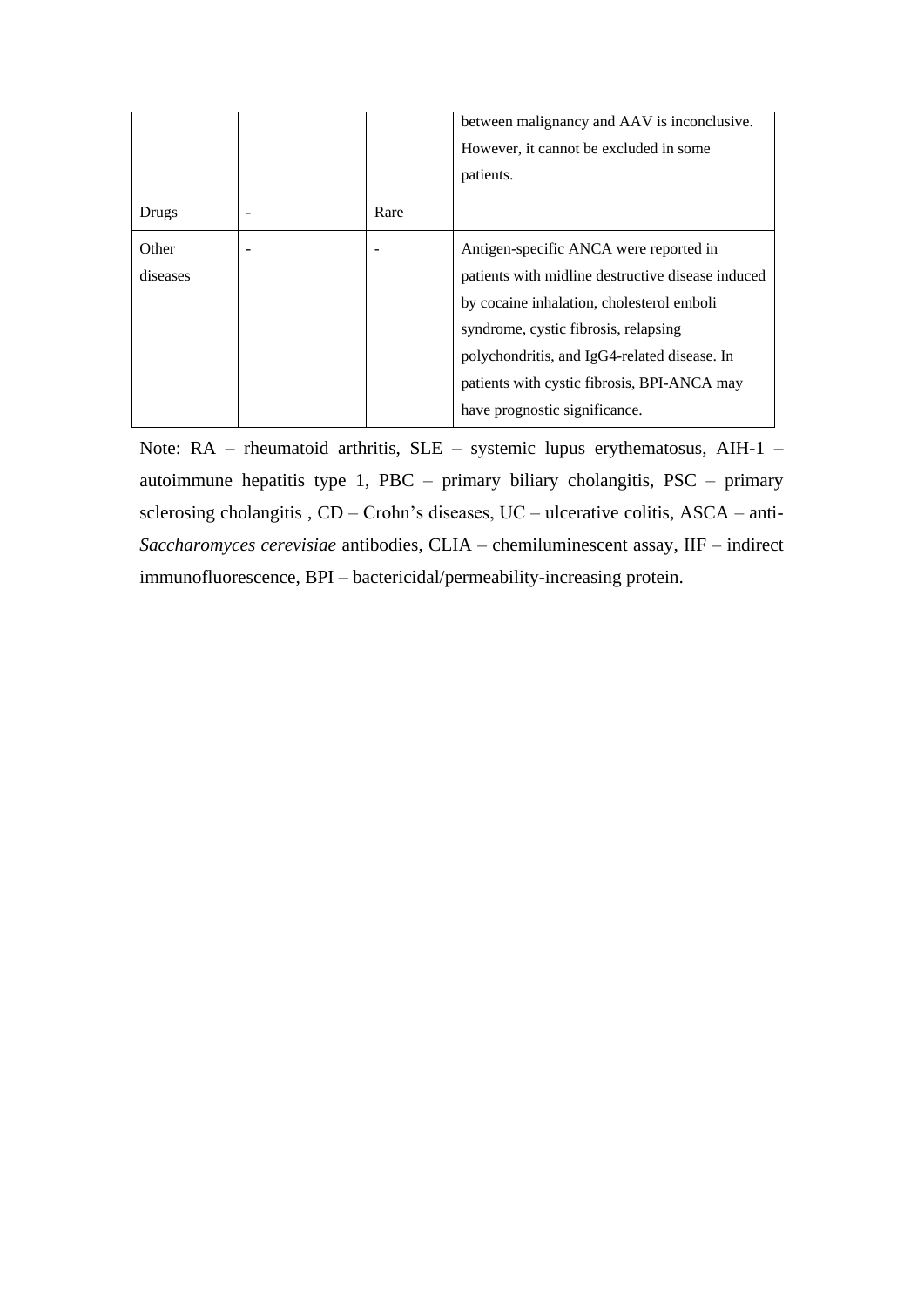|          |      | between malignancy and AAV is inconclusive.<br>However, it cannot be excluded in some |
|----------|------|---------------------------------------------------------------------------------------|
|          |      | patients.                                                                             |
| Drugs    | Rare |                                                                                       |
| Other    |      | Antigen-specific ANCA were reported in                                                |
| diseases |      | patients with midline destructive disease induced                                     |
|          |      | by cocaine inhalation, cholesterol emboli                                             |
|          |      | syndrome, cystic fibrosis, relapsing                                                  |
|          |      | polychondritis, and IgG4-related disease. In                                          |
|          |      | patients with cystic fibrosis, BPI-ANCA may                                           |
|          |      | have prognostic significance.                                                         |

Note: RA – rheumatoid arthritis, SLE – systemic lupus erythematosus, AIH-1 – autoimmune hepatitis type 1, PBC – primary biliary cholangitis, PSC – primary sclerosing cholangitis , CD – Crohn's diseases, UC – ulcerative colitis, ASCA – anti-*Saccharomyces cerevisiae* antibodies, CLIA – chemiluminescent assay, IIF – indirect immunofluorescence, BPI – bactericidal/permeability-increasing protein.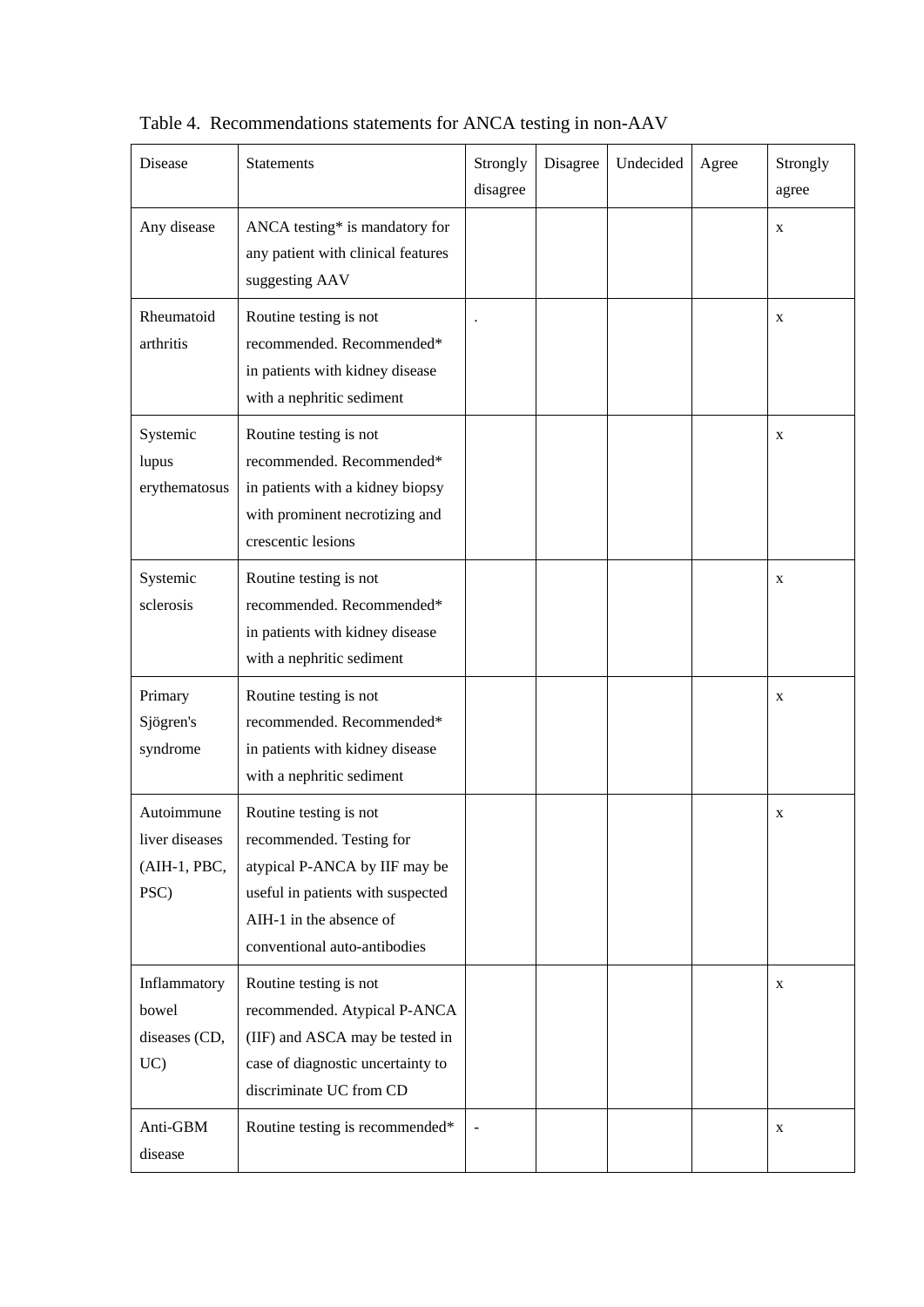| Disease                                              | <b>Statements</b>                                                                                                                                                                   | Strongly<br>disagree | Disagree | Undecided | Agree | Strongly<br>agree |
|------------------------------------------------------|-------------------------------------------------------------------------------------------------------------------------------------------------------------------------------------|----------------------|----------|-----------|-------|-------------------|
| Any disease                                          | ANCA testing* is mandatory for<br>any patient with clinical features<br>suggesting AAV                                                                                              |                      |          |           |       | X                 |
| Rheumatoid<br>arthritis                              | Routine testing is not<br>recommended. Recommended*<br>in patients with kidney disease<br>with a nephritic sediment                                                                 |                      |          |           |       | X                 |
| Systemic<br>lupus<br>erythematosus                   | Routine testing is not<br>recommended. Recommended*<br>in patients with a kidney biopsy<br>with prominent necrotizing and<br>crescentic lesions                                     |                      |          |           |       | X                 |
| Systemic<br>sclerosis                                | Routine testing is not<br>recommended. Recommended*<br>in patients with kidney disease<br>with a nephritic sediment                                                                 |                      |          |           |       | X                 |
| Primary<br>Sjögren's<br>syndrome                     | Routine testing is not<br>recommended. Recommended*<br>in patients with kidney disease<br>with a nephritic sediment                                                                 |                      |          |           |       | X                 |
| Autoimmune<br>liver diseases<br>(AIH-1, PBC,<br>PSC) | Routine testing is not<br>recommended. Testing for<br>atypical P-ANCA by IIF may be<br>useful in patients with suspected<br>AIH-1 in the absence of<br>conventional auto-antibodies |                      |          |           |       | X                 |
| Inflammatory<br>bowel<br>diseases (CD,<br>UC         | Routine testing is not<br>recommended. Atypical P-ANCA<br>(IIF) and ASCA may be tested in<br>case of diagnostic uncertainty to<br>discriminate UC from CD                           |                      |          |           |       | X                 |
| Anti-GBM<br>disease                                  | Routine testing is recommended*                                                                                                                                                     |                      |          |           |       | X                 |

Table 4. Recommendations statements for ANCA testing in non-AAV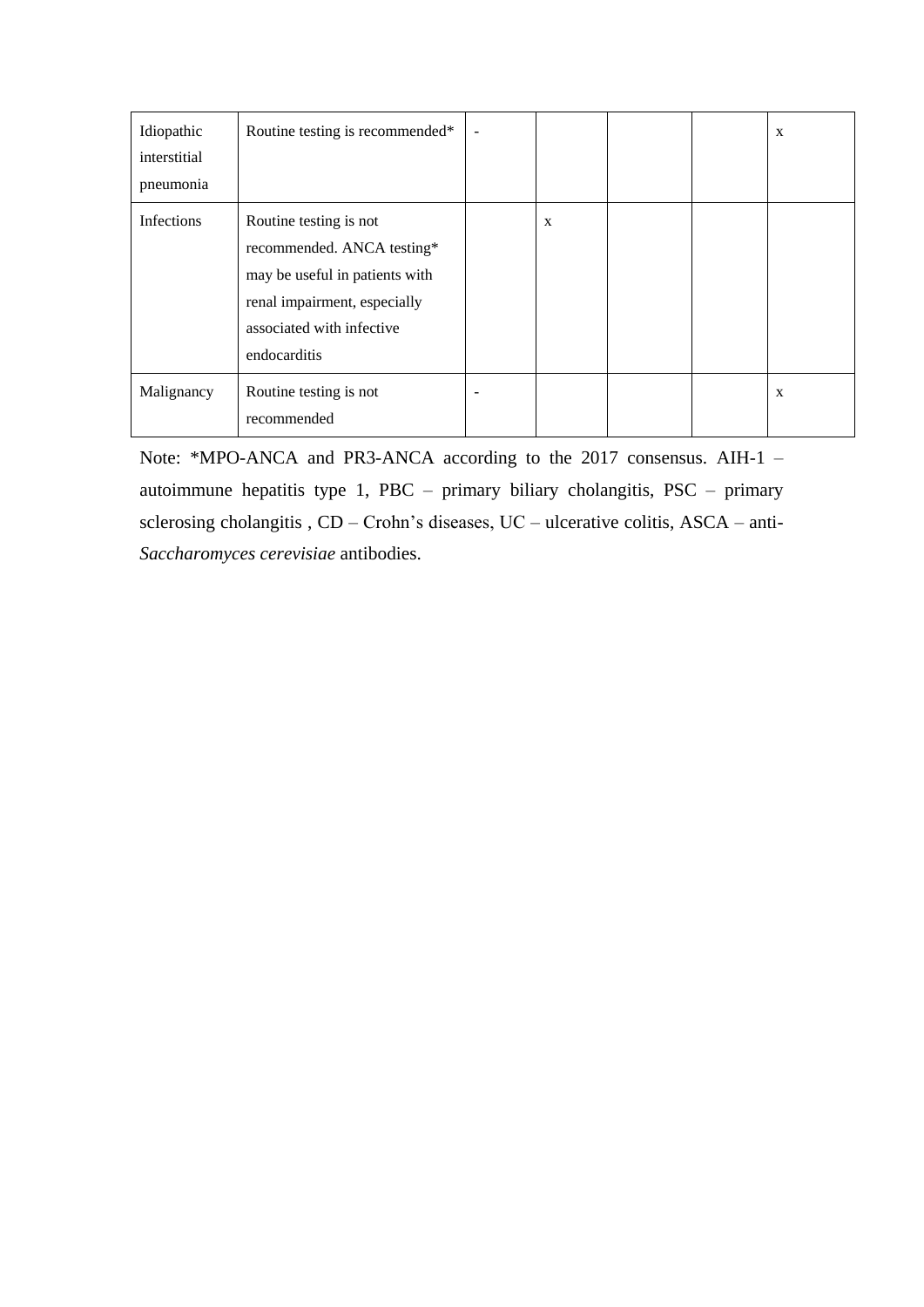| Idiopathic<br>interstitial<br>pneumonia | Routine testing is recommended*                                                                                                                                     |   |  | $\mathbf{x}$ |
|-----------------------------------------|---------------------------------------------------------------------------------------------------------------------------------------------------------------------|---|--|--------------|
| Infections                              | Routine testing is not<br>recommended. ANCA testing*<br>may be useful in patients with<br>renal impairment, especially<br>associated with infective<br>endocarditis | X |  |              |
| Malignancy                              | Routine testing is not<br>recommended                                                                                                                               |   |  | X            |

Note: \*MPO-ANCA and PR3-ANCA according to the 2017 consensus. AIH-1 – autoimmune hepatitis type 1, PBC – primary biliary cholangitis, PSC – primary sclerosing cholangitis , CD – Crohn's diseases, UC – ulcerative colitis, ASCA – anti-*Saccharomyces cerevisiae* antibodies.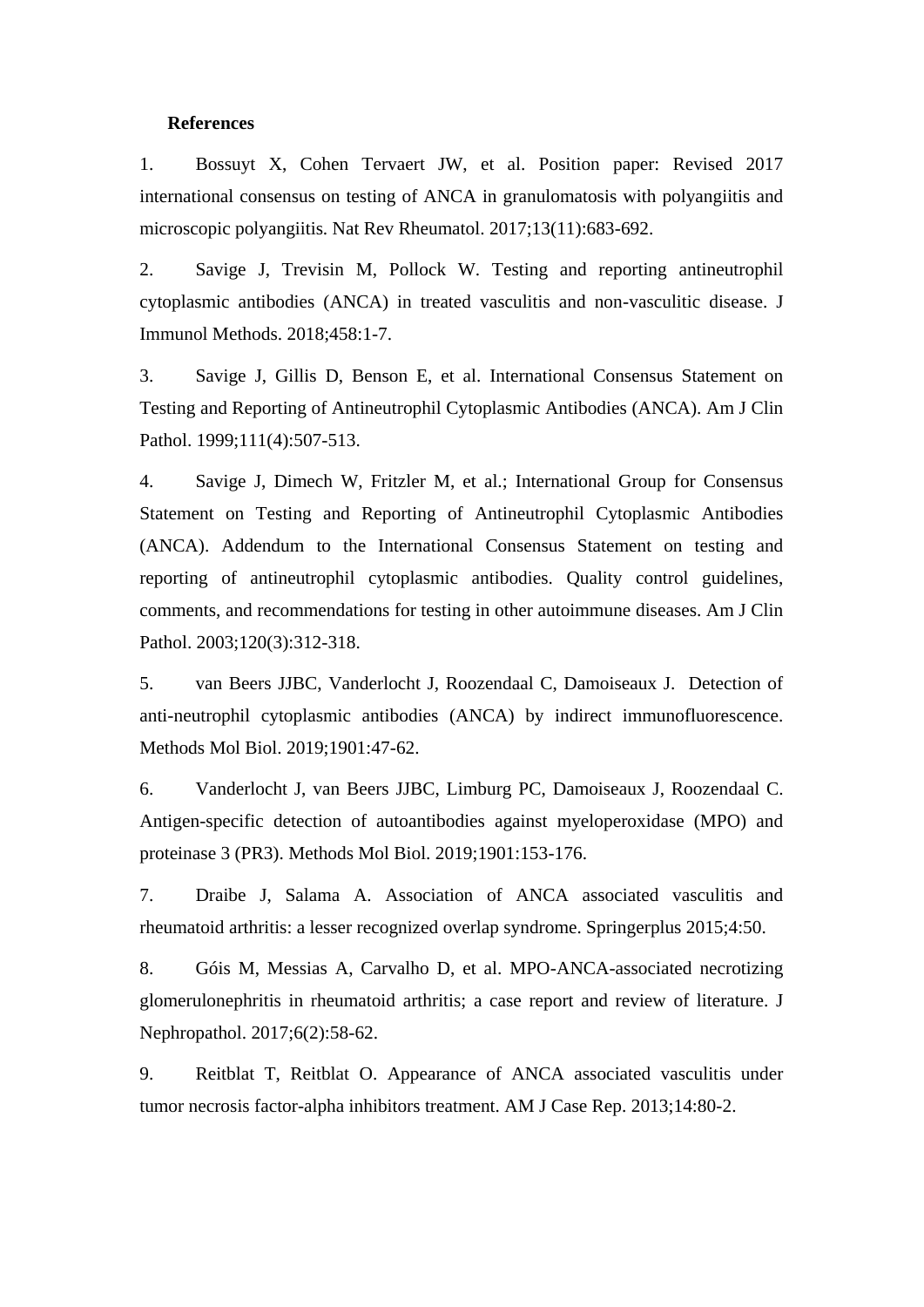### **References**

1. Bossuyt X, Cohen Tervaert JW, et al. Position paper: Revised 2017 international consensus on testing of ANCA in granulomatosis with polyangiitis and microscopic polyangiitis. Nat Rev Rheumatol. 2017;13(11):683-692.

2. Savige J, Trevisin M, Pollock W. Testing and reporting antineutrophil cytoplasmic antibodies (ANCA) in treated vasculitis and non-vasculitic disease. J Immunol Methods. 2018;458:1-7.

3. Savige J, Gillis D, Benson E, et al. International Consensus Statement on Testing and Reporting of Antineutrophil Cytoplasmic Antibodies (ANCA). Am J Clin Pathol. 1999;111(4):507-513.

4. Savige J, Dimech W, Fritzler M, et al.; International Group for Consensus Statement on Testing and Reporting of Antineutrophil Cytoplasmic Antibodies (ANCA). Addendum to the International Consensus Statement on testing and reporting of antineutrophil cytoplasmic antibodies. Quality control guidelines, comments, and recommendations for testing in other autoimmune diseases. Am J Clin Pathol. 2003;120(3):312-318.

5. van Beers JJBC, Vanderlocht J, Roozendaal C, Damoiseaux J. Detection of anti-neutrophil cytoplasmic antibodies (ANCA) by indirect immunofluorescence. Methods Mol Biol. 2019;1901:47-62.

6. Vanderlocht J, van Beers JJBC, Limburg PC, Damoiseaux J, Roozendaal C. Antigen-specific detection of autoantibodies against myeloperoxidase (MPO) and proteinase 3 (PR3). Methods Mol Biol. 2019;1901:153-176.

7. Draibe J, Salama A. Association of ANCA associated vasculitis and rheumatoid arthritis: a lesser recognized overlap syndrome. Springerplus 2015;4:50.

8. Góis M, Messias A, Carvalho D, et al. MPO-ANCA-associated necrotizing glomerulonephritis in rheumatoid arthritis; a case report and review of literature. J Nephropathol. 2017;6(2):58-62.

9. Reitblat T, Reitblat O. Appearance of ANCA associated vasculitis under tumor necrosis factor-alpha inhibitors treatment. AM J Case Rep. 2013;14:80-2.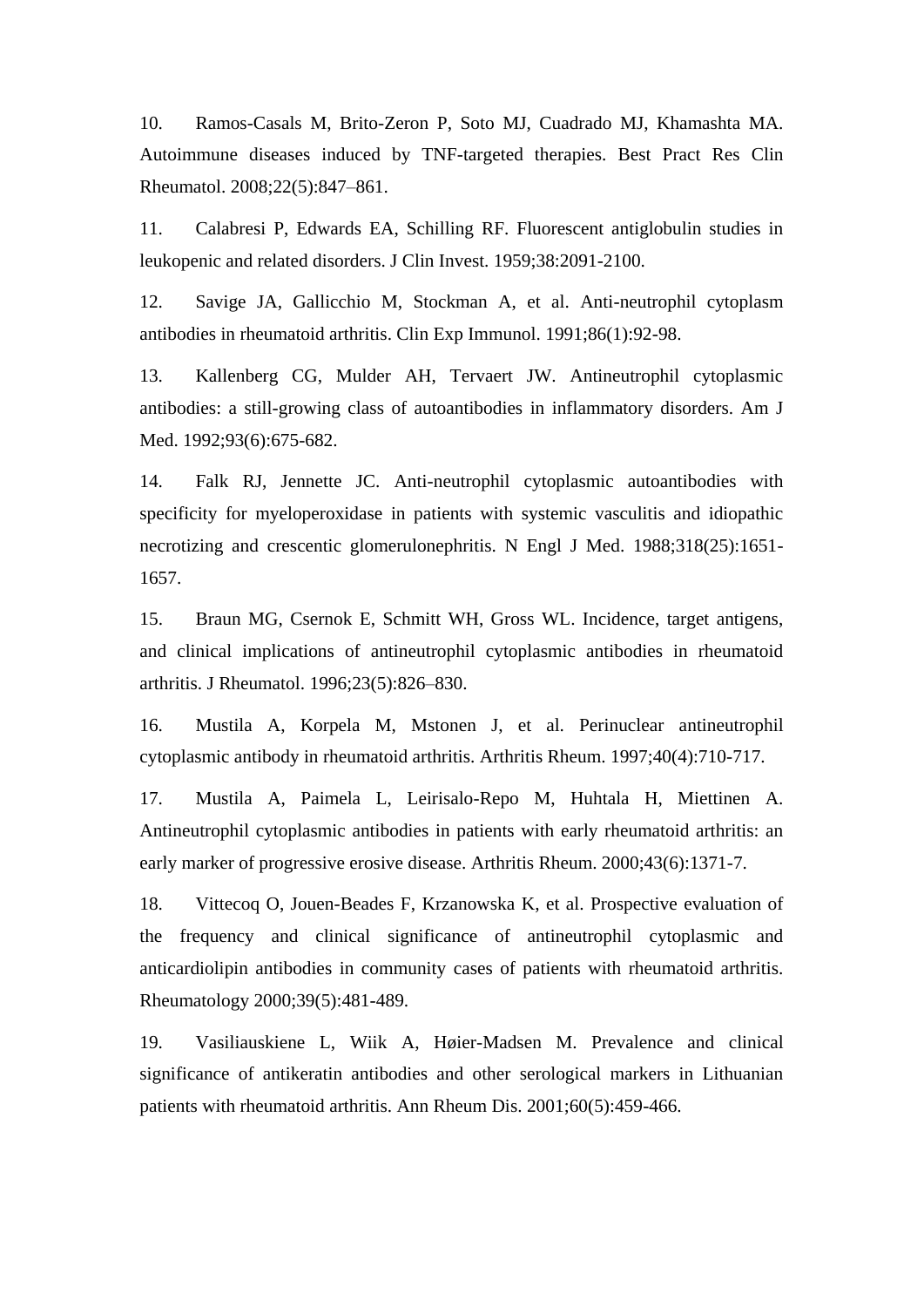10. Ramos-Casals M, Brito-Zeron P, Soto MJ, Cuadrado MJ, Khamashta MA. Autoimmune diseases induced by TNF-targeted therapies. Best Pract Res Clin Rheumatol. 2008;22(5):847–861.

11. Calabresi P, Edwards EA, Schilling RF. Fluorescent antiglobulin studies in leukopenic and related disorders. J Clin Invest. 1959;38:2091-2100.

12. Savige JA, Gallicchio M, Stockman A, et al. Anti-neutrophil cytoplasm antibodies in rheumatoid arthritis. Clin Exp Immunol. 1991;86(1):92-98.

13. Kallenberg CG, Mulder AH, Tervaert JW. Antineutrophil cytoplasmic antibodies: a still-growing class of autoantibodies in inflammatory disorders. Am J Med. 1992;93(6):675-682.

14. Falk RJ, Jennette JC. Anti-neutrophil cytoplasmic autoantibodies with specificity for myeloperoxidase in patients with systemic vasculitis and idiopathic necrotizing and crescentic glomerulonephritis. N Engl J Med. 1988;318(25):1651- 1657.

15. Braun MG, Csernok E, Schmitt WH, Gross WL. Incidence, target antigens, and clinical implications of antineutrophil cytoplasmic antibodies in rheumatoid arthritis. J Rheumatol. 1996;23(5):826–830.

16. Mustila A, Korpela M, Mstonen J, et al. Perinuclear antineutrophil cytoplasmic antibody in rheumatoid arthritis. Arthritis Rheum. 1997;40(4):710-717.

17. Mustila A, Paimela L, Leirisalo-Repo M, Huhtala H, Miettinen A. Antineutrophil cytoplasmic antibodies in patients with early rheumatoid arthritis: an early marker of progressive erosive disease. Arthritis Rheum. 2000;43(6):1371-7.

18. Vittecoq O, Jouen-Beades F, Krzanowska K, et al. Prospective evaluation of the frequency and clinical significance of antineutrophil cytoplasmic and anticardiolipin antibodies in community cases of patients with rheumatoid arthritis. Rheumatology 2000;39(5):481-489.

19. Vasiliauskiene L, Wiik A, Høier-Madsen M. Prevalence and clinical significance of antikeratin antibodies and other serological markers in Lithuanian patients with rheumatoid arthritis. Ann Rheum Dis. 2001;60(5):459-466.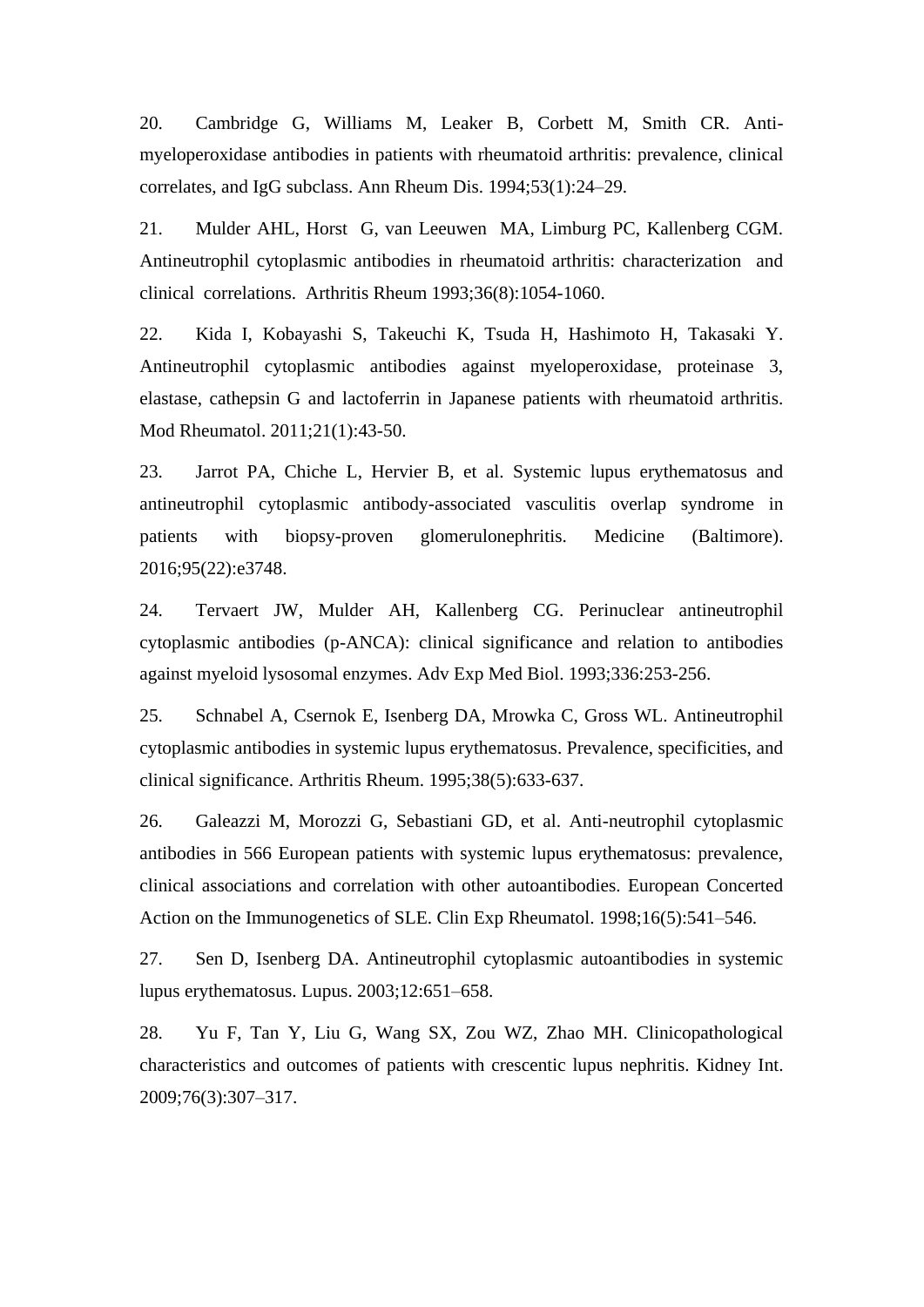20. Cambridge G, Williams M, Leaker B, Corbett M, Smith CR. Antimyeloperoxidase antibodies in patients with rheumatoid arthritis: prevalence, clinical correlates, and IgG subclass. Ann Rheum Dis. 1994;53(1):24–29.

21. Mulder AHL, Horst G, van Leeuwen MA, Limburg PC, Kallenberg CGM. Antineutrophil cytoplasmic antibodies in rheumatoid arthritis: characterization and clinical correlations. Arthritis Rheum 1993;36(8):1054-1060.

22. Kida I, Kobayashi S, Takeuchi K, Tsuda H, Hashimoto H, Takasaki Y. Antineutrophil cytoplasmic antibodies against myeloperoxidase, proteinase 3, elastase, cathepsin G and lactoferrin in Japanese patients with rheumatoid arthritis. Mod Rheumatol. 2011;21(1):43-50.

23. Jarrot PA, Chiche L, Hervier B, et al. Systemic lupus erythematosus and antineutrophil cytoplasmic antibody-associated vasculitis overlap syndrome in patients with biopsy-proven glomerulonephritis. Medicine (Baltimore). 2016;95(22):e3748.

24. Tervaert JW, Mulder AH, Kallenberg CG. Perinuclear antineutrophil cytoplasmic antibodies (p-ANCA): clinical significance and relation to antibodies against myeloid lysosomal enzymes. Adv Exp Med Biol. 1993;336:253-256.

25. Schnabel A, Csernok E, Isenberg DA, Mrowka C, Gross WL. Antineutrophil cytoplasmic antibodies in systemic lupus erythematosus. Prevalence, specificities, and clinical significance. Arthritis Rheum. 1995;38(5):633-637.

26. Galeazzi M, Morozzi G, Sebastiani GD, et al. Anti-neutrophil cytoplasmic antibodies in 566 European patients with systemic lupus erythematosus: prevalence, clinical associations and correlation with other autoantibodies. European Concerted Action on the Immunogenetics of SLE. Clin Exp Rheumatol. 1998;16(5):541–546.

27. Sen D, Isenberg DA. Antineutrophil cytoplasmic autoantibodies in systemic lupus erythematosus. Lupus. 2003;12:651–658.

28. Yu F, Tan Y, Liu G, Wang SX, Zou WZ, Zhao MH. Clinicopathological characteristics and outcomes of patients with crescentic lupus nephritis. Kidney Int. 2009;76(3):307–317.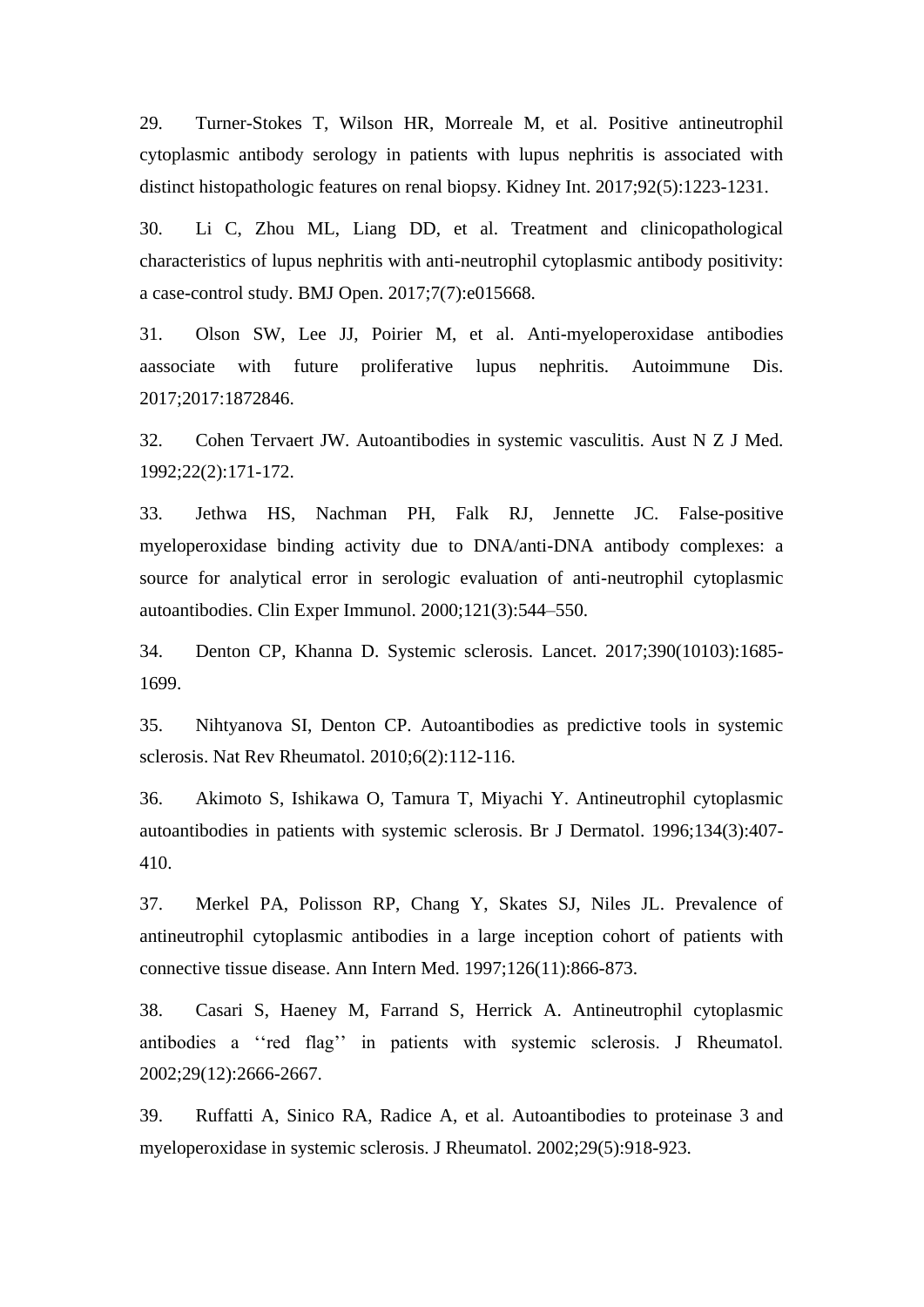29. Turner-Stokes T, Wilson HR, Morreale M, et al. Positive antineutrophil cytoplasmic antibody serology in patients with lupus nephritis is associated with distinct histopathologic features on renal biopsy. Kidney Int. 2017;92(5):1223-1231.

30. Li C, Zhou ML, Liang DD, et al. Treatment and clinicopathological characteristics of lupus nephritis with anti-neutrophil cytoplasmic antibody positivity: a case-control study. BMJ Open. 2017;7(7):e015668.

31. Olson SW, Lee JJ, Poirier M, et al. Anti-myeloperoxidase antibodies aassociate with future proliferative lupus nephritis. Autoimmune Dis. 2017;2017:1872846.

32. Cohen Tervaert JW. Autoantibodies in systemic vasculitis. Aust N Z J Med. 1992;22(2):171-172.

33. Jethwa HS, Nachman PH, Falk RJ, Jennette JC. False-positive myeloperoxidase binding activity due to DNA/anti-DNA antibody complexes: a source for analytical error in serologic evaluation of anti-neutrophil cytoplasmic autoantibodies. Clin Exper Immunol. 2000;121(3):544–550.

34. Denton CP, Khanna D. Systemic sclerosis. Lancet. 2017;390(10103):1685- 1699.

35. Nihtyanova SI, Denton CP. Autoantibodies as predictive tools in systemic sclerosis. Nat Rev Rheumatol. 2010;6(2):112-116.

36. Akimoto S, Ishikawa O, Tamura T, Miyachi Y. Antineutrophil cytoplasmic autoantibodies in patients with systemic sclerosis. Br J Dermatol. 1996;134(3):407- 410.

37. Merkel PA, Polisson RP, Chang Y, Skates SJ, Niles JL. Prevalence of antineutrophil cytoplasmic antibodies in a large inception cohort of patients with connective tissue disease. Ann Intern Med. 1997;126(11):866-873.

38. Casari S, Haeney M, Farrand S, Herrick A. Antineutrophil cytoplasmic antibodies a ''red flag'' in patients with systemic sclerosis. J Rheumatol. 2002;29(12):2666-2667.

39. Ruffatti A, Sinico RA, Radice A, et al. Autoantibodies to proteinase 3 and myeloperoxidase in systemic sclerosis. J Rheumatol. 2002;29(5):918-923.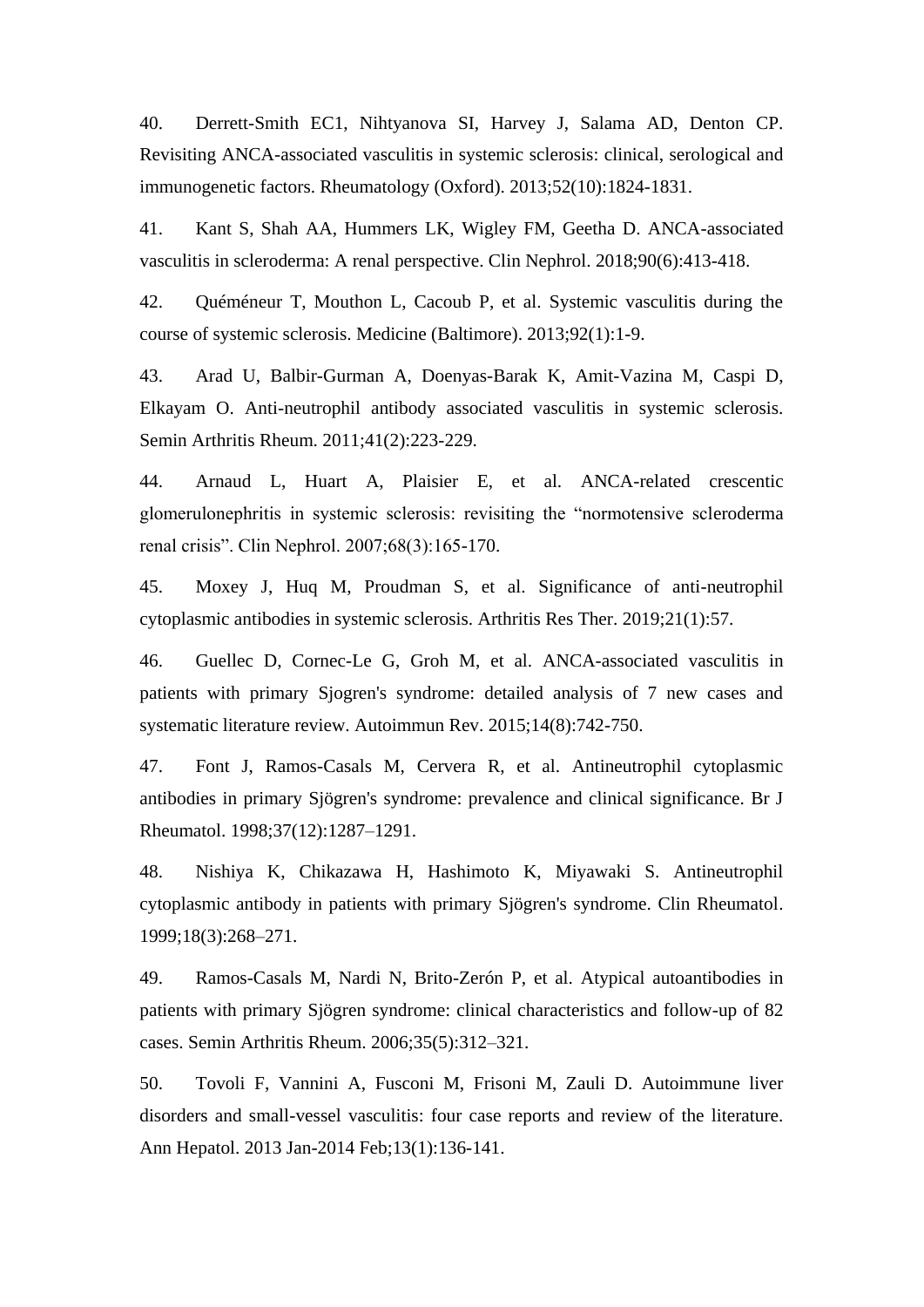40. Derrett-Smith EC1, Nihtyanova SI, Harvey J, Salama AD, Denton CP. Revisiting ANCA-associated vasculitis in systemic sclerosis: clinical, serological and immunogenetic factors. Rheumatology (Oxford). 2013;52(10):1824-1831.

41. Kant S, Shah AA, Hummers LK, Wigley FM, Geetha D. ANCA-associated vasculitis in scleroderma: A renal perspective. Clin Nephrol. 2018;90(6):413-418.

42. Quéméneur T, Mouthon L, Cacoub P, et al. Systemic vasculitis during the course of systemic sclerosis. Medicine (Baltimore). 2013;92(1):1-9.

43. Arad U, Balbir-Gurman A, Doenyas-Barak K, Amit-Vazina M, Caspi D, Elkayam O. Anti-neutrophil antibody associated vasculitis in systemic sclerosis. Semin Arthritis Rheum. 2011;41(2):223-229.

44. Arnaud L, Huart A, Plaisier E, et al. ANCA-related crescentic glomerulonephritis in systemic sclerosis: revisiting the "normotensive scleroderma renal crisis". Clin Nephrol. 2007;68(3):165-170.

45. Moxey J, Huq M, Proudman S, et al. Significance of anti-neutrophil cytoplasmic antibodies in systemic sclerosis. Arthritis Res Ther. 2019;21(1):57.

46. Guellec D, Cornec-Le G, Groh M, et al. ANCA-associated vasculitis in patients with primary Sjogren's syndrome: detailed analysis of 7 new cases and systematic literature review. Autoimmun Rev. 2015;14(8):742-750.

47. Font J, Ramos-Casals M, Cervera R, et al. Antineutrophil cytoplasmic antibodies in primary Sjögren's syndrome: prevalence and clinical significance. Br J Rheumatol. 1998;37(12):1287–1291.

48. Nishiya K, Chikazawa H, Hashimoto K, Miyawaki S. Antineutrophil cytoplasmic antibody in patients with primary Sjögren's syndrome. Clin Rheumatol. 1999;18(3):268–271.

49. Ramos-Casals M, Nardi N, Brito-Zerón P, et al. Atypical autoantibodies in patients with primary Sjögren syndrome: clinical characteristics and follow-up of 82 cases. Semin Arthritis Rheum. 2006;35(5):312–321.

50. Tovoli F, Vannini A, Fusconi M, Frisoni M, Zauli D. Autoimmune liver disorders and small-vessel vasculitis: four case reports and review of the literature. Ann Hepatol. 2013 Jan-2014 Feb;13(1):136-141.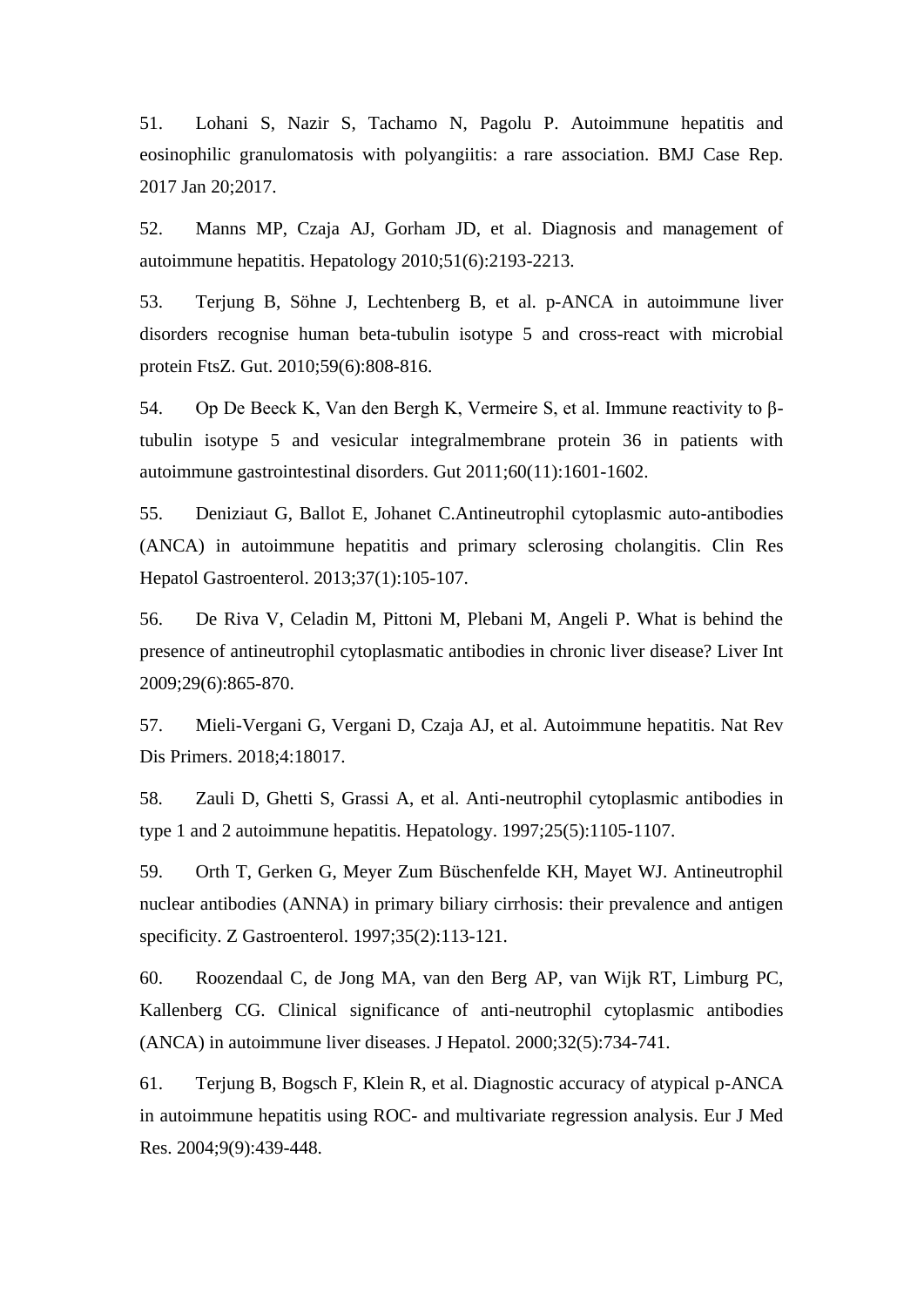51. Lohani S, Nazir S, Tachamo N, Pagolu P. Autoimmune hepatitis and eosinophilic granulomatosis with polyangiitis: a rare association. BMJ Case Rep. 2017 Jan 20;2017.

52. Manns MP, Czaja AJ, Gorham JD, et al. Diagnosis and management of autoimmune hepatitis. Hepatology 2010;51(6):2193-2213.

53. Terjung B, Söhne J, Lechtenberg B, et al. p-ANCA in autoimmune liver disorders recognise human beta-tubulin isotype 5 and cross-react with microbial protein FtsZ. Gut. 2010;59(6):808-816.

54. Op De Beeck K, Van den Bergh K, Vermeire S, et al. Immune reactivity to βtubulin isotype 5 and vesicular integralmembrane protein 36 in patients with autoimmune gastrointestinal disorders. Gut 2011;60(11):1601-1602.

55. Deniziaut G, Ballot E, Johanet C.Antineutrophil cytoplasmic auto-antibodies (ANCA) in autoimmune hepatitis and primary sclerosing cholangitis. Clin Res Hepatol Gastroenterol. 2013;37(1):105-107.

56. De Riva V, Celadin M, Pittoni M, Plebani M, Angeli P. What is behind the presence of antineutrophil cytoplasmatic antibodies in chronic liver disease? Liver Int 2009;29(6):865-870.

57. Mieli-Vergani G, Vergani D, Czaja AJ, et al. Autoimmune hepatitis. Nat Rev Dis Primers. 2018;4:18017.

58. Zauli D, Ghetti S, Grassi A, et al. Anti-neutrophil cytoplasmic antibodies in type 1 and 2 autoimmune hepatitis. Hepatology. 1997;25(5):1105-1107.

59. Orth T, Gerken G, Meyer Zum Büschenfelde KH, Mayet WJ. Antineutrophil nuclear antibodies (ANNA) in primary biliary cirrhosis: their prevalence and antigen specificity. Z Gastroenterol. 1997;35(2):113-121.

60. Roozendaal C, de Jong MA, van den Berg AP, van Wijk RT, Limburg PC, Kallenberg CG. Clinical significance of anti-neutrophil cytoplasmic antibodies (ANCA) in autoimmune liver diseases. J Hepatol. 2000;32(5):734-741.

61. Terjung B, Bogsch F, Klein R, et al. Diagnostic accuracy of atypical p-ANCA in autoimmune hepatitis using ROC- and multivariate regression analysis. Eur J Med Res. 2004;9(9):439-448.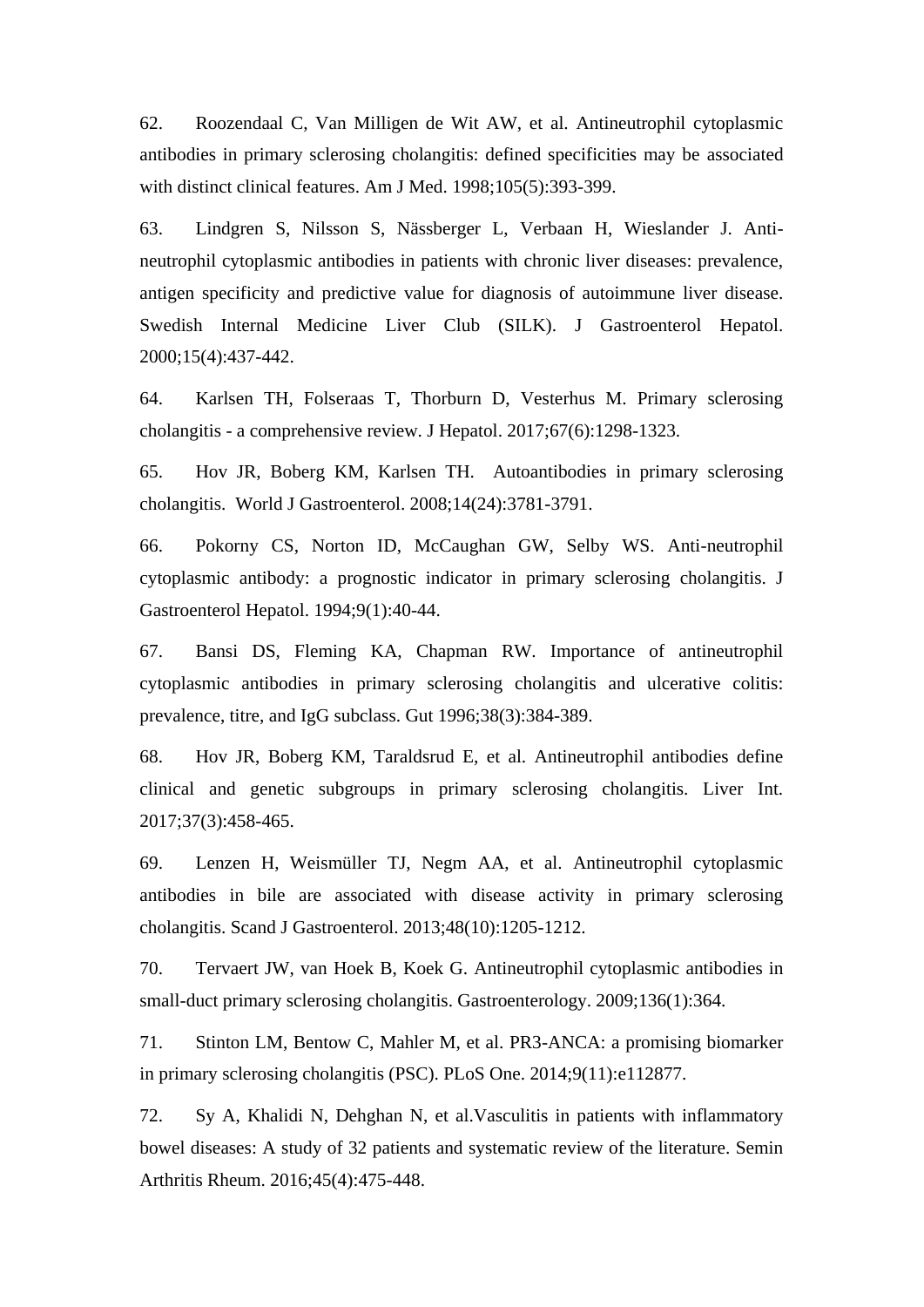62. Roozendaal C, Van Milligen de Wit AW, et al. Antineutrophil cytoplasmic antibodies in primary sclerosing cholangitis: defined specificities may be associated with distinct clinical features. Am J Med. 1998;105(5):393-399.

63. Lindgren S, Nilsson S, Nässberger L, Verbaan H, Wieslander J. Antineutrophil cytoplasmic antibodies in patients with chronic liver diseases: prevalence, antigen specificity and predictive value for diagnosis of autoimmune liver disease. Swedish Internal Medicine Liver Club (SILK). J Gastroenterol Hepatol. 2000;15(4):437-442.

64. Karlsen TH, Folseraas T, Thorburn D, Vesterhus M. Primary sclerosing cholangitis - a comprehensive review. J Hepatol. 2017;67(6):1298-1323.

65. Hov JR, Boberg KM, Karlsen TH. Autoantibodies in primary sclerosing cholangitis. World J Gastroenterol. 2008;14(24):3781-3791.

66. Pokorny CS, Norton ID, McCaughan GW, Selby WS. Anti-neutrophil cytoplasmic antibody: a prognostic indicator in primary sclerosing cholangitis. J Gastroenterol Hepatol. 1994;9(1):40-44.

67. Bansi DS, Fleming KA, Chapman RW. Importance of antineutrophil cytoplasmic antibodies in primary sclerosing cholangitis and ulcerative colitis: prevalence, titre, and IgG subclass. Gut 1996;38(3):384-389.

68. Hov JR, Boberg KM, Taraldsrud E, et al. Antineutrophil antibodies define clinical and genetic subgroups in primary sclerosing cholangitis. Liver Int. 2017;37(3):458-465.

69. Lenzen H, Weismüller TJ, Negm AA, et al. Antineutrophil cytoplasmic antibodies in bile are associated with disease activity in primary sclerosing cholangitis. Scand J Gastroenterol. 2013;48(10):1205-1212.

70. Tervaert JW, van Hoek B, Koek G. Antineutrophil cytoplasmic antibodies in small-duct primary sclerosing cholangitis. Gastroenterology. 2009;136(1):364.

71. Stinton LM, Bentow C, Mahler M, et al. PR3-ANCA: a promising biomarker in primary sclerosing cholangitis (PSC). PLoS One. 2014;9(11):e112877.

72. Sy A, Khalidi N, Dehghan N, et al.Vasculitis in patients with inflammatory bowel diseases: A study of 32 patients and systematic review of the literature. Semin Arthritis Rheum. 2016;45(4):475-448.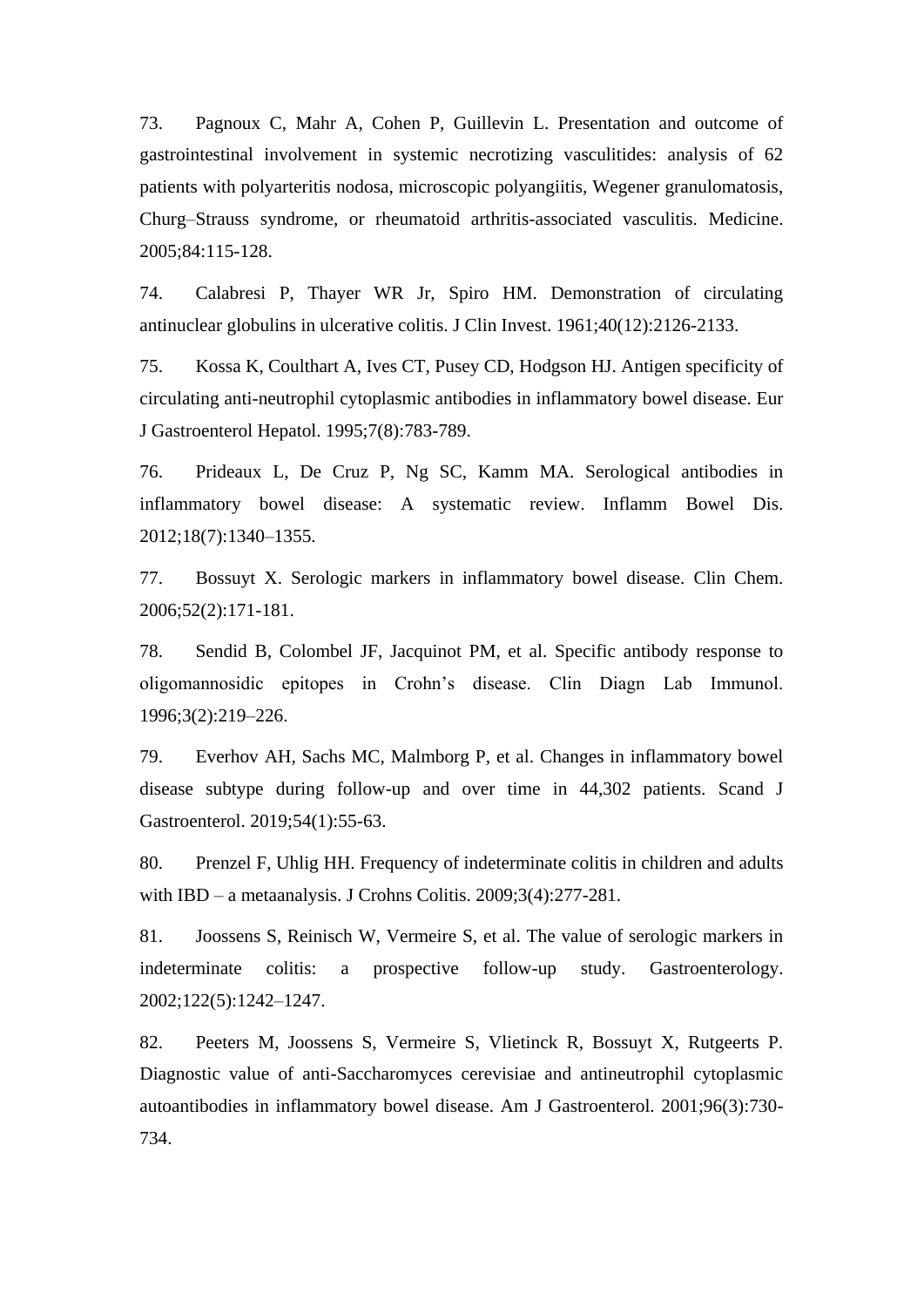73. Pagnoux C, Mahr A, Cohen P, Guillevin L. Presentation and outcome of gastrointestinal involvement in systemic necrotizing vasculitides: analysis of 62 patients with polyarteritis nodosa, microscopic polyangiitis, Wegener granulomatosis, Churg–Strauss syndrome, or rheumatoid arthritis-associated vasculitis. Medicine. 2005;84:115-128.

74. Calabresi P, Thayer WR Jr, Spiro HM. Demonstration of circulating antinuclear globulins in ulcerative colitis. J Clin Invest. 1961;40(12):2126-2133.

75. Kossa K, Coulthart A, Ives CT, Pusey CD, Hodgson HJ. Antigen specificity of circulating anti-neutrophil cytoplasmic antibodies in inflammatory bowel disease. Eur J Gastroenterol Hepatol. 1995;7(8):783-789.

76. Prideaux L, De Cruz P, Ng SC, Kamm MA. Serological antibodies in inflammatory bowel disease: A systematic review. Inflamm Bowel Dis. 2012;18(7):1340–1355.

77. Bossuyt X. Serologic markers in inflammatory bowel disease. Clin Chem. 2006;52(2):171-181.

78. Sendid B, Colombel JF, Jacquinot PM, et al. Specific antibody response to oligomannosidic epitopes in Crohn's disease. Clin Diagn Lab Immunol. 1996;3(2):219–226.

79. Everhov AH, Sachs MC, Malmborg P, et al. Changes in inflammatory bowel disease subtype during follow-up and over time in 44,302 patients. Scand J Gastroenterol. 2019;54(1):55-63.

80. Prenzel F, Uhlig HH. Frequency of indeterminate colitis in children and adults with IBD – a metaanalysis. J Crohns Colitis. 2009;3(4):277-281.

81. Joossens S, Reinisch W, Vermeire S, et al. The value of serologic markers in indeterminate colitis: a prospective follow-up study. Gastroenterology. 2002;122(5):1242–1247.

82. Peeters M, Joossens S, Vermeire S, Vlietinck R, Bossuyt X, Rutgeerts P. Diagnostic value of anti-Saccharomyces cerevisiae and antineutrophil cytoplasmic autoantibodies in inflammatory bowel disease. Am J Gastroenterol. 2001;96(3):730- 734.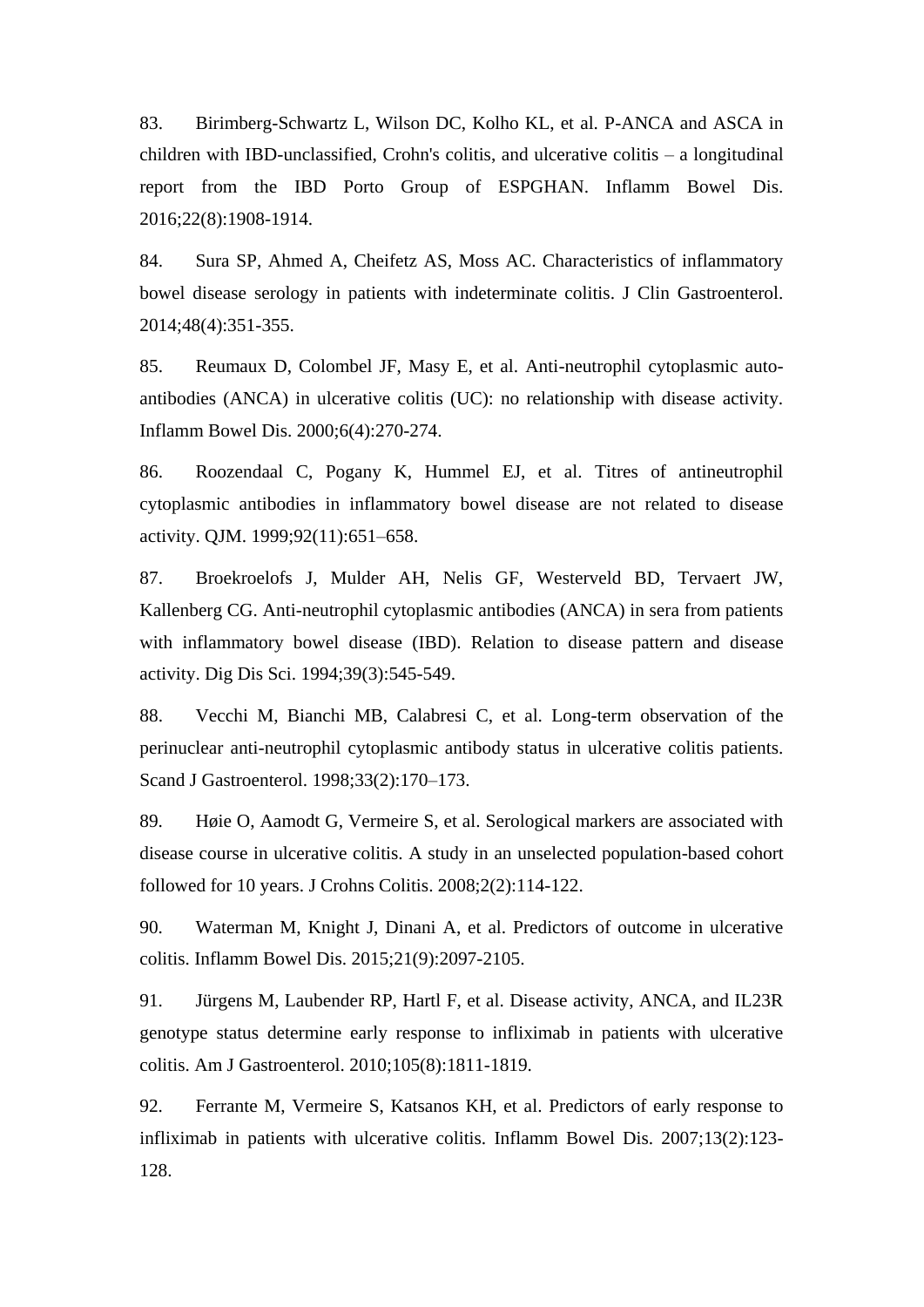83. Birimberg-Schwartz L, Wilson DC, Kolho KL, et al. P-ANCA and ASCA in children with IBD-unclassified, Crohn's colitis, and ulcerative colitis – a longitudinal report from the IBD Porto Group of ESPGHAN. Inflamm Bowel Dis. 2016;22(8):1908-1914.

84. Sura SP, Ahmed A, Cheifetz AS, Moss AC. Characteristics of inflammatory bowel disease serology in patients with indeterminate colitis. J Clin Gastroenterol. 2014;48(4):351-355.

85. Reumaux D, Colombel JF, Masy E, et al. Anti-neutrophil cytoplasmic autoantibodies (ANCA) in ulcerative colitis (UC): no relationship with disease activity. Inflamm Bowel Dis. 2000;6(4):270-274.

86. Roozendaal C, Pogany K, Hummel EJ, et al. Titres of antineutrophil cytoplasmic antibodies in inflammatory bowel disease are not related to disease activity. QJM. 1999;92(11):651–658.

87. Broekroelofs J, Mulder AH, Nelis GF, Westerveld BD, Tervaert JW, Kallenberg CG. Anti-neutrophil cytoplasmic antibodies (ANCA) in sera from patients with inflammatory bowel disease (IBD). Relation to disease pattern and disease activity. Dig Dis Sci. 1994;39(3):545-549.

88. Vecchi M, Bianchi MB, Calabresi C, et al. Long-term observation of the perinuclear anti-neutrophil cytoplasmic antibody status in ulcerative colitis patients. Scand J Gastroenterol. 1998;33(2):170–173.

89. Høie O, Aamodt G, Vermeire S, et al. Serological markers are associated with disease course in ulcerative colitis. A study in an unselected population-based cohort followed for 10 years. J Crohns Colitis. 2008;2(2):114-122.

90. Waterman M, Knight J, Dinani A, et al. Predictors of outcome in ulcerative colitis. Inflamm Bowel Dis. 2015;21(9):2097-2105.

91. Jürgens M, Laubender RP, Hartl F, et al. Disease activity, ANCA, and IL23R genotype status determine early response to infliximab in patients with ulcerative colitis. Am J Gastroenterol. 2010;105(8):1811-1819.

92. Ferrante M, Vermeire S, Katsanos KH, et al. Predictors of early response to infliximab in patients with ulcerative colitis. Inflamm Bowel Dis. 2007;13(2):123- 128.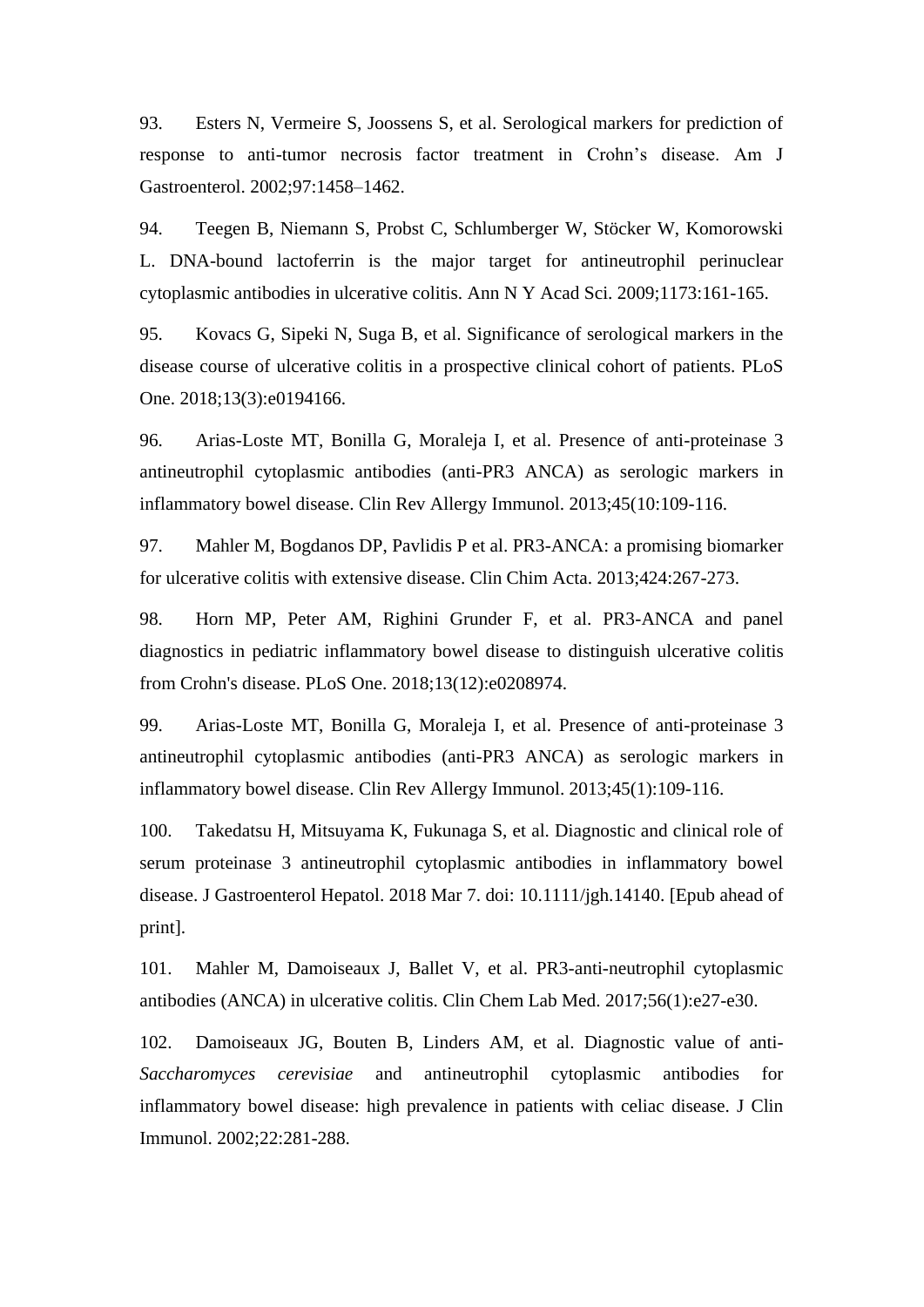93. Esters N, Vermeire S, Joossens S, et al. Serological markers for prediction of response to anti-tumor necrosis factor treatment in Crohn's disease. Am J Gastroenterol. 2002;97:1458–1462.

94. Teegen B, Niemann S, Probst C, Schlumberger W, Stöcker W, Komorowski L. DNA-bound lactoferrin is the major target for antineutrophil perinuclear cytoplasmic antibodies in ulcerative colitis. Ann N Y Acad Sci. 2009;1173:161-165.

95. Kovacs G, Sipeki N, Suga B, et al. Significance of serological markers in the disease course of ulcerative colitis in a prospective clinical cohort of patients. PLoS One. 2018;13(3):e0194166.

96. Arias-Loste MT, Bonilla G, Moraleja I, et al. Presence of anti-proteinase 3 antineutrophil cytoplasmic antibodies (anti-PR3 ANCA) as serologic markers in inflammatory bowel disease. Clin Rev Allergy Immunol. 2013;45(10:109-116.

97. Mahler M, Bogdanos DP, Pavlidis P et al. PR3-ANCA: a promising biomarker for ulcerative colitis with extensive disease. Clin Chim Acta. 2013;424:267-273.

98. Horn MP, Peter AM, Righini Grunder F, et al. PR3-ANCA and panel diagnostics in pediatric inflammatory bowel disease to distinguish ulcerative colitis from Crohn's disease. PLoS One. 2018;13(12):e0208974.

99. Arias-Loste MT, Bonilla G, Moraleja I, et al. Presence of anti-proteinase 3 antineutrophil cytoplasmic antibodies (anti-PR3 ANCA) as serologic markers in inflammatory bowel disease. Clin Rev Allergy Immunol. 2013;45(1):109-116.

100. Takedatsu H, Mitsuyama K, Fukunaga S, et al. Diagnostic and clinical role of serum proteinase 3 antineutrophil cytoplasmic antibodies in inflammatory bowel disease. J Gastroenterol Hepatol. 2018 Mar 7. doi: 10.1111/jgh.14140. [Epub ahead of print].

101. Mahler M, Damoiseaux J, Ballet V, et al. PR3-anti-neutrophil cytoplasmic antibodies (ANCA) in ulcerative colitis. Clin Chem Lab Med. 2017;56(1):e27-e30.

102. Damoiseaux JG, Bouten B, Linders AM, et al. Diagnostic value of anti-*Saccharomyces cerevisiae* and antineutrophil cytoplasmic antibodies for inflammatory bowel disease: high prevalence in patients with celiac disease. J Clin Immunol. 2002;22:281-288.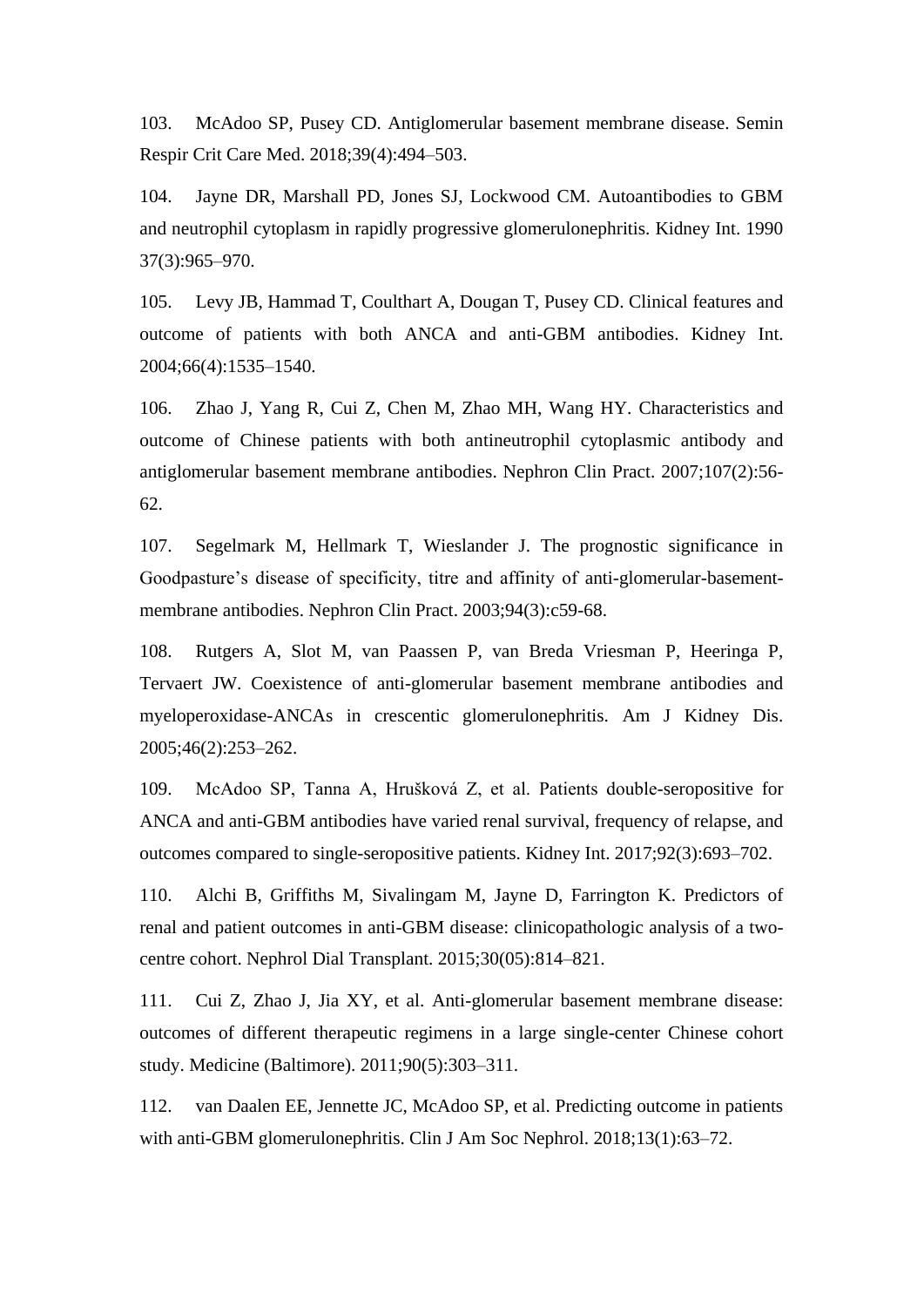103. McAdoo SP, Pusey CD. Antiglomerular basement membrane disease. Semin Respir Crit Care Med. 2018;39(4):494–503.

104. Jayne DR, Marshall PD, Jones SJ, Lockwood CM. Autoantibodies to GBM and neutrophil cytoplasm in rapidly progressive glomerulonephritis. Kidney Int. 1990 37(3):965–970.

105. Levy JB, Hammad T, Coulthart A, Dougan T, Pusey CD. Clinical features and outcome of patients with both ANCA and anti-GBM antibodies. Kidney Int. 2004;66(4):1535–1540.

106. Zhao J, Yang R, Cui Z, Chen M, Zhao MH, Wang HY. Characteristics and outcome of Chinese patients with both antineutrophil cytoplasmic antibody and antiglomerular basement membrane antibodies. Nephron Clin Pract. 2007;107(2):56- 62.

107. Segelmark M, Hellmark T, Wieslander J. The prognostic significance in Goodpasture's disease of specificity, titre and affinity of anti-glomerular-basementmembrane antibodies. Nephron Clin Pract. 2003;94(3):c59-68.

108. Rutgers A, Slot M, van Paassen P, van Breda Vriesman P, Heeringa P, Tervaert JW. Coexistence of anti-glomerular basement membrane antibodies and myeloperoxidase-ANCAs in crescentic glomerulonephritis. Am J Kidney Dis. 2005;46(2):253–262.

109. McAdoo SP, Tanna A, Hrušková Z, et al. Patients double-seropositive for ANCA and anti-GBM antibodies have varied renal survival, frequency of relapse, and outcomes compared to single-seropositive patients. Kidney Int. 2017;92(3):693–702.

110. Alchi B, Griffiths M, Sivalingam M, Jayne D, Farrington K. Predictors of renal and patient outcomes in anti-GBM disease: clinicopathologic analysis of a twocentre cohort. Nephrol Dial Transplant. 2015;30(05):814–821.

111. Cui Z, Zhao J, Jia XY, et al. Anti-glomerular basement membrane disease: outcomes of different therapeutic regimens in a large single-center Chinese cohort study. Medicine (Baltimore). 2011;90(5):303–311.

112. van Daalen EE, Jennette JC, McAdoo SP, et al. Predicting outcome in patients with anti-GBM glomerulonephritis. Clin J Am Soc Nephrol. 2018;13(1):63-72.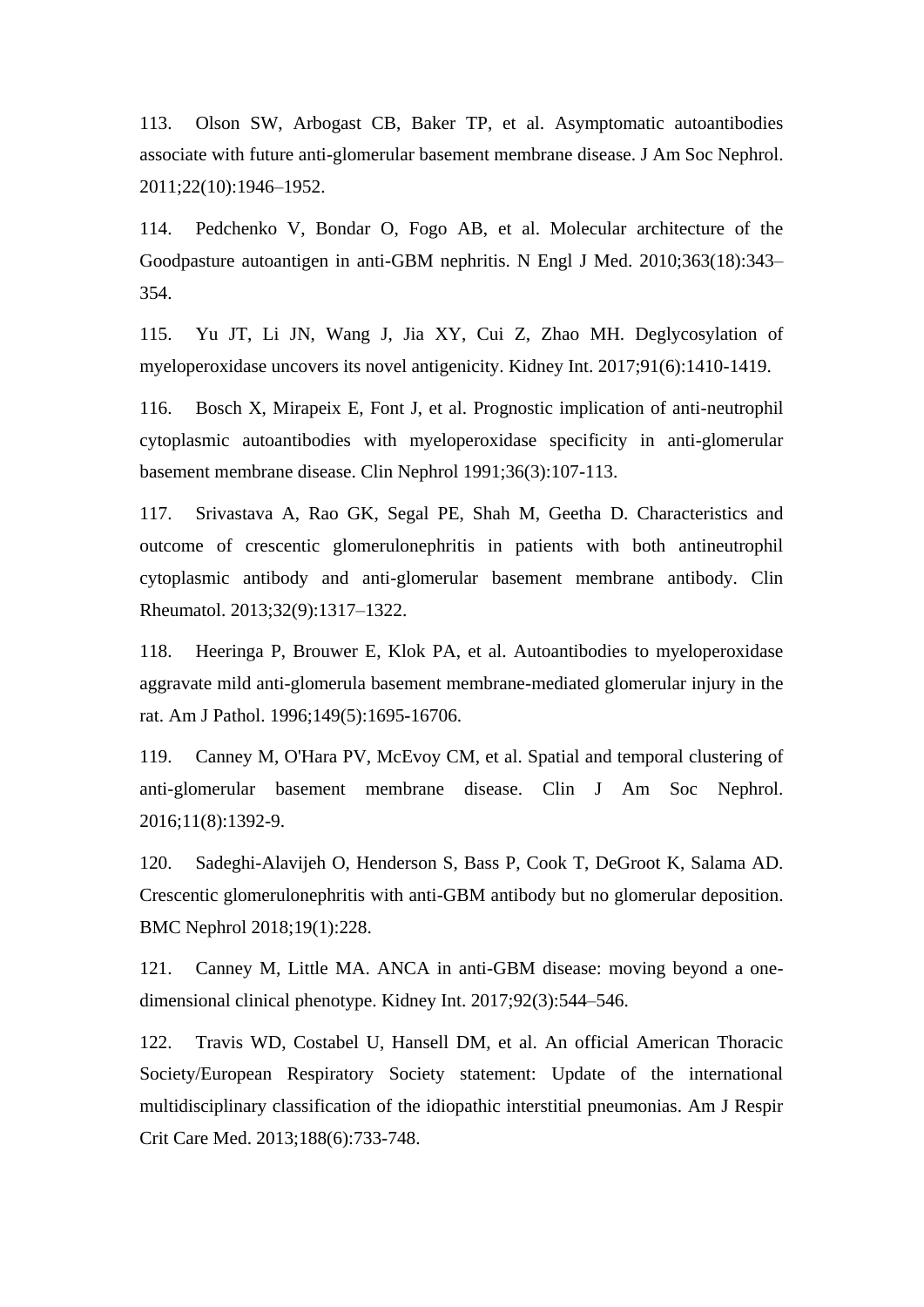113. Olson SW, Arbogast CB, Baker TP, et al. Asymptomatic autoantibodies associate with future anti-glomerular basement membrane disease. J Am Soc Nephrol. 2011;22(10):1946–1952.

114. Pedchenko V, Bondar O, Fogo AB, et al. Molecular architecture of the Goodpasture autoantigen in anti-GBM nephritis. N Engl J Med. 2010;363(18):343– 354.

115. Yu JT, Li JN, Wang J, Jia XY, Cui Z, Zhao MH. Deglycosylation of myeloperoxidase uncovers its novel antigenicity. Kidney Int. 2017;91(6):1410-1419.

116. Bosch X, Mirapeix E, Font J, et al. Prognostic implication of anti-neutrophil cytoplasmic autoantibodies with myeloperoxidase specificity in anti-glomerular basement membrane disease. Clin Nephrol 1991;36(3):107-113.

117. Srivastava A, Rao GK, Segal PE, Shah M, Geetha D. Characteristics and outcome of crescentic glomerulonephritis in patients with both antineutrophil cytoplasmic antibody and anti-glomerular basement membrane antibody. Clin Rheumatol. 2013;32(9):1317–1322.

118. Heeringa P, Brouwer E, Klok PA, et al. Autoantibodies to myeloperoxidase aggravate mild anti-glomerula basement membrane-mediated glomerular injury in the rat. Am J Pathol. 1996;149(5):1695-16706.

119. Canney M, O'Hara PV, McEvoy CM, et al. Spatial and temporal clustering of anti-glomerular basement membrane disease. Clin J Am Soc Nephrol. 2016;11(8):1392-9.

120. Sadeghi-Alavijeh O, Henderson S, Bass P, Cook T, DeGroot K, Salama AD. Crescentic glomerulonephritis with anti-GBM antibody but no glomerular deposition. BMC Nephrol 2018;19(1):228.

121. Canney M, Little MA. ANCA in anti-GBM disease: moving beyond a onedimensional clinical phenotype. Kidney Int. 2017;92(3):544–546.

122. Travis WD, Costabel U, Hansell DM, et al. An official American Thoracic Society/European Respiratory Society statement: Update of the international multidisciplinary classification of the idiopathic interstitial pneumonias. Am J Respir Crit Care Med. 2013;188(6):733-748.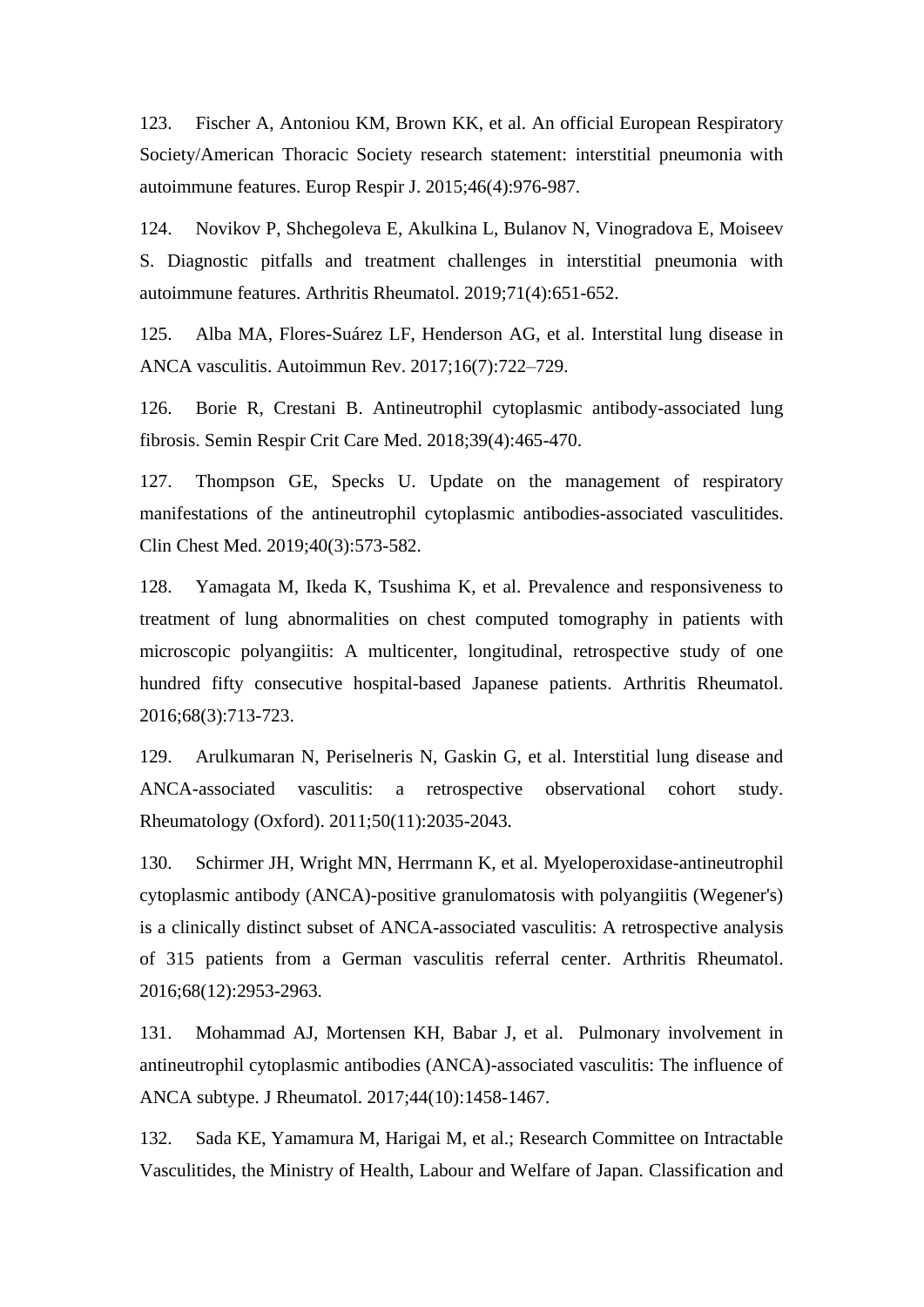123. Fischer A, Antoniou KM, Brown KK, et al. An official European Respiratory Society/American Thoracic Society research statement: interstitial pneumonia with autoimmune features. Europ Respir J. 2015;46(4):976-987.

124. Novikov P, Shchegoleva E, Akulkina L, Bulanov N, Vinogradova E, Moiseev S. Diagnostic pitfalls and treatment challenges in interstitial pneumonia with autoimmune features. Arthritis Rheumatol. 2019;71(4):651-652.

125. Alba MA, Flores-Suárez LF, Henderson AG, et al. Interstital lung disease in ANCA vasculitis. Autoimmun Rev. 2017;16(7):722–729.

126. Borie R, Crestani B. Antineutrophil cytoplasmic antibody-associated lung fibrosis. Semin Respir Crit Care Med. 2018;39(4):465-470.

127. Thompson GE, Specks U. Update on the management of respiratory manifestations of the antineutrophil cytoplasmic antibodies-associated vasculitides. Clin Chest Med. 2019;40(3):573-582.

128. Yamagata M, Ikeda K, Tsushima K, et al. Prevalence and responsiveness to treatment of lung abnormalities on chest computed tomography in patients with microscopic polyangiitis: A multicenter, longitudinal, retrospective study of one hundred fifty consecutive hospital-based Japanese patients. Arthritis Rheumatol. 2016;68(3):713-723.

129. Arulkumaran N, Periselneris N, Gaskin G, et al. Interstitial lung disease and ANCA-associated vasculitis: a retrospective observational cohort study. Rheumatology (Oxford). 2011;50(11):2035-2043.

130. Schirmer JH, Wright MN, Herrmann K, et al. Myeloperoxidase-antineutrophil cytoplasmic antibody (ANCA)-positive granulomatosis with polyangiitis (Wegener's) is a clinically distinct subset of ANCA-associated vasculitis: A retrospective analysis of 315 patients from a German vasculitis referral center. Arthritis Rheumatol. 2016;68(12):2953-2963.

131. Mohammad AJ, Mortensen KH, Babar J, et al. Pulmonary involvement in antineutrophil cytoplasmic antibodies (ANCA)-associated vasculitis: The influence of ANCA subtype. J Rheumatol. 2017;44(10):1458-1467.

132. Sada KE, Yamamura M, Harigai M, et al.; Research Committee on Intractable Vasculitides, the Ministry of Health, Labour and Welfare of Japan. Classification and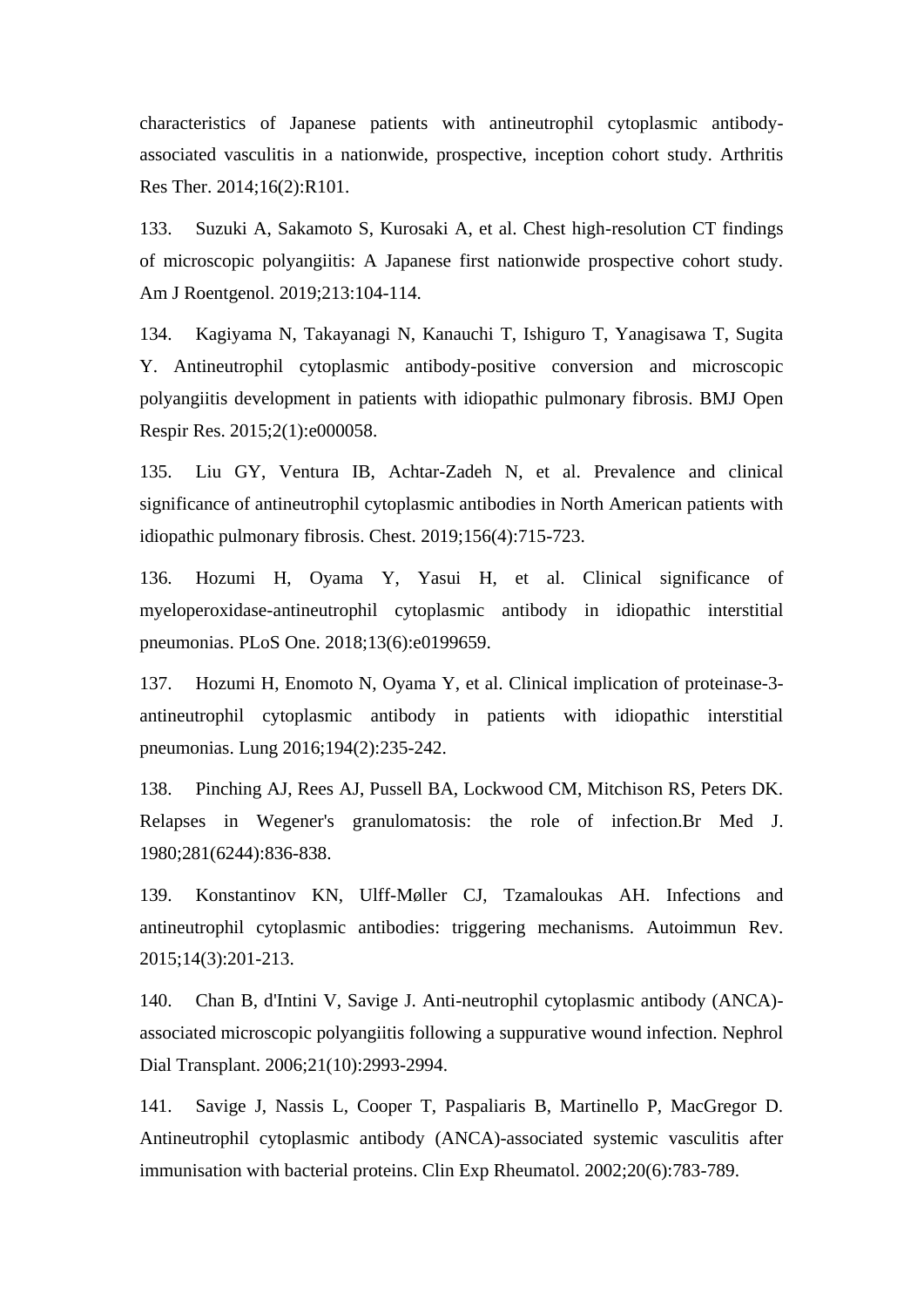characteristics of Japanese patients with antineutrophil cytoplasmic antibodyassociated vasculitis in a nationwide, prospective, inception cohort study. Arthritis Res Ther. 2014;16(2):R101.

133. Suzuki A, Sakamoto S, Kurosaki A, et al. Chest high-resolution CT findings of microscopic polyangiitis: A Japanese first nationwide prospective cohort study. Am J Roentgenol. 2019;213:104-114.

134. Kagiyama N, Takayanagi N, Kanauchi T, Ishiguro T, Yanagisawa T, Sugita Y. Antineutrophil cytoplasmic antibody-positive conversion and microscopic polyangiitis development in patients with idiopathic pulmonary fibrosis. BMJ Open Respir Res. 2015;2(1):e000058.

135. Liu GY, Ventura IB, Achtar-Zadeh N, et al. Prevalence and clinical significance of antineutrophil cytoplasmic antibodies in North American patients with idiopathic pulmonary fibrosis. Chest. 2019;156(4):715-723.

136. Hozumi H, Oyama Y, Yasui H, et al. Clinical significance of myeloperoxidase-antineutrophil cytoplasmic antibody in idiopathic interstitial pneumonias. PLoS One. 2018;13(6):e0199659.

137. Hozumi H, Enomoto N, Oyama Y, et al. Clinical implication of proteinase-3 antineutrophil cytoplasmic antibody in patients with idiopathic interstitial pneumonias. Lung 2016;194(2):235-242.

138. Pinching AJ, Rees AJ, Pussell BA, Lockwood CM, Mitchison RS, Peters DK. Relapses in Wegener's granulomatosis: the role of infection.Br Med J. 1980;281(6244):836-838.

139. Konstantinov KN, Ulff-Møller CJ, Tzamaloukas AH. Infections and antineutrophil cytoplasmic antibodies: triggering mechanisms. Autoimmun Rev. 2015;14(3):201-213.

140. Chan B, d'Intini V, Savige J. Anti-neutrophil cytoplasmic antibody (ANCA) associated microscopic polyangiitis following a suppurative wound infection. Nephrol Dial Transplant. 2006;21(10):2993-2994.

141. Savige J, Nassis L, Cooper T, Paspaliaris B, Martinello P, MacGregor D. Antineutrophil cytoplasmic antibody (ANCA)-associated systemic vasculitis after immunisation with bacterial proteins. Clin Exp Rheumatol. 2002;20(6):783-789.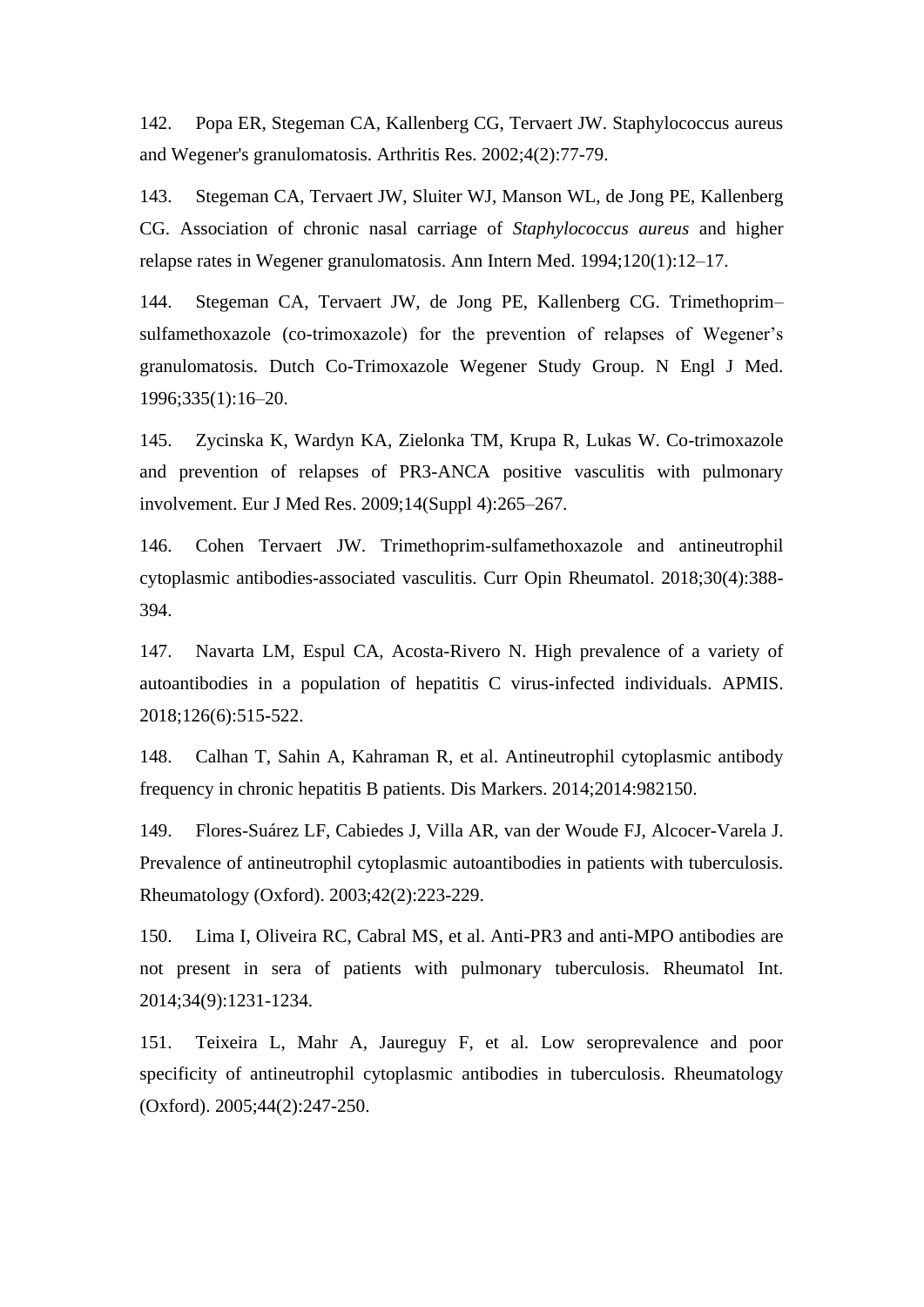142. Popa ER, Stegeman CA, Kallenberg CG, Tervaert JW. Staphylococcus aureus and Wegener's granulomatosis. Arthritis Res. 2002;4(2):77-79.

143. Stegeman CA, Tervaert JW, Sluiter WJ, Manson WL, de Jong PE, Kallenberg CG. Association of chronic nasal carriage of *Staphylococcus aureus* and higher relapse rates in Wegener granulomatosis. Ann Intern Med. 1994;120(1):12–17.

144. Stegeman CA, Tervaert JW, de Jong PE, Kallenberg CG. Trimethoprim– sulfamethoxazole (co-trimoxazole) for the prevention of relapses of Wegener's granulomatosis. Dutch Co-Trimoxazole Wegener Study Group. N Engl J Med. 1996;335(1):16–20.

145. Zycinska K, Wardyn KA, Zielonka TM, Krupa R, Lukas W. Co-trimoxazole and prevention of relapses of PR3-ANCA positive vasculitis with pulmonary involvement. Eur J Med Res. 2009;14(Suppl 4):265–267.

146. Cohen Tervaert JW. Trimethoprim-sulfamethoxazole and antineutrophil cytoplasmic antibodies-associated vasculitis. Curr Opin Rheumatol. 2018;30(4):388- 394.

147. Navarta LM, Espul CA, Acosta-Rivero N. High prevalence of a variety of autoantibodies in a population of hepatitis C virus-infected individuals. APMIS. 2018;126(6):515-522.

148. Calhan T, Sahin A, Kahraman R, et al. Antineutrophil cytoplasmic antibody frequency in chronic hepatitis B patients. Dis Markers. 2014;2014:982150.

149. Flores-Suárez LF, Cabiedes J, Villa AR, van der Woude FJ, Alcocer-Varela J. Prevalence of antineutrophil cytoplasmic autoantibodies in patients with tuberculosis. Rheumatology (Oxford). 2003;42(2):223-229.

150. Lima I, Oliveira RC, Cabral MS, et al. Anti-PR3 and anti-MPO antibodies are not present in sera of patients with pulmonary tuberculosis. Rheumatol Int. 2014;34(9):1231-1234.

151. Teixeira L, Mahr A, Jaureguy F, et al. Low seroprevalence and poor specificity of antineutrophil cytoplasmic antibodies in tuberculosis. Rheumatology (Oxford). 2005;44(2):247-250.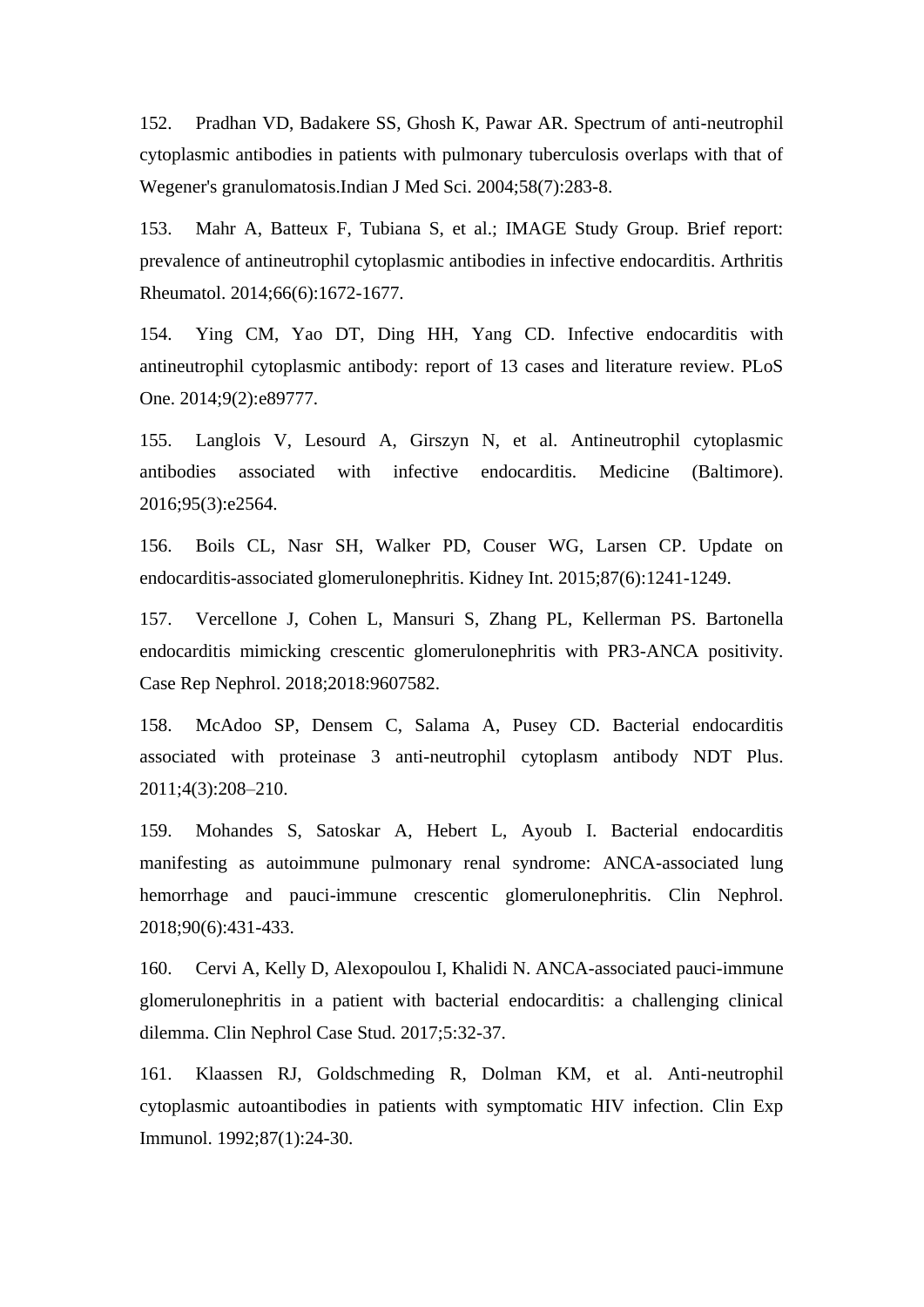152. Pradhan VD, Badakere SS, Ghosh K, Pawar AR. Spectrum of anti-neutrophil cytoplasmic antibodies in patients with pulmonary tuberculosis overlaps with that of Wegener's granulomatosis.Indian J Med Sci. 2004;58(7):283-8.

153. Mahr A, Batteux F, Tubiana S, et al.; IMAGE Study Group. Brief report: prevalence of antineutrophil cytoplasmic antibodies in infective endocarditis. Arthritis Rheumatol. 2014;66(6):1672-1677.

154. Ying CM, Yao DT, Ding HH, Yang CD. Infective endocarditis with antineutrophil cytoplasmic antibody: report of 13 cases and literature review. PLoS One. 2014;9(2):e89777.

155. Langlois V, Lesourd A, Girszyn N, et al. Antineutrophil cytoplasmic antibodies associated with infective endocarditis. Medicine (Baltimore). 2016;95(3):e2564.

156. Boils CL, Nasr SH, Walker PD, Couser WG, Larsen CP. Update on endocarditis-associated glomerulonephritis. Kidney Int. 2015;87(6):1241-1249.

157. Vercellone J, Cohen L, Mansuri S, Zhang PL, Kellerman PS. Bartonella endocarditis mimicking crescentic glomerulonephritis with PR3-ANCA positivity. Case Rep Nephrol. 2018;2018:9607582.

158. McAdoo SP, Densem C, Salama A, Pusey CD. Bacterial endocarditis associated with proteinase 3 anti-neutrophil cytoplasm antibody NDT Plus. 2011;4(3):208–210.

159. Mohandes S, Satoskar A, Hebert L, Ayoub I. Bacterial endocarditis manifesting as autoimmune pulmonary renal syndrome: ANCA-associated lung hemorrhage and pauci-immune crescentic glomerulonephritis. Clin Nephrol. 2018;90(6):431-433.

160. Cervi A, Kelly D, Alexopoulou I, Khalidi N. ANCA-associated pauci-immune glomerulonephritis in a patient with bacterial endocarditis: a challenging clinical dilemma. Clin Nephrol Case Stud. 2017;5:32-37.

161. Klaassen RJ, Goldschmeding R, Dolman KM, et al. Anti-neutrophil cytoplasmic autoantibodies in patients with symptomatic HIV infection. Clin Exp Immunol. 1992;87(1):24-30.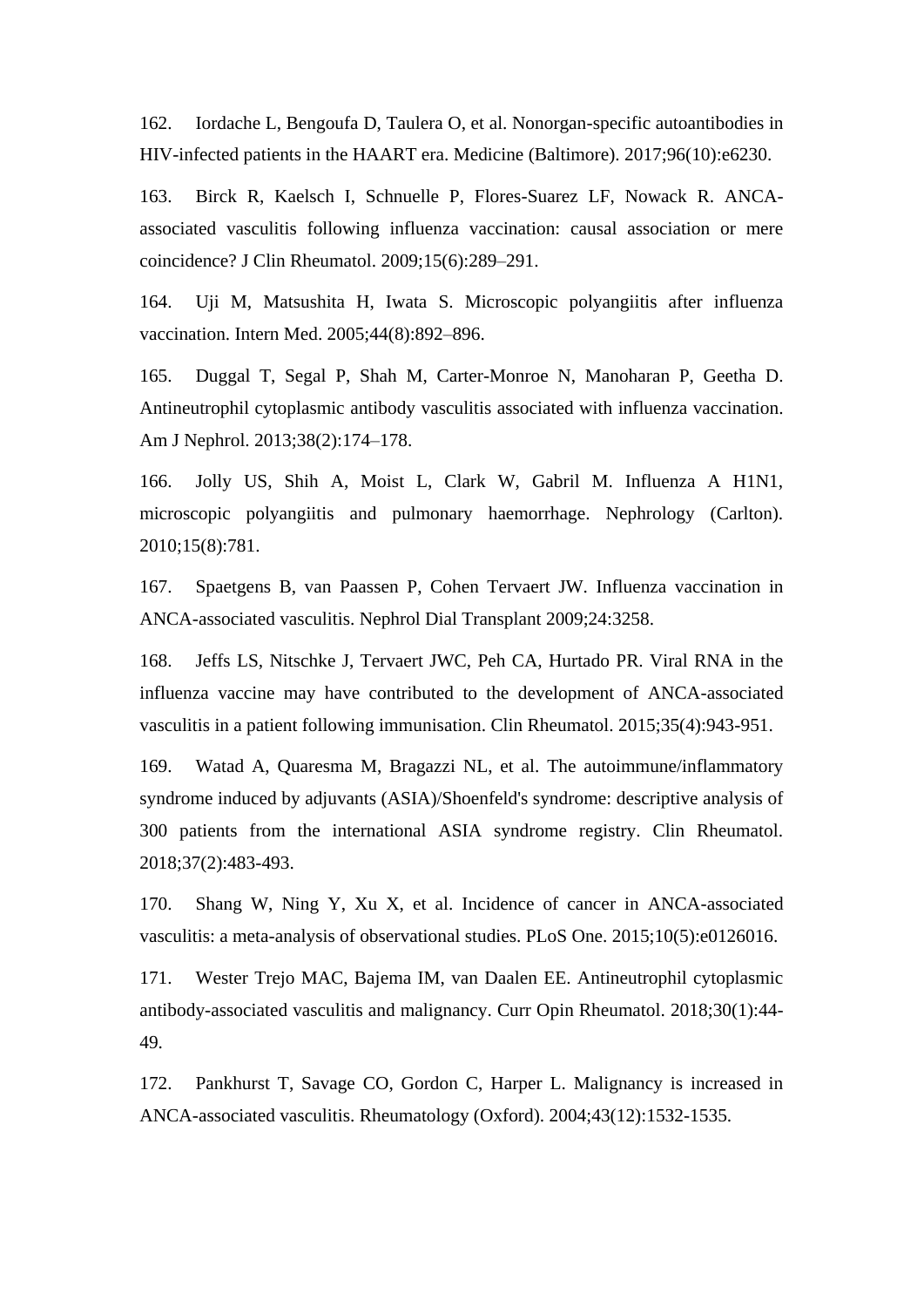162. Iordache L, Bengoufa D, Taulera O, et al. Nonorgan-specific autoantibodies in HIV-infected patients in the HAART era. Medicine (Baltimore). 2017;96(10):e6230.

163. Birck R, Kaelsch I, Schnuelle P, Flores-Suarez LF, Nowack R. ANCAassociated vasculitis following influenza vaccination: causal association or mere coincidence? J Clin Rheumatol. 2009;15(6):289–291.

164. Uji M, Matsushita H, Iwata S. Microscopic polyangiitis after influenza vaccination. Intern Med. 2005;44(8):892–896.

165. Duggal T, Segal P, Shah M, Carter-Monroe N, Manoharan P, Geetha D. Antineutrophil cytoplasmic antibody vasculitis associated with influenza vaccination. Am J Nephrol. 2013;38(2):174–178.

166. Jolly US, Shih A, Moist L, Clark W, Gabril M. Influenza A H1N1, microscopic polyangiitis and pulmonary haemorrhage. Nephrology (Carlton). 2010;15(8):781.

167. Spaetgens B, van Paassen P, Cohen Tervaert JW. Influenza vaccination in ANCA-associated vasculitis. Nephrol Dial Transplant 2009;24:3258.

168. Jeffs LS, Nitschke J, Tervaert JWC, Peh CA, Hurtado PR. Viral RNA in the influenza vaccine may have contributed to the development of ANCA-associated vasculitis in a patient following immunisation. Clin Rheumatol. 2015;35(4):943-951.

169. Watad A, Quaresma M, Bragazzi NL, et al. The autoimmune/inflammatory syndrome induced by adjuvants (ASIA)/Shoenfeld's syndrome: descriptive analysis of 300 patients from the international ASIA syndrome registry. Clin Rheumatol. 2018;37(2):483-493.

170. Shang W, Ning Y, Xu X, et al. Incidence of cancer in ANCA-associated vasculitis: a meta-analysis of observational studies. PLoS One. 2015;10(5):e0126016.

171. Wester Trejo MAC, Bajema IM, van Daalen EE. Antineutrophil cytoplasmic antibody-associated vasculitis and malignancy. Curr Opin Rheumatol. 2018;30(1):44- 49.

172. Pankhurst T, Savage CO, Gordon C, Harper L. Malignancy is increased in ANCA-associated vasculitis. Rheumatology (Oxford). 2004;43(12):1532-1535.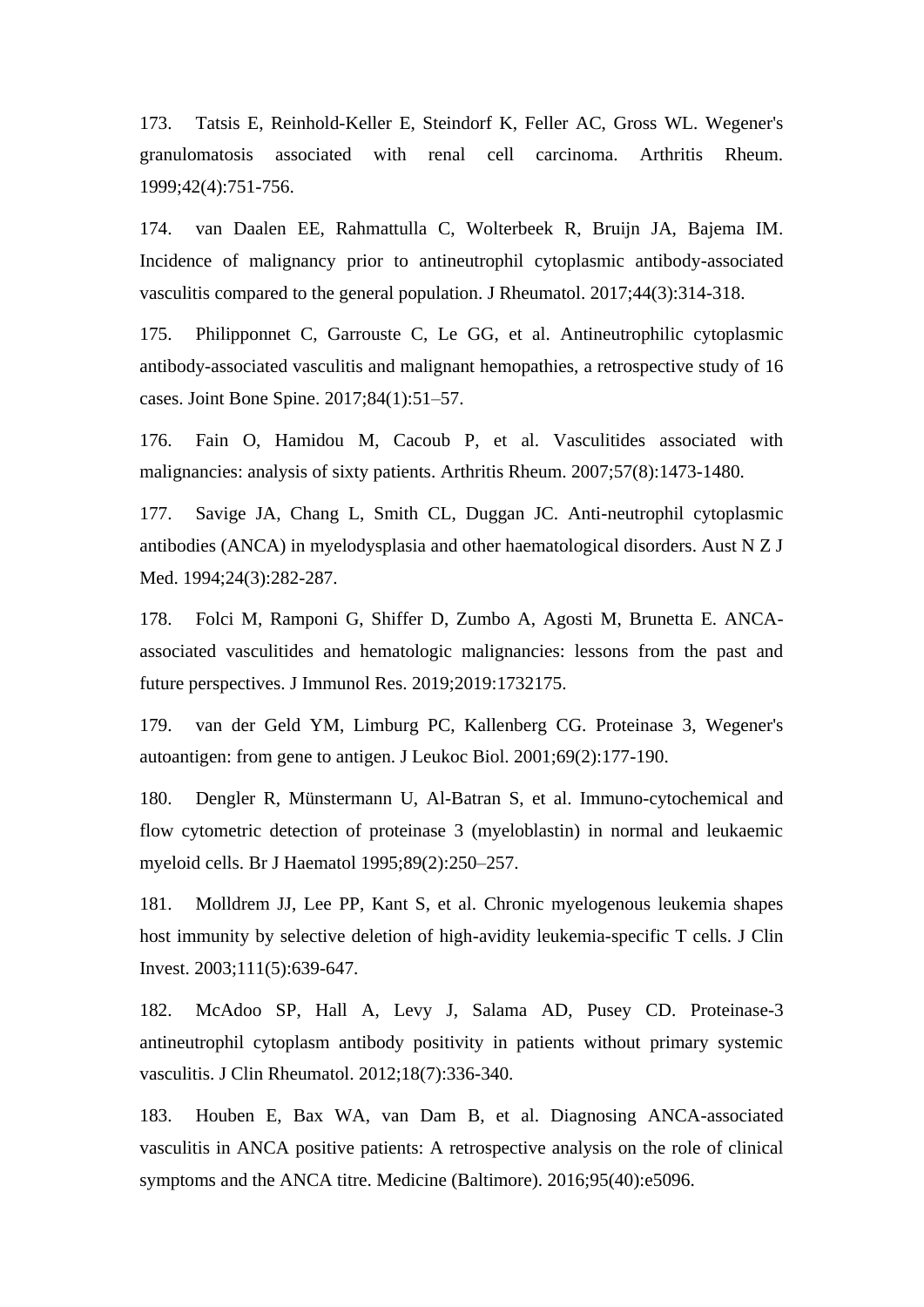173. Tatsis E, Reinhold-Keller E, Steindorf K, Feller AC, Gross WL. Wegener's granulomatosis associated with renal cell carcinoma. Arthritis Rheum. 1999;42(4):751-756.

174. van Daalen EE, Rahmattulla C, Wolterbeek R, Bruijn JA, Bajema IM. Incidence of malignancy prior to antineutrophil cytoplasmic antibody-associated vasculitis compared to the general population. J Rheumatol. 2017;44(3):314-318.

175. Philipponnet C, Garrouste C, Le GG, et al. Antineutrophilic cytoplasmic antibody-associated vasculitis and malignant hemopathies, a retrospective study of 16 cases. Joint Bone Spine. 2017;84(1):51–57.

176. Fain O, Hamidou M, Cacoub P, et al. Vasculitides associated with malignancies: analysis of sixty patients. Arthritis Rheum. 2007;57(8):1473-1480.

177. Savige JA, Chang L, Smith CL, Duggan JC. Anti-neutrophil cytoplasmic antibodies (ANCA) in myelodysplasia and other haematological disorders. Aust N Z J Med. 1994;24(3):282-287.

178. Folci M, Ramponi G, Shiffer D, Zumbo A, Agosti M, Brunetta E. ANCAassociated vasculitides and hematologic malignancies: lessons from the past and future perspectives. J Immunol Res. 2019;2019:1732175.

179. van der Geld YM, Limburg PC, Kallenberg CG. Proteinase 3, Wegener's autoantigen: from gene to antigen. J Leukoc Biol. 2001;69(2):177-190.

180. Dengler R, Münstermann U, Al-Batran S, et al. Immuno-cytochemical and flow cytometric detection of proteinase 3 (myeloblastin) in normal and leukaemic myeloid cells. Br J Haematol 1995;89(2):250–257.

181. Molldrem JJ, Lee PP, Kant S, et al. Chronic myelogenous leukemia shapes host immunity by selective deletion of high-avidity leukemia-specific T cells. J Clin Invest. 2003;111(5):639-647.

182. McAdoo SP, Hall A, Levy J, Salama AD, Pusey CD. Proteinase-3 antineutrophil cytoplasm antibody positivity in patients without primary systemic vasculitis. J Clin Rheumatol. 2012;18(7):336-340.

183. Houben E, Bax WA, van Dam B, et al. Diagnosing ANCA-associated vasculitis in ANCA positive patients: A retrospective analysis on the role of clinical symptoms and the ANCA titre. Medicine (Baltimore). 2016;95(40):e5096.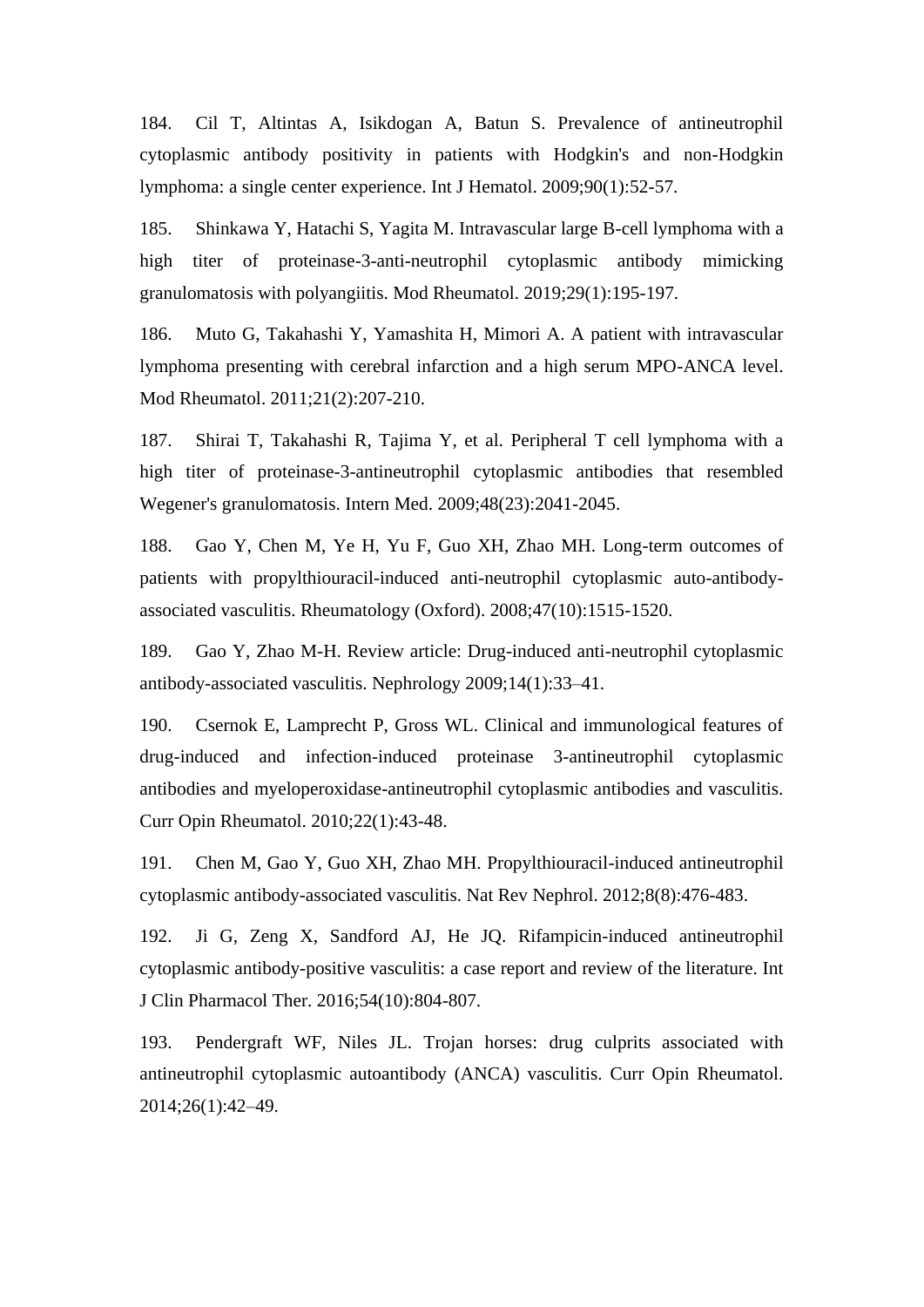184. Cil T, Altintas A, Isikdogan A, Batun S. Prevalence of antineutrophil cytoplasmic antibody positivity in patients with Hodgkin's and non-Hodgkin lymphoma: a single center experience. Int J Hematol. 2009;90(1):52-57.

185. Shinkawa Y, Hatachi S, Yagita M. Intravascular large B-cell lymphoma with a high titer of proteinase-3-anti-neutrophil cytoplasmic antibody mimicking granulomatosis with polyangiitis. Mod Rheumatol. 2019;29(1):195-197.

186. Muto G, Takahashi Y, Yamashita H, Mimori A. A patient with intravascular lymphoma presenting with cerebral infarction and a high serum MPO-ANCA level. Mod Rheumatol. 2011;21(2):207-210.

187. Shirai T, Takahashi R, Tajima Y, et al. Peripheral T cell lymphoma with a high titer of proteinase-3-antineutrophil cytoplasmic antibodies that resembled Wegener's granulomatosis. Intern Med. 2009;48(23):2041-2045.

188. Gao Y, Chen M, Ye H, Yu F, Guo XH, Zhao MH. Long-term outcomes of patients with propylthiouracil-induced anti-neutrophil cytoplasmic auto-antibodyassociated vasculitis. Rheumatology (Oxford). 2008;47(10):1515-1520.

189. Gao Y, Zhao M-H. Review article: Drug-induced anti-neutrophil cytoplasmic antibody-associated vasculitis. Nephrology 2009;14(1):33–41.

190. Csernok E, Lamprecht P, Gross WL. Clinical and immunological features of drug-induced and infection-induced proteinase 3-antineutrophil cytoplasmic antibodies and myeloperoxidase-antineutrophil cytoplasmic antibodies and vasculitis. Curr Opin Rheumatol. 2010;22(1):43-48.

191. Chen M, Gao Y, Guo XH, Zhao MH. Propylthiouracil-induced antineutrophil cytoplasmic antibody-associated vasculitis. Nat Rev Nephrol. 2012;8(8):476-483.

192. Ji G, Zeng X, Sandford AJ, He JQ. Rifampicin-induced antineutrophil cytoplasmic antibody-positive vasculitis: a case report and review of the literature. Int J Clin Pharmacol Ther. 2016;54(10):804-807.

193. Pendergraft WF, Niles JL. Trojan horses: drug culprits associated with antineutrophil cytoplasmic autoantibody (ANCA) vasculitis. Curr Opin Rheumatol. 2014;26(1):42–49.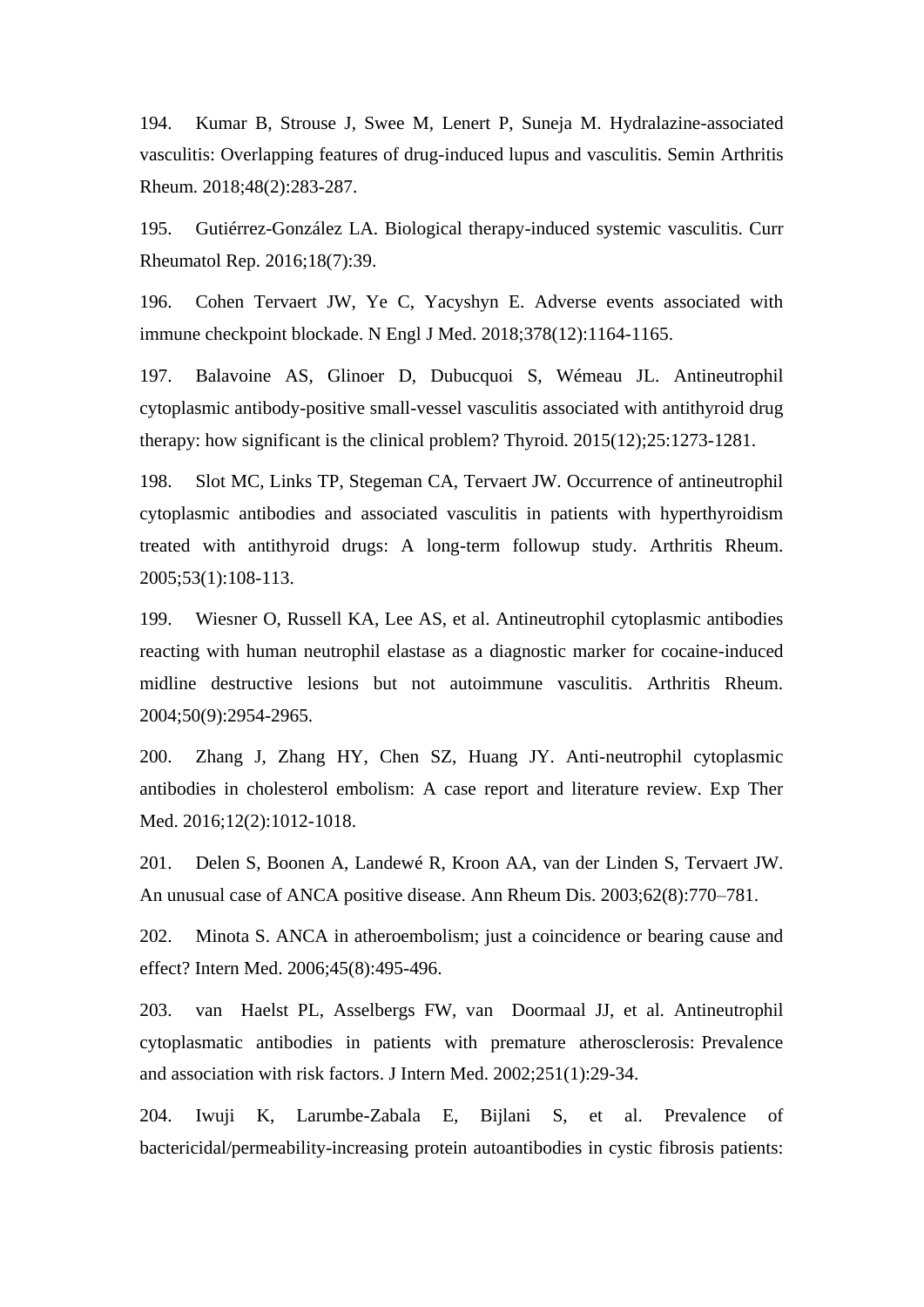194. Kumar B, Strouse J, Swee M, Lenert P, Suneja M. Hydralazine-associated vasculitis: Overlapping features of drug-induced lupus and vasculitis. Semin Arthritis Rheum. 2018;48(2):283-287.

195. Gutiérrez-González LA. Biological therapy-induced systemic vasculitis. Curr Rheumatol Rep. 2016;18(7):39.

196. Cohen Tervaert JW, Ye C, Yacyshyn E. Adverse events associated with immune checkpoint blockade. N Engl J Med. 2018;378(12):1164-1165.

197. Balavoine AS, Glinoer D, Dubucquoi S, Wémeau JL. Antineutrophil cytoplasmic antibody-positive small-vessel vasculitis associated with antithyroid drug therapy: how significant is the clinical problem? Thyroid. 2015(12);25:1273-1281.

198. Slot MC, Links TP, Stegeman CA, Tervaert JW. Occurrence of antineutrophil cytoplasmic antibodies and associated vasculitis in patients with hyperthyroidism treated with antithyroid drugs: A long-term followup study. Arthritis Rheum. 2005;53(1):108-113.

199. Wiesner O, Russell KA, Lee AS, et al. Antineutrophil cytoplasmic antibodies reacting with human neutrophil elastase as a diagnostic marker for cocaine-induced midline destructive lesions but not autoimmune vasculitis. Arthritis Rheum. 2004;50(9):2954-2965.

200. Zhang J, Zhang HY, Chen SZ, Huang JY. Anti-neutrophil cytoplasmic antibodies in cholesterol embolism: A case report and literature review. Exp Ther Med. 2016;12(2):1012-1018.

201. Delen S, Boonen A, Landewé R, Kroon AA, van der Linden S, Tervaert JW. An unusual case of ANCA positive disease. Ann Rheum Dis. 2003;62(8):770–781.

202. Minota S. ANCA in atheroembolism; just a coincidence or bearing cause and effect? Intern Med. 2006;45(8):495-496.

203. van Haelst PL, Asselbergs FW, van Doormaal JJ, et al. Antineutrophil cytoplasmatic antibodies in patients with premature atherosclerosis: Prevalence and association with risk factors. J Intern Med. 2002;251(1):29-34.

204. Iwuji K, Larumbe-Zabala E, Bijlani S, et al. Prevalence of bactericidal/permeability-increasing protein autoantibodies in cystic fibrosis patients: